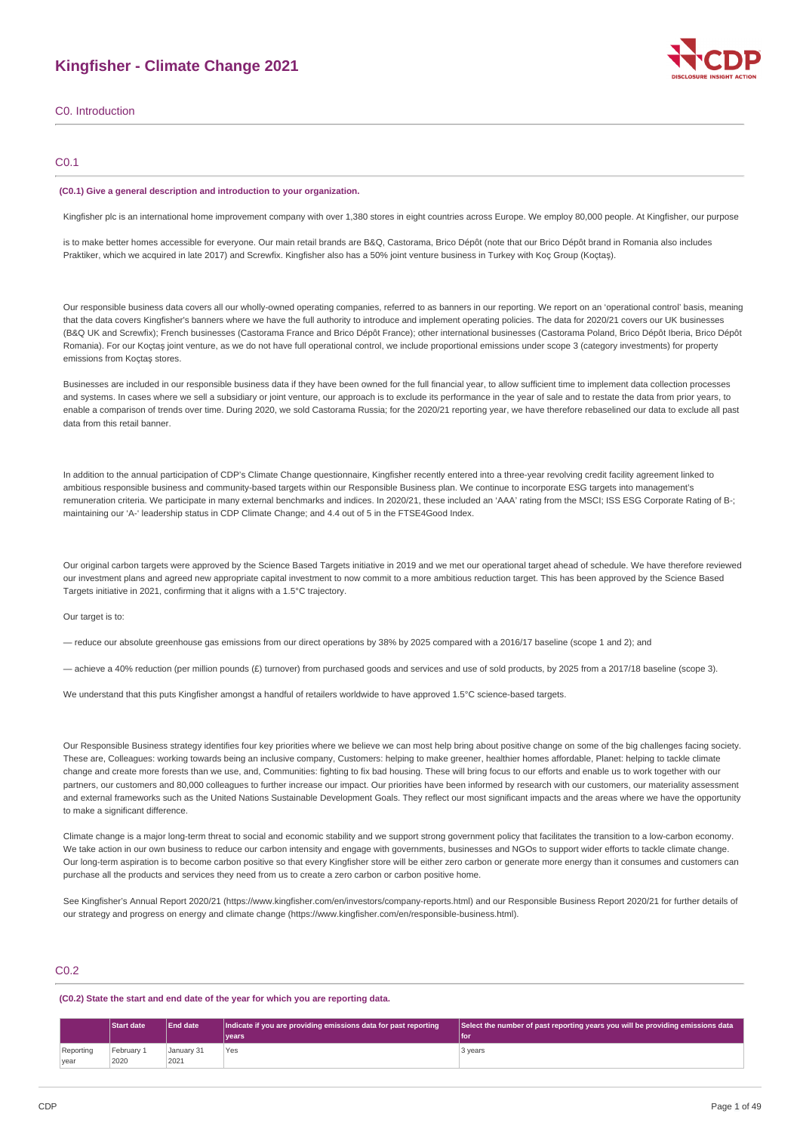# **Kingfisher - Climate Change 2021**



### C0.1

#### **(C0.1) Give a general description and introduction to your organization.**

Kingfisher plc is an international home improvement company with over 1,380 stores in eight countries across Europe. We employ 80,000 people. At Kingfisher, our purpose

is to make better homes accessible for everyone. Our main retail brands are B&Q, Castorama, Brico Dépôt (note that our Brico Dépôt brand in Romania also includes Praktiker, which we acquired in late 2017) and Screwfix. Kingfisher also has a 50% joint venture business in Turkey with Koç Group (Koçtaş).

Our responsible business data covers all our wholly-owned operating companies, referred to as banners in our reporting. We report on an 'operational control' basis, meaning that the data covers Kingfisher's banners where we have the full authority to introduce and implement operating policies. The data for 2020/21 covers our UK businesses (B&Q UK and Screwfix); French businesses (Castorama France and Brico Dépôt France); other international businesses (Castorama Poland, Brico Dépôt Iberia, Brico Dépôt Romania). For our Koçtaş joint venture, as we do not have full operational control, we include proportional emissions under scope 3 (category investments) for property emissions from Koçtaş stores.

Businesses are included in our responsible business data if they have been owned for the full financial year, to allow sufficient time to implement data collection processes and systems. In cases where we sell a subsidiary or joint venture, our approach is to exclude its performance in the year of sale and to restate the data from prior years, to enable a comparison of trends over time. During 2020, we sold Castorama Russia; for the 2020/21 reporting year, we have therefore rebaselined our data to exclude all past data from this retail banner.

In addition to the annual participation of CDP's Climate Change questionnaire, Kingfisher recently entered into a three-year revolving credit facility agreement linked to ambitious responsible business and community-based targets within our Responsible Business plan. We continue to incorporate ESG targets into management's remuneration criteria. We participate in many external benchmarks and indices. In 2020/21, these included an 'AAA' rating from the MSCI; ISS ESG Corporate Rating of B-; maintaining our 'A-' leadership status in CDP Climate Change; and 4.4 out of 5 in the FTSE4Good Index.

Our original carbon targets were approved by the Science Based Targets initiative in 2019 and we met our operational target ahead of schedule. We have therefore reviewed our investment plans and agreed new appropriate capital investment to now commit to a more ambitious reduction target. This has been approved by the Science Based Targets initiative in 2021, confirming that it aligns with a 1.5°C trajectory.

#### Our target is to:

— reduce our absolute greenhouse gas emissions from our direct operations by 38% by 2025 compared with a 2016/17 baseline (scope 1 and 2); and

— achieve a 40% reduction (per million pounds (£) turnover) from purchased goods and services and use of sold products, by 2025 from a 2017/18 baseline (scope 3).

We understand that this puts Kingfisher amongst a handful of retailers worldwide to have approved 1.5°C science-based targets.

Our Responsible Business strategy identifies four key priorities where we believe we can most help bring about positive change on some of the big challenges facing society. These are, Colleagues: working towards being an inclusive company, Customers: helping to make greener, healthier homes affordable, Planet: helping to tackle climate change and create more forests than we use, and, Communities: fighting to fix bad housing. These will bring focus to our efforts and enable us to work together with our partners, our customers and 80,000 colleagues to further increase our impact. Our priorities have been informed by research with our customers, our materiality assessment and external frameworks such as the United Nations Sustainable Development Goals. They reflect our most significant impacts and the areas where we have the opportunity to make a significant difference.

Climate change is a major long-term threat to social and economic stability and we support strong government policy that facilitates the transition to a low-carbon economy. We take action in our own business to reduce our carbon intensity and engage with governments, businesses and NGOs to support wider efforts to tackle climate change. Our long-term aspiration is to become carbon positive so that every Kingfisher store will be either zero carbon or generate more energy than it consumes and customers can purchase all the products and services they need from us to create a zero carbon or carbon positive home.

See Kingfisher's Annual Report 2020/21 (https://www.kingfisher.com/en/investors/company-reports.html) and our Responsible Business Report 2020/21 for further details of our strategy and progress on energy and climate change (https://www.kingfisher.com/en/responsible-business.html).

### C0.2

#### **(C0.2) State the start and end date of the year for which you are reporting data.**

|                   | <b>Start date</b>   | <b>End date</b>    | Indicate if you are providing emissions data for past reporting | Select the number of past reporting years you will be providing emissions data |
|-------------------|---------------------|--------------------|-----------------------------------------------------------------|--------------------------------------------------------------------------------|
|                   |                     |                    | vears                                                           | l for                                                                          |
| Reporting<br>year | 'February 1<br>2020 | January 31<br>2021 | Yes                                                             | 3 years                                                                        |

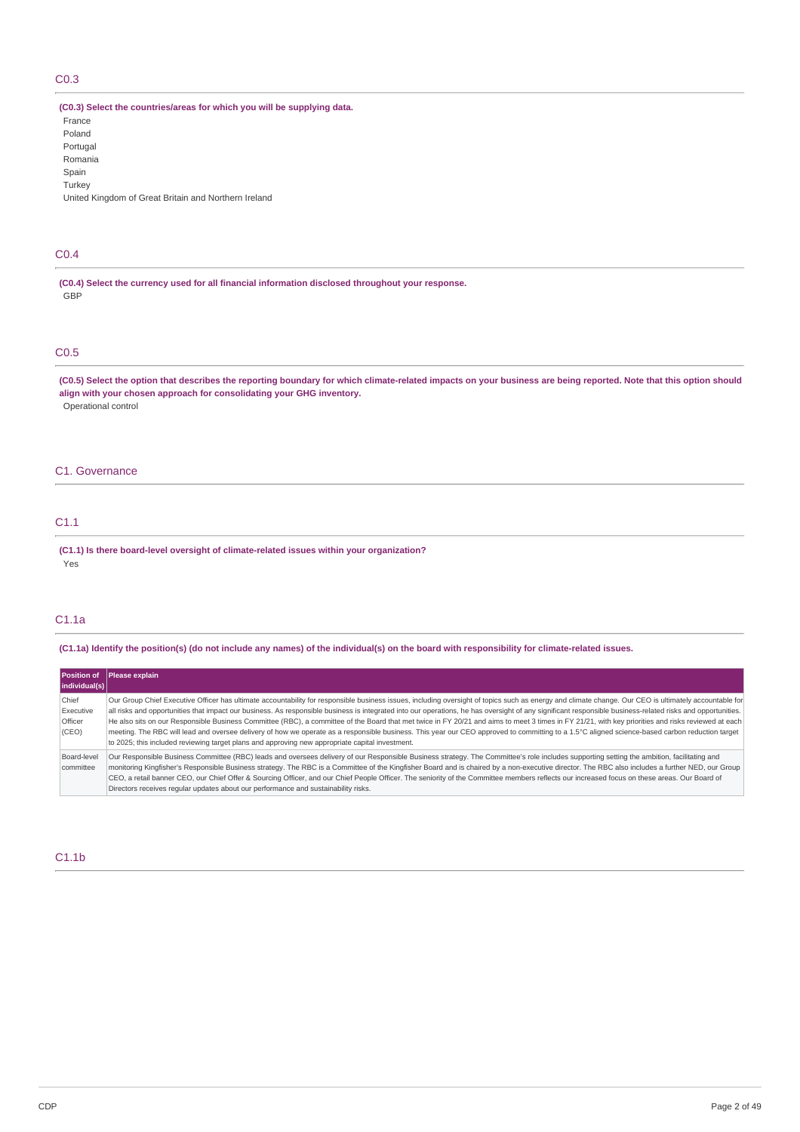# C0.3

**(C0.3) Select the countries/areas for which you will be supplying data.**

France Poland Portugal Romania Spain **Turkey** United Kingdom of Great Britain and Northern Ireland

### C0.4

**(C0.4) Select the currency used for all financial information disclosed throughout your response.** GBP

# C0.5

(C0.5) Select the option that describes the reporting boundary for which climate-related impacts on your business are being reported. Note that this option should **align with your chosen approach for consolidating your GHG inventory.** Operational control

### C1. Governance

# C1.1

**(C1.1) Is there board-level oversight of climate-related issues within your organization?** Yes

### C1.1a

(C1.1a) Identify the position(s) (do not include any names) of the individual(s) on the board with responsibility for climate-related issues.

| individual(s)                          | Position of Please explain                                                                                                                                                                                                                                                                                                                                                                                                                                                                                                                                                                                                                                                                                                                                                                                                                                                                                                     |
|----------------------------------------|--------------------------------------------------------------------------------------------------------------------------------------------------------------------------------------------------------------------------------------------------------------------------------------------------------------------------------------------------------------------------------------------------------------------------------------------------------------------------------------------------------------------------------------------------------------------------------------------------------------------------------------------------------------------------------------------------------------------------------------------------------------------------------------------------------------------------------------------------------------------------------------------------------------------------------|
| Chief<br>Executive<br>Officer<br>(CEO) | Our Group Chief Executive Officer has ultimate accountability for responsible business issues, including oversight of topics such as energy and climate change. Our CEO is ultimately accountable for<br>all risks and opportunities that impact our business. As responsible business is integrated into our operations, he has oversight of any significant responsible business-related risks and opportunities.<br>He also sits on our Responsible Business Committee (RBC), a committee of the Board that met twice in FY 20/21 and aims to meet 3 times in FY 21/21, with key priorities and risks reviewed at each<br>meeting. The RBC will lead and oversee delivery of how we operate as a responsible business. This year our CEO approved to committing to a 1.5°C aligned science-based carbon reduction target<br>to 2025; this included reviewing target plans and approving new appropriate capital investment. |
| Board-level<br>committee               | Our Responsible Business Committee (RBC) leads and oversees delivery of our Responsible Business strategy. The Committee's role includes supporting setting the ambition, facilitating and<br>monitoring Kingfisher's Responsible Business strategy. The RBC is a Committee of the Kingfisher Board and is chaired by a non-executive director. The RBC also includes a further NED, our Group<br>CEO, a retail banner CEO, our Chief Offer & Sourcing Officer, and our Chief People Officer. The seniority of the Committee members reflects our increased focus on these areas. Our Board of<br>Directors receives regular updates about our performance and sustainability risks.                                                                                                                                                                                                                                           |

### C1.1b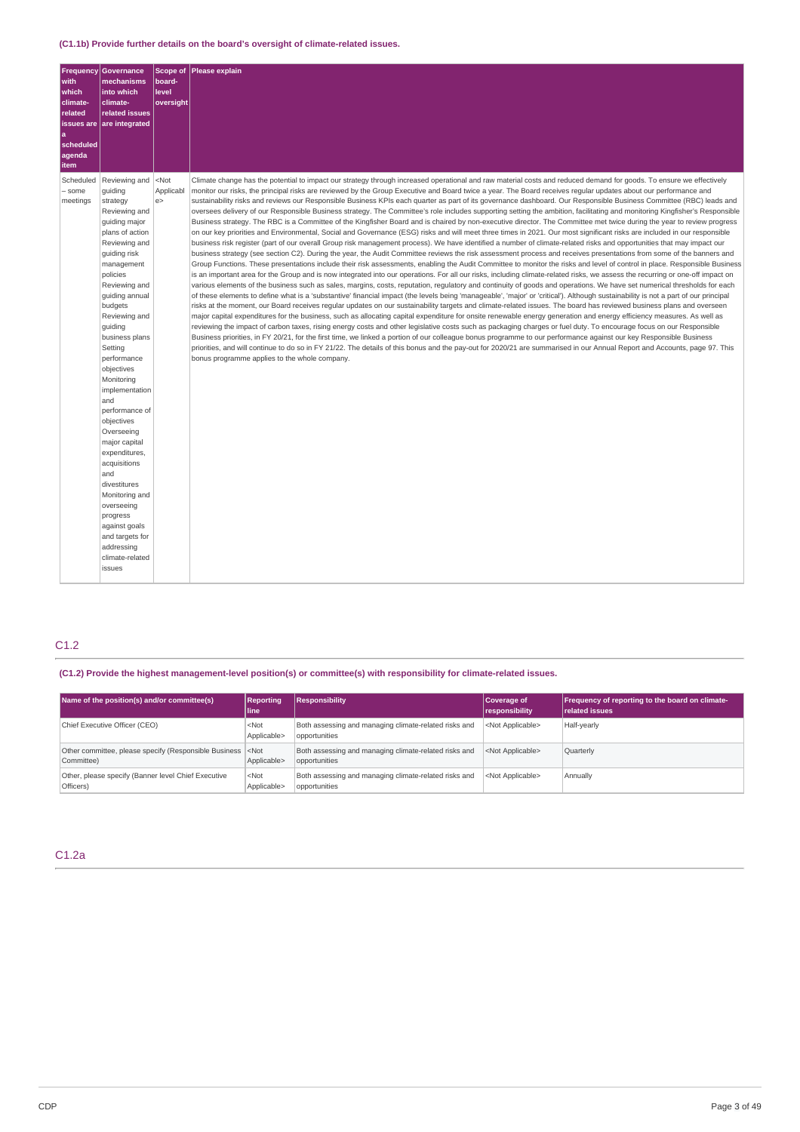|                                                                                                                                                                                                                                                                                                                                                                                                                                                                                                                                                                                                                                                                                                                                                                                                                                                                                                                                                                                                                                                                                                                                                                                                                                                                                                                                                                                                                                                                                                                                                                                                                                       | Scope of<br>Please explain | Governance                                                                                                                                                                                                                                                                                            | <b>Frequency</b>  |
|---------------------------------------------------------------------------------------------------------------------------------------------------------------------------------------------------------------------------------------------------------------------------------------------------------------------------------------------------------------------------------------------------------------------------------------------------------------------------------------------------------------------------------------------------------------------------------------------------------------------------------------------------------------------------------------------------------------------------------------------------------------------------------------------------------------------------------------------------------------------------------------------------------------------------------------------------------------------------------------------------------------------------------------------------------------------------------------------------------------------------------------------------------------------------------------------------------------------------------------------------------------------------------------------------------------------------------------------------------------------------------------------------------------------------------------------------------------------------------------------------------------------------------------------------------------------------------------------------------------------------------------|----------------------------|-------------------------------------------------------------------------------------------------------------------------------------------------------------------------------------------------------------------------------------------------------------------------------------------------------|-------------------|
|                                                                                                                                                                                                                                                                                                                                                                                                                                                                                                                                                                                                                                                                                                                                                                                                                                                                                                                                                                                                                                                                                                                                                                                                                                                                                                                                                                                                                                                                                                                                                                                                                                       | board-                     | mechanisms                                                                                                                                                                                                                                                                                            | with              |
|                                                                                                                                                                                                                                                                                                                                                                                                                                                                                                                                                                                                                                                                                                                                                                                                                                                                                                                                                                                                                                                                                                                                                                                                                                                                                                                                                                                                                                                                                                                                                                                                                                       | level<br>oversight         | into which<br>climate-                                                                                                                                                                                                                                                                                | which<br>climate- |
|                                                                                                                                                                                                                                                                                                                                                                                                                                                                                                                                                                                                                                                                                                                                                                                                                                                                                                                                                                                                                                                                                                                                                                                                                                                                                                                                                                                                                                                                                                                                                                                                                                       |                            | related issues                                                                                                                                                                                                                                                                                        | related           |
|                                                                                                                                                                                                                                                                                                                                                                                                                                                                                                                                                                                                                                                                                                                                                                                                                                                                                                                                                                                                                                                                                                                                                                                                                                                                                                                                                                                                                                                                                                                                                                                                                                       |                            | are integrated                                                                                                                                                                                                                                                                                        | issues are        |
|                                                                                                                                                                                                                                                                                                                                                                                                                                                                                                                                                                                                                                                                                                                                                                                                                                                                                                                                                                                                                                                                                                                                                                                                                                                                                                                                                                                                                                                                                                                                                                                                                                       |                            |                                                                                                                                                                                                                                                                                                       | <b>a</b>          |
|                                                                                                                                                                                                                                                                                                                                                                                                                                                                                                                                                                                                                                                                                                                                                                                                                                                                                                                                                                                                                                                                                                                                                                                                                                                                                                                                                                                                                                                                                                                                                                                                                                       |                            |                                                                                                                                                                                                                                                                                                       | scheduled         |
|                                                                                                                                                                                                                                                                                                                                                                                                                                                                                                                                                                                                                                                                                                                                                                                                                                                                                                                                                                                                                                                                                                                                                                                                                                                                                                                                                                                                                                                                                                                                                                                                                                       |                            |                                                                                                                                                                                                                                                                                                       | agenda            |
|                                                                                                                                                                                                                                                                                                                                                                                                                                                                                                                                                                                                                                                                                                                                                                                                                                                                                                                                                                                                                                                                                                                                                                                                                                                                                                                                                                                                                                                                                                                                                                                                                                       |                            |                                                                                                                                                                                                                                                                                                       | item              |
| Climate change has the potential to impact our strategy through increased operational and raw material costs and reduced demand for goods. To ensure we effectively                                                                                                                                                                                                                                                                                                                                                                                                                                                                                                                                                                                                                                                                                                                                                                                                                                                                                                                                                                                                                                                                                                                                                                                                                                                                                                                                                                                                                                                                   | $<$ Not                    | Reviewing and                                                                                                                                                                                                                                                                                         | Scheduled         |
| monitor our risks, the principal risks are reviewed by the Group Executive and Board twice a year. The Board receives regular updates about our performance and                                                                                                                                                                                                                                                                                                                                                                                                                                                                                                                                                                                                                                                                                                                                                                                                                                                                                                                                                                                                                                                                                                                                                                                                                                                                                                                                                                                                                                                                       | Applicabl                  | guiding                                                                                                                                                                                                                                                                                               | - some            |
|                                                                                                                                                                                                                                                                                                                                                                                                                                                                                                                                                                                                                                                                                                                                                                                                                                                                                                                                                                                                                                                                                                                                                                                                                                                                                                                                                                                                                                                                                                                                                                                                                                       |                            |                                                                                                                                                                                                                                                                                                       |                   |
|                                                                                                                                                                                                                                                                                                                                                                                                                                                                                                                                                                                                                                                                                                                                                                                                                                                                                                                                                                                                                                                                                                                                                                                                                                                                                                                                                                                                                                                                                                                                                                                                                                       |                            |                                                                                                                                                                                                                                                                                                       |                   |
|                                                                                                                                                                                                                                                                                                                                                                                                                                                                                                                                                                                                                                                                                                                                                                                                                                                                                                                                                                                                                                                                                                                                                                                                                                                                                                                                                                                                                                                                                                                                                                                                                                       |                            |                                                                                                                                                                                                                                                                                                       |                   |
|                                                                                                                                                                                                                                                                                                                                                                                                                                                                                                                                                                                                                                                                                                                                                                                                                                                                                                                                                                                                                                                                                                                                                                                                                                                                                                                                                                                                                                                                                                                                                                                                                                       |                            |                                                                                                                                                                                                                                                                                                       |                   |
|                                                                                                                                                                                                                                                                                                                                                                                                                                                                                                                                                                                                                                                                                                                                                                                                                                                                                                                                                                                                                                                                                                                                                                                                                                                                                                                                                                                                                                                                                                                                                                                                                                       |                            |                                                                                                                                                                                                                                                                                                       |                   |
| Group Functions. These presentations include their risk assessments, enabling the Audit Committee to monitor the risks and level of control in place. Responsible Business                                                                                                                                                                                                                                                                                                                                                                                                                                                                                                                                                                                                                                                                                                                                                                                                                                                                                                                                                                                                                                                                                                                                                                                                                                                                                                                                                                                                                                                            |                            |                                                                                                                                                                                                                                                                                                       |                   |
| is an important area for the Group and is now integrated into our operations. For all our risks, including climate-related risks, we assess the recurring or one-off impact on                                                                                                                                                                                                                                                                                                                                                                                                                                                                                                                                                                                                                                                                                                                                                                                                                                                                                                                                                                                                                                                                                                                                                                                                                                                                                                                                                                                                                                                        |                            | policies                                                                                                                                                                                                                                                                                              |                   |
| various elements of the business such as sales, margins, costs, reputation, regulatory and continuity of goods and operations. We have set numerical thresholds for each                                                                                                                                                                                                                                                                                                                                                                                                                                                                                                                                                                                                                                                                                                                                                                                                                                                                                                                                                                                                                                                                                                                                                                                                                                                                                                                                                                                                                                                              |                            | Reviewing and                                                                                                                                                                                                                                                                                         |                   |
| of these elements to define what is a 'substantive' financial impact (the levels being 'manageable', 'major' or 'critical'). Although sustainability is not a part of our principal                                                                                                                                                                                                                                                                                                                                                                                                                                                                                                                                                                                                                                                                                                                                                                                                                                                                                                                                                                                                                                                                                                                                                                                                                                                                                                                                                                                                                                                   |                            | quiding annual                                                                                                                                                                                                                                                                                        |                   |
| risks at the moment, our Board receives regular updates on our sustainability targets and climate-related issues. The board has reviewed business plans and overseen                                                                                                                                                                                                                                                                                                                                                                                                                                                                                                                                                                                                                                                                                                                                                                                                                                                                                                                                                                                                                                                                                                                                                                                                                                                                                                                                                                                                                                                                  |                            | budgets                                                                                                                                                                                                                                                                                               |                   |
| major capital expenditures for the business, such as allocating capital expenditure for onsite renewable energy generation and energy efficiency measures. As well as                                                                                                                                                                                                                                                                                                                                                                                                                                                                                                                                                                                                                                                                                                                                                                                                                                                                                                                                                                                                                                                                                                                                                                                                                                                                                                                                                                                                                                                                 |                            | Reviewing and                                                                                                                                                                                                                                                                                         |                   |
|                                                                                                                                                                                                                                                                                                                                                                                                                                                                                                                                                                                                                                                                                                                                                                                                                                                                                                                                                                                                                                                                                                                                                                                                                                                                                                                                                                                                                                                                                                                                                                                                                                       |                            |                                                                                                                                                                                                                                                                                                       |                   |
|                                                                                                                                                                                                                                                                                                                                                                                                                                                                                                                                                                                                                                                                                                                                                                                                                                                                                                                                                                                                                                                                                                                                                                                                                                                                                                                                                                                                                                                                                                                                                                                                                                       |                            |                                                                                                                                                                                                                                                                                                       |                   |
|                                                                                                                                                                                                                                                                                                                                                                                                                                                                                                                                                                                                                                                                                                                                                                                                                                                                                                                                                                                                                                                                                                                                                                                                                                                                                                                                                                                                                                                                                                                                                                                                                                       |                            |                                                                                                                                                                                                                                                                                                       |                   |
|                                                                                                                                                                                                                                                                                                                                                                                                                                                                                                                                                                                                                                                                                                                                                                                                                                                                                                                                                                                                                                                                                                                                                                                                                                                                                                                                                                                                                                                                                                                                                                                                                                       |                            |                                                                                                                                                                                                                                                                                                       |                   |
|                                                                                                                                                                                                                                                                                                                                                                                                                                                                                                                                                                                                                                                                                                                                                                                                                                                                                                                                                                                                                                                                                                                                                                                                                                                                                                                                                                                                                                                                                                                                                                                                                                       |                            |                                                                                                                                                                                                                                                                                                       |                   |
|                                                                                                                                                                                                                                                                                                                                                                                                                                                                                                                                                                                                                                                                                                                                                                                                                                                                                                                                                                                                                                                                                                                                                                                                                                                                                                                                                                                                                                                                                                                                                                                                                                       |                            |                                                                                                                                                                                                                                                                                                       |                   |
|                                                                                                                                                                                                                                                                                                                                                                                                                                                                                                                                                                                                                                                                                                                                                                                                                                                                                                                                                                                                                                                                                                                                                                                                                                                                                                                                                                                                                                                                                                                                                                                                                                       |                            | and                                                                                                                                                                                                                                                                                                   |                   |
|                                                                                                                                                                                                                                                                                                                                                                                                                                                                                                                                                                                                                                                                                                                                                                                                                                                                                                                                                                                                                                                                                                                                                                                                                                                                                                                                                                                                                                                                                                                                                                                                                                       |                            | performance of                                                                                                                                                                                                                                                                                        |                   |
|                                                                                                                                                                                                                                                                                                                                                                                                                                                                                                                                                                                                                                                                                                                                                                                                                                                                                                                                                                                                                                                                                                                                                                                                                                                                                                                                                                                                                                                                                                                                                                                                                                       |                            | objectives                                                                                                                                                                                                                                                                                            |                   |
|                                                                                                                                                                                                                                                                                                                                                                                                                                                                                                                                                                                                                                                                                                                                                                                                                                                                                                                                                                                                                                                                                                                                                                                                                                                                                                                                                                                                                                                                                                                                                                                                                                       |                            | Overseeing                                                                                                                                                                                                                                                                                            |                   |
|                                                                                                                                                                                                                                                                                                                                                                                                                                                                                                                                                                                                                                                                                                                                                                                                                                                                                                                                                                                                                                                                                                                                                                                                                                                                                                                                                                                                                                                                                                                                                                                                                                       |                            | major capital                                                                                                                                                                                                                                                                                         |                   |
|                                                                                                                                                                                                                                                                                                                                                                                                                                                                                                                                                                                                                                                                                                                                                                                                                                                                                                                                                                                                                                                                                                                                                                                                                                                                                                                                                                                                                                                                                                                                                                                                                                       |                            |                                                                                                                                                                                                                                                                                                       |                   |
|                                                                                                                                                                                                                                                                                                                                                                                                                                                                                                                                                                                                                                                                                                                                                                                                                                                                                                                                                                                                                                                                                                                                                                                                                                                                                                                                                                                                                                                                                                                                                                                                                                       |                            |                                                                                                                                                                                                                                                                                                       |                   |
|                                                                                                                                                                                                                                                                                                                                                                                                                                                                                                                                                                                                                                                                                                                                                                                                                                                                                                                                                                                                                                                                                                                                                                                                                                                                                                                                                                                                                                                                                                                                                                                                                                       |                            |                                                                                                                                                                                                                                                                                                       |                   |
|                                                                                                                                                                                                                                                                                                                                                                                                                                                                                                                                                                                                                                                                                                                                                                                                                                                                                                                                                                                                                                                                                                                                                                                                                                                                                                                                                                                                                                                                                                                                                                                                                                       |                            |                                                                                                                                                                                                                                                                                                       |                   |
|                                                                                                                                                                                                                                                                                                                                                                                                                                                                                                                                                                                                                                                                                                                                                                                                                                                                                                                                                                                                                                                                                                                                                                                                                                                                                                                                                                                                                                                                                                                                                                                                                                       |                            | overseeing                                                                                                                                                                                                                                                                                            |                   |
|                                                                                                                                                                                                                                                                                                                                                                                                                                                                                                                                                                                                                                                                                                                                                                                                                                                                                                                                                                                                                                                                                                                                                                                                                                                                                                                                                                                                                                                                                                                                                                                                                                       |                            | progress                                                                                                                                                                                                                                                                                              |                   |
|                                                                                                                                                                                                                                                                                                                                                                                                                                                                                                                                                                                                                                                                                                                                                                                                                                                                                                                                                                                                                                                                                                                                                                                                                                                                                                                                                                                                                                                                                                                                                                                                                                       |                            | against goals                                                                                                                                                                                                                                                                                         |                   |
|                                                                                                                                                                                                                                                                                                                                                                                                                                                                                                                                                                                                                                                                                                                                                                                                                                                                                                                                                                                                                                                                                                                                                                                                                                                                                                                                                                                                                                                                                                                                                                                                                                       |                            | and targets for                                                                                                                                                                                                                                                                                       |                   |
|                                                                                                                                                                                                                                                                                                                                                                                                                                                                                                                                                                                                                                                                                                                                                                                                                                                                                                                                                                                                                                                                                                                                                                                                                                                                                                                                                                                                                                                                                                                                                                                                                                       |                            | addressing                                                                                                                                                                                                                                                                                            |                   |
|                                                                                                                                                                                                                                                                                                                                                                                                                                                                                                                                                                                                                                                                                                                                                                                                                                                                                                                                                                                                                                                                                                                                                                                                                                                                                                                                                                                                                                                                                                                                                                                                                                       |                            | climate-related                                                                                                                                                                                                                                                                                       |                   |
|                                                                                                                                                                                                                                                                                                                                                                                                                                                                                                                                                                                                                                                                                                                                                                                                                                                                                                                                                                                                                                                                                                                                                                                                                                                                                                                                                                                                                                                                                                                                                                                                                                       |                            |                                                                                                                                                                                                                                                                                                       |                   |
| sustainability risks and reviews our Responsible Business KPIs each quarter as part of its governance dashboard. Our Responsible Business Committee (RBC) leads and<br>oversees delivery of our Responsible Business strategy. The Committee's role includes supporting setting the ambition, facilitating and monitoring Kingfisher's Responsible<br>Business strategy. The RBC is a Committee of the Kingfisher Board and is chaired by non-executive director. The Committee met twice during the year to review progress<br>on our key priorities and Environmental, Social and Governance (ESG) risks and will meet three times in 2021. Our most significant risks are included in our responsible<br>business risk register (part of our overall Group risk management process). We have identified a number of climate-related risks and opportunities that may impact our<br>business strategy (see section C2). During the year, the Audit Committee reviews the risk assessment process and receives presentations from some of the banners and<br>reviewing the impact of carbon taxes, rising energy costs and other legislative costs such as packaging charges or fuel duty. To encourage focus on our Responsible<br>Business priorities, in FY 20/21, for the first time, we linked a portion of our colleague bonus programme to our performance against our key Responsible Business<br>priorities, and will continue to do so in FY 21/22. The details of this bonus and the pay-out for 2020/21 are summarised in our Annual Report and Accounts, page 97. This<br>bonus programme applies to the whole company. | e                          | strategy<br>Reviewing and<br>guiding major<br>plans of action<br>Reviewing and<br>guiding risk<br>management<br>guiding<br>business plans<br>Setting<br>performance<br>objectives<br>Monitoring<br>implementation<br>expenditures,<br>acquisitions<br>and<br>divestitures<br>Monitoring and<br>issues | meetings          |

# C1.2

**(C1.2) Provide the highest management-level position(s) or committee(s) with responsibility for climate-related issues.**

| Name of the position(s) and/or committee(s)                         | Reporting<br>lline                  | <b>Responsibility</b>                                                  | Coverage of<br>responsibility | Frequency of reporting to the board on climate-<br>related issues |
|---------------------------------------------------------------------|-------------------------------------|------------------------------------------------------------------------|-------------------------------|-------------------------------------------------------------------|
| Chief Executive Officer (CEO)                                       | $<$ Not<br>Applicable>              | Both assessing and managing climate-related risks and<br>opportunities | <not applicable=""></not>     | Half-yearly                                                       |
| Other committee, please specify (Responsible Business<br>Committee) | $ $ <not<br>Applicable&gt;</not<br> | Both assessing and managing climate-related risks and<br>opportunities | <not applicable=""></not>     | Quarterly                                                         |
| Other, please specify (Banner level Chief Executive<br>Officers)    | $<$ Not<br>Applicable>              | Both assessing and managing climate-related risks and<br>opportunities | <not applicable=""></not>     | Annually                                                          |

# C1.2a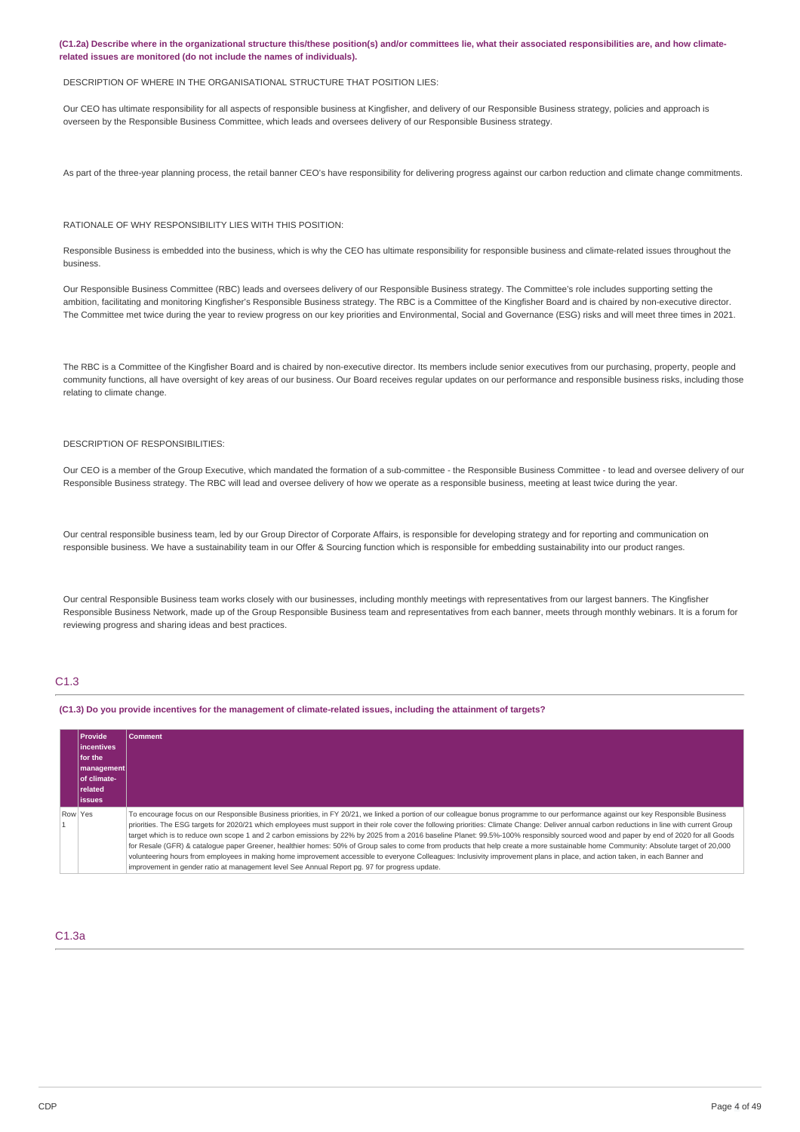(C1.2a) Describe where in the organizational structure this/these position(s) and/or committees lie, what their associated responsibilities are, and how climate**related issues are monitored (do not include the names of individuals).**

#### DESCRIPTION OF WHERE IN THE ORGANISATIONAL STRUCTURE THAT POSITION LIES:

Our CEO has ultimate responsibility for all aspects of responsible business at Kingfisher, and delivery of our Responsible Business strategy, policies and approach is overseen by the Responsible Business Committee, which leads and oversees delivery of our Responsible Business strategy.

As part of the three-year planning process, the retail banner CEO's have responsibility for delivering progress against our carbon reduction and climate change commitments.

#### RATIONALE OF WHY RESPONSIBILITY LIES WITH THIS POSITION:

Responsible Business is embedded into the business, which is why the CEO has ultimate responsibility for responsible business and climate-related issues throughout the business.

Our Responsible Business Committee (RBC) leads and oversees delivery of our Responsible Business strategy. The Committee's role includes supporting setting the ambition, facilitating and monitoring Kingfisher's Responsible Business strategy. The RBC is a Committee of the Kingfisher Board and is chaired by non-executive director. The Committee met twice during the year to review progress on our key priorities and Environmental, Social and Governance (ESG) risks and will meet three times in 2021.

The RBC is a Committee of the Kingfisher Board and is chaired by non-executive director. Its members include senior executives from our purchasing, property, people and community functions, all have oversight of key areas of our business. Our Board receives regular updates on our performance and responsible business risks, including those relating to climate change.

#### DESCRIPTION OF RESPONSIBILITIES:

Our CEO is a member of the Group Executive, which mandated the formation of a sub-committee - the Responsible Business Committee - to lead and oversee delivery of our Responsible Business strategy. The RBC will lead and oversee delivery of how we operate as a responsible business, meeting at least twice during the year.

Our central responsible business team, led by our Group Director of Corporate Affairs, is responsible for developing strategy and for reporting and communication on responsible business. We have a sustainability team in our Offer & Sourcing function which is responsible for embedding sustainability into our product ranges.

Our central Responsible Business team works closely with our businesses, including monthly meetings with representatives from our largest banners. The Kingfisher Responsible Business Network, made up of the Group Responsible Business team and representatives from each banner, meets through monthly webinars. It is a forum for reviewing progress and sharing ideas and best practices.

#### C1.3

(C1.3) Do you provide incentives for the management of climate-related issues, including the attainment of targets?

| <b>Provide</b><br>incentives<br>for the<br> management <br>l of climate-<br><b>related</b><br><b>issues</b> | <b>Comment</b>                                                                                                                                                                                                                                                                                                                                                                                                                                                                                                                                                                                                                                                                                                                                                                                                                                                                                                                                                                                                                                        |
|-------------------------------------------------------------------------------------------------------------|-------------------------------------------------------------------------------------------------------------------------------------------------------------------------------------------------------------------------------------------------------------------------------------------------------------------------------------------------------------------------------------------------------------------------------------------------------------------------------------------------------------------------------------------------------------------------------------------------------------------------------------------------------------------------------------------------------------------------------------------------------------------------------------------------------------------------------------------------------------------------------------------------------------------------------------------------------------------------------------------------------------------------------------------------------|
| Row Yes                                                                                                     | To encourage focus on our Responsible Business priorities, in FY 20/21, we linked a portion of our colleague bonus programme to our performance against our key Responsible Business<br>priorities. The ESG targets for 2020/21 which employees must support in their role cover the following priorities: Climate Change: Deliver annual carbon reductions in line with current Group<br>target which is to reduce own scope 1 and 2 carbon emissions by 22% by 2025 from a 2016 baseline Planet: 99.5%-100% responsibly sourced wood and paper by end of 2020 for all Goods<br>for Resale (GFR) & cataloque paper Greener, healthier homes: 50% of Group sales to come from products that help create a more sustainable home Community: Absolute target of 20,000<br>volunteering hours from employees in making home improvement accessible to everyone Colleagues: Inclusivity improvement plans in place, and action taken, in each Banner and<br>improvement in gender ratio at management level See Annual Report pg. 97 for progress update. |

### C1.3a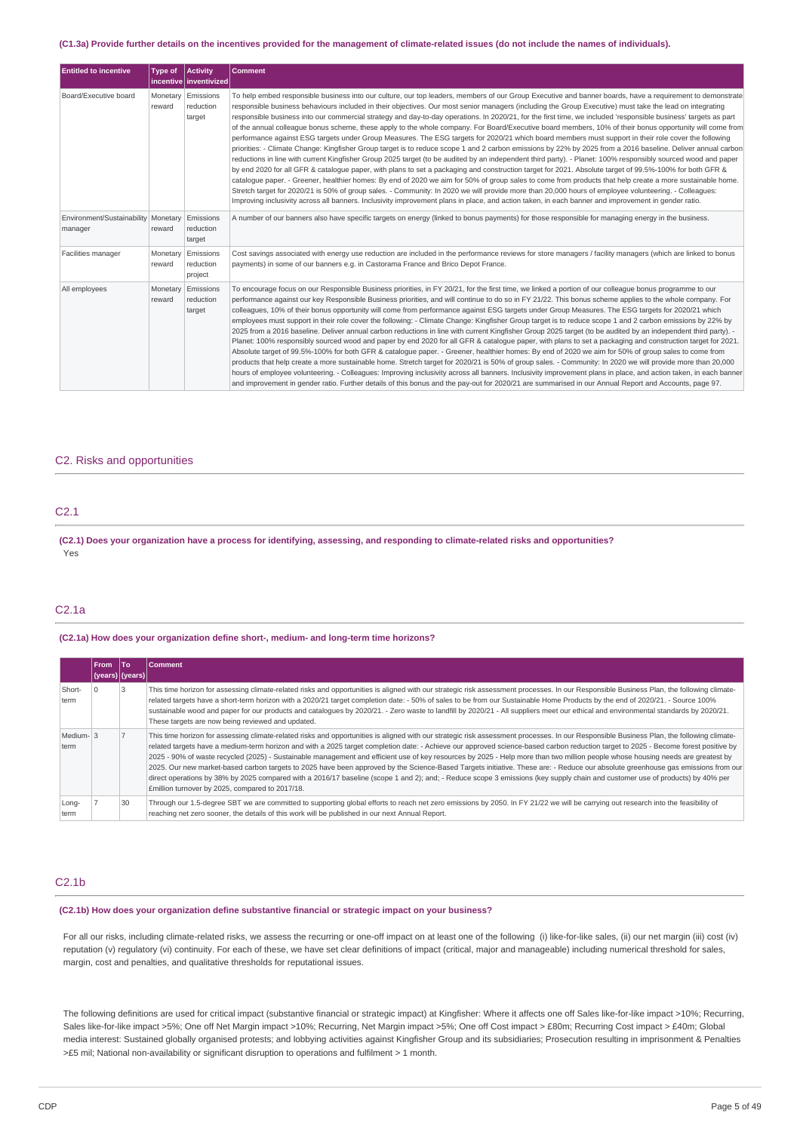#### (C1.3a) Provide further details on the incentives provided for the management of climate-related issues (do not include the names of individuals).

| <b>Entitled to incentive</b>                     | <b>Type of</b>     | Activity<br>incentive   inventivized | <b>Comment</b>                                                                                                                                                                                                                                                                                                                                                                                                                                                                                                                                                                                                                                                                                                                                                                                                                                                                                                                                                                                                                                                                                                                                                                                                                                                                                                                                                                                                                                                                                                                                                                                                                                                                                                                                                                        |
|--------------------------------------------------|--------------------|--------------------------------------|---------------------------------------------------------------------------------------------------------------------------------------------------------------------------------------------------------------------------------------------------------------------------------------------------------------------------------------------------------------------------------------------------------------------------------------------------------------------------------------------------------------------------------------------------------------------------------------------------------------------------------------------------------------------------------------------------------------------------------------------------------------------------------------------------------------------------------------------------------------------------------------------------------------------------------------------------------------------------------------------------------------------------------------------------------------------------------------------------------------------------------------------------------------------------------------------------------------------------------------------------------------------------------------------------------------------------------------------------------------------------------------------------------------------------------------------------------------------------------------------------------------------------------------------------------------------------------------------------------------------------------------------------------------------------------------------------------------------------------------------------------------------------------------|
| Board/Executive board                            | Monetary<br>reward | Emissions<br>reduction<br>target     | To help embed responsible business into our culture, our top leaders, members of our Group Executive and banner boards, have a requirement to demonstrate<br>responsible business behaviours included in their objectives. Our most senior managers (including the Group Executive) must take the lead on integrating<br>responsible business into our commercial strategy and day-to-day operations. In 2020/21, for the first time, we included 'responsible business' targets as part<br>of the annual colleague bonus scheme, these apply to the whole company. For Board/Executive board members, 10% of their bonus opportunity will come from<br>performance against ESG targets under Group Measures. The ESG targets for 2020/21 which board members must support in their role cover the following<br>priorities: - Climate Change: Kingfisher Group target is to reduce scope 1 and 2 carbon emissions by 22% by 2025 from a 2016 baseline. Deliver annual carbon<br>reductions in line with current Kingfisher Group 2025 target (to be audited by an independent third party). - Planet: 100% responsibly sourced wood and paper<br>by end 2020 for all GFR & catalogue paper, with plans to set a packaging and construction target for 2021. Absolute target of 99.5%-100% for both GFR &<br>cataloque paper. - Greener, healthier homes: By end of 2020 we aim for 50% of group sales to come from products that help create a more sustainable home.<br>Stretch target for 2020/21 is 50% of group sales. - Community: In 2020 we will provide more than 20,000 hours of employee volunteering. - Colleagues:<br>Improving inclusivity across all banners. Inclusivity improvement plans in place, and action taken, in each banner and improvement in gender ratio. |
| Environment/Sustainability   Monetary<br>manager | reward             | Emissions<br>reduction<br>target     | A number of our banners also have specific targets on energy (linked to bonus payments) for those responsible for managing energy in the business.                                                                                                                                                                                                                                                                                                                                                                                                                                                                                                                                                                                                                                                                                                                                                                                                                                                                                                                                                                                                                                                                                                                                                                                                                                                                                                                                                                                                                                                                                                                                                                                                                                    |
| Facilities manager                               | Monetary<br>reward | Emissions<br>reduction<br>project    | Cost savings associated with energy use reduction are included in the performance reviews for store managers / facility managers (which are linked to bonus<br>payments) in some of our banners e.g. in Castorama France and Brico Depot France.                                                                                                                                                                                                                                                                                                                                                                                                                                                                                                                                                                                                                                                                                                                                                                                                                                                                                                                                                                                                                                                                                                                                                                                                                                                                                                                                                                                                                                                                                                                                      |
| All employees                                    | Monetary<br>reward | Emissions<br>reduction<br>target     | To encourage focus on our Responsible Business priorities, in FY 20/21, for the first time, we linked a portion of our colleague bonus programme to our<br>performance against our key Responsible Business priorities, and will continue to do so in FY 21/22. This bonus scheme applies to the whole company. For<br>colleagues, 10% of their bonus opportunity will come from performance against ESG targets under Group Measures. The ESG targets for 2020/21 which<br>employees must support in their role cover the following: - Climate Change: Kingfisher Group target is to reduce scope 1 and 2 carbon emissions by 22% by<br>2025 from a 2016 baseline. Deliver annual carbon reductions in line with current Kingfisher Group 2025 target (to be audited by an independent third party). -<br>Planet: 100% responsibly sourced wood and paper by end 2020 for all GFR & catalogue paper, with plans to set a packaging and construction target for 2021.<br>Absolute target of 99.5%-100% for both GFR & catalogue paper. - Greener, healthier homes: By end of 2020 we aim for 50% of group sales to come from<br>products that help create a more sustainable home. Stretch target for 2020/21 is 50% of group sales. - Community: In 2020 we will provide more than 20,000<br>hours of employee volunteering. - Colleagues: Improving inclusivity across all banners. Inclusivity improvement plans in place, and action taken, in each banner<br>and improvement in gender ratio. Further details of this bonus and the pay-out for 2020/21 are summarised in our Annual Report and Accounts, page 97.                                                                                                                                                               |

### C2. Risks and opportunities

# C2.1

(C2.1) Does your organization have a process for identifying, assessing, and responding to climate-related risks and opportunities? Yes

## C2.1a

#### **(C2.1a) How does your organization define short-, medium- and long-term time horizons?**

|                   | <b>From</b>                 | lTo | <b>Comment</b>                                                                                                                                                                                                                                                                                                                                                                                                                                                                                                                                                                                                                                                                                                                                                                                                                                                                                                                                                                              |
|-------------------|-----------------------------|-----|---------------------------------------------------------------------------------------------------------------------------------------------------------------------------------------------------------------------------------------------------------------------------------------------------------------------------------------------------------------------------------------------------------------------------------------------------------------------------------------------------------------------------------------------------------------------------------------------------------------------------------------------------------------------------------------------------------------------------------------------------------------------------------------------------------------------------------------------------------------------------------------------------------------------------------------------------------------------------------------------|
|                   | $ $ (years) $ $ (years) $ $ |     |                                                                                                                                                                                                                                                                                                                                                                                                                                                                                                                                                                                                                                                                                                                                                                                                                                                                                                                                                                                             |
| Short-<br>term    |                             |     | This time horizon for assessing climate-related risks and opportunities is aligned with our strategic risk assessment processes. In our Responsible Business Plan, the following climate-<br>related targets have a short-term horizon with a 2020/21 target completion date: - 50% of sales to be from our Sustainable Home Products by the end of 2020/21. - Source 100%<br>sustainable wood and paper for our products and catalogues by 2020/21. - Zero waste to landfill by 2020/21 - All suppliers meet our ethical and environmental standards by 2020/21.<br>These targets are now being reviewed and updated.                                                                                                                                                                                                                                                                                                                                                                      |
| Medium-13<br>term |                             |     | This time horizon for assessing climate-related risks and opportunities is aligned with our strategic risk assessment processes. In our Responsible Business Plan, the following climate-<br>related targets have a medium-term horizon and with a 2025 target completion date: - Achieve our approved science-based carbon reduction target to 2025 - Become forest positive by<br>2025 - 90% of waste recycled (2025) - Sustainable management and efficient use of key resources by 2025 - Help more than two million people whose housing needs are greatest by<br>2025. Our new market-based carbon targets to 2025 have been approved by the Science-Based Targets initiative. These are: - Reduce our absolute greenhouse gas emissions from our<br>direct operations by 38% by 2025 compared with a 2016/17 baseline (scope 1 and 2); and; - Reduce scope 3 emissions (key supply chain and customer use of products) by 40% per<br>£million turnover by 2025, compared to 2017/18. |
| Long-<br>term     |                             | 30  | Through our 1.5-degree SBT we are committed to supporting global efforts to reach net zero emissions by 2050. In FY 21/22 we will be carrying out research into the feasibility of<br>reaching net zero sooner, the details of this work will be published in our next Annual Report.                                                                                                                                                                                                                                                                                                                                                                                                                                                                                                                                                                                                                                                                                                       |

### C2.1b

#### **(C2.1b) How does your organization define substantive financial or strategic impact on your business?**

For all our risks, including climate-related risks, we assess the recurring or one-off impact on at least one of the following (i) like-for-like sales, (ii) our net margin (iii) cost (iv) reputation (v) regulatory (vi) continuity. For each of these, we have set clear definitions of impact (critical, major and manageable) including numerical threshold for sales, margin, cost and penalties, and qualitative thresholds for reputational issues.

The following definitions are used for critical impact (substantive financial or strategic impact) at Kingfisher: Where it affects one off Sales like-for-like impact >10%; Recurring, Sales like-for-like impact >5%; One off Net Margin impact >10%; Recurring, Net Margin impact >5%; One off Cost impact > £80m; Recurring Cost impact > £40m; Global media interest: Sustained globally organised protests; and lobbying activities against Kingfisher Group and its subsidiaries; Prosecution resulting in imprisonment & Penalties >£5 mil; National non-availability or significant disruption to operations and fulfilment > 1 month.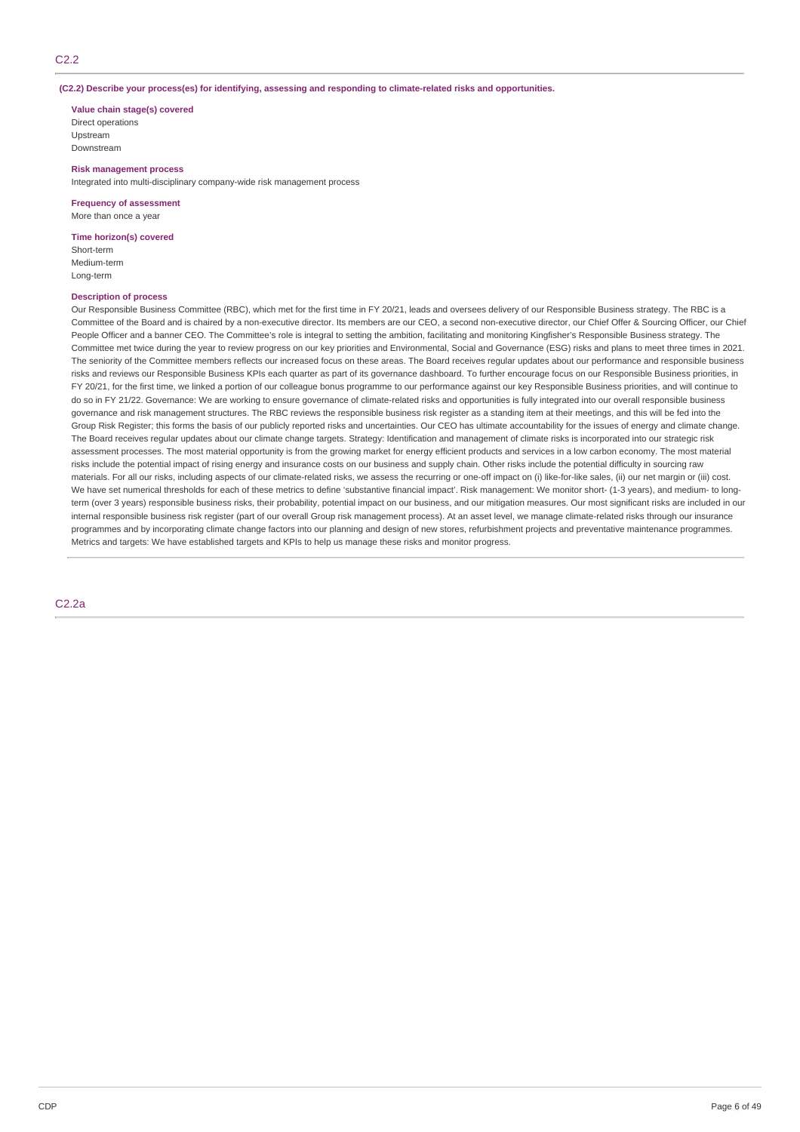#### **(C2.2) Describe your process(es) for identifying, assessing and responding to climate-related risks and opportunities.**

#### **Value chain stage(s) covered**

Direct operations Upstream Downstream

#### **Risk management process**

Integrated into multi-disciplinary company-wide risk management process

#### **Frequency of assessment**

More than once a year

#### **Time horizon(s) covered**

Short-term Medium-term Long-term

#### **Description of process**

Our Responsible Business Committee (RBC), which met for the first time in FY 20/21, leads and oversees delivery of our Responsible Business strategy. The RBC is a Committee of the Board and is chaired by a non-executive director. Its members are our CEO, a second non-executive director, our Chief Offer & Sourcing Officer, our Chief People Officer and a banner CEO. The Committee's role is integral to setting the ambition, facilitating and monitoring Kingfisher's Responsible Business strategy. The Committee met twice during the year to review progress on our key priorities and Environmental, Social and Governance (ESG) risks and plans to meet three times in 2021. The seniority of the Committee members reflects our increased focus on these areas. The Board receives regular updates about our performance and responsible business risks and reviews our Responsible Business KPIs each quarter as part of its governance dashboard. To further encourage focus on our Responsible Business priorities, in FY 20/21, for the first time, we linked a portion of our colleague bonus programme to our performance against our key Responsible Business priorities, and will continue to do so in FY 21/22. Governance: We are working to ensure governance of climate-related risks and opportunities is fully integrated into our overall responsible business governance and risk management structures. The RBC reviews the responsible business risk register as a standing item at their meetings, and this will be fed into the Group Risk Register; this forms the basis of our publicly reported risks and uncertainties. Our CEO has ultimate accountability for the issues of energy and climate change. The Board receives regular updates about our climate change targets. Strategy: Identification and management of climate risks is incorporated into our strategic risk assessment processes. The most material opportunity is from the growing market for energy efficient products and services in a low carbon economy. The most material risks include the potential impact of rising energy and insurance costs on our business and supply chain. Other risks include the potential difficulty in sourcing raw materials. For all our risks, including aspects of our climate-related risks, we assess the recurring or one-off impact on (i) like-for-like sales, (ii) our net margin or (iii) cost. We have set numerical thresholds for each of these metrics to define 'substantive financial impact'. Risk management: We monitor short- (1-3 years), and medium- to longterm (over 3 years) responsible business risks, their probability, potential impact on our business, and our mitigation measures. Our most significant risks are included in our internal responsible business risk register (part of our overall Group risk management process). At an asset level, we manage climate-related risks through our insurance programmes and by incorporating climate change factors into our planning and design of new stores, refurbishment projects and preventative maintenance programmes. Metrics and targets: We have established targets and KPIs to help us manage these risks and monitor progress.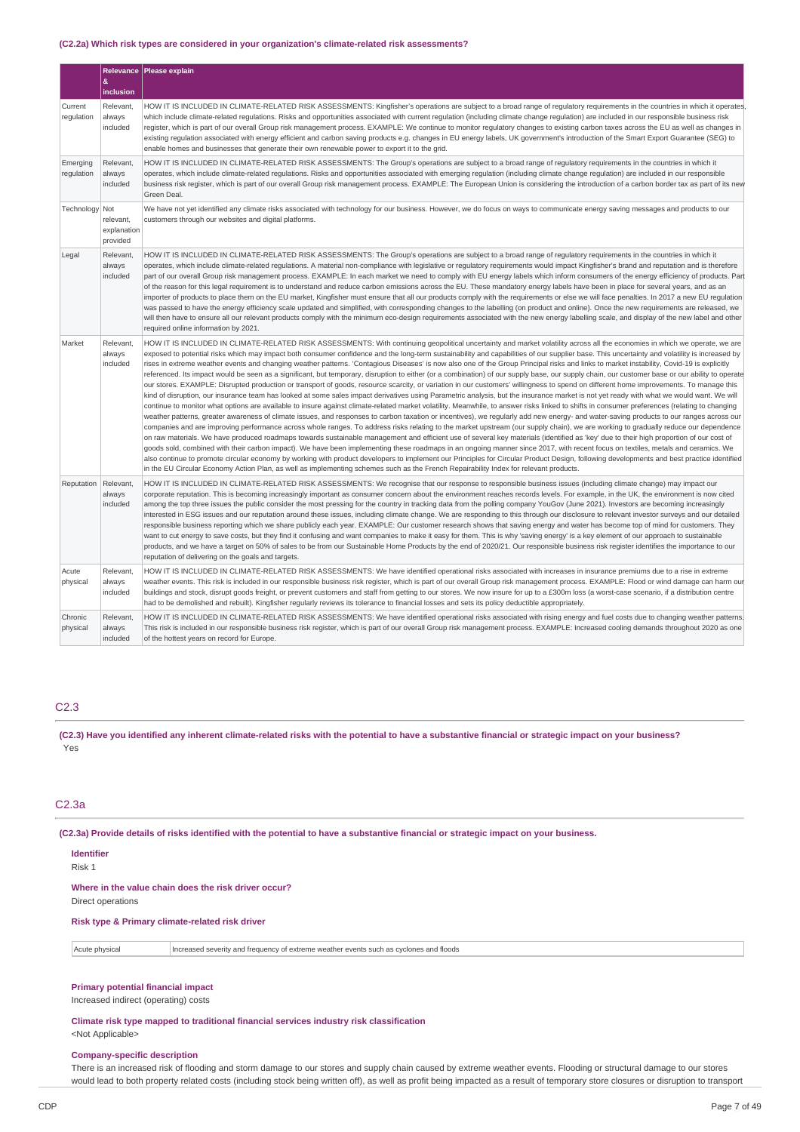#### **(C2.2a) Which risk types are considered in your organization's climate-related risk assessments?**

|                        |                                      | Relevance   Please explain                                                                                                                                                                                                                                                                                                                                                                                                                                                                                                                                                                                                                                                                                                                                                                                                                                                                                                                                                                                                                                                                                                                                                                                                                                                                                                                                                                                                                                                                                                                                                                                                                                                                                                                                                                                                                                                                                                                                                                                                                                                                                                                                                                                                                                                                                                                                                                                                                                               |
|------------------------|--------------------------------------|--------------------------------------------------------------------------------------------------------------------------------------------------------------------------------------------------------------------------------------------------------------------------------------------------------------------------------------------------------------------------------------------------------------------------------------------------------------------------------------------------------------------------------------------------------------------------------------------------------------------------------------------------------------------------------------------------------------------------------------------------------------------------------------------------------------------------------------------------------------------------------------------------------------------------------------------------------------------------------------------------------------------------------------------------------------------------------------------------------------------------------------------------------------------------------------------------------------------------------------------------------------------------------------------------------------------------------------------------------------------------------------------------------------------------------------------------------------------------------------------------------------------------------------------------------------------------------------------------------------------------------------------------------------------------------------------------------------------------------------------------------------------------------------------------------------------------------------------------------------------------------------------------------------------------------------------------------------------------------------------------------------------------------------------------------------------------------------------------------------------------------------------------------------------------------------------------------------------------------------------------------------------------------------------------------------------------------------------------------------------------------------------------------------------------------------------------------------------------|
|                        | $\pmb{\&}$<br>inclusion              |                                                                                                                                                                                                                                                                                                                                                                                                                                                                                                                                                                                                                                                                                                                                                                                                                                                                                                                                                                                                                                                                                                                                                                                                                                                                                                                                                                                                                                                                                                                                                                                                                                                                                                                                                                                                                                                                                                                                                                                                                                                                                                                                                                                                                                                                                                                                                                                                                                                                          |
| Current<br>regulation  | Relevant,<br>always<br>included      | HOW IT IS INCLUDED IN CLIMATE-RELATED RISK ASSESSMENTS: Kingfisher's operations are subject to a broad range of regulatory requirements in the countries in which it operates,<br>which include climate-related regulations. Risks and opportunities associated with current regulation (including climate change regulation) are included in our responsible business risk<br>register, which is part of our overall Group risk management process. EXAMPLE: We continue to monitor regulatory changes to existing carbon taxes across the EU as well as changes in<br>existing regulation associated with energy efficient and carbon saving products e.g. changes in EU energy labels, UK government's introduction of the Smart Export Guarantee (SEG) to<br>enable homes and businesses that generate their own renewable power to export it to the grid.                                                                                                                                                                                                                                                                                                                                                                                                                                                                                                                                                                                                                                                                                                                                                                                                                                                                                                                                                                                                                                                                                                                                                                                                                                                                                                                                                                                                                                                                                                                                                                                                           |
| Emerging<br>regulation | Relevant,<br>always<br>included      | HOW IT IS INCLUDED IN CLIMATE-RELATED RISK ASSESSMENTS: The Group's operations are subject to a broad range of regulatory requirements in the countries in which it<br>operates, which include climate-related regulations. Risks and opportunities associated with emerging regulation (including climate change regulation) are included in our responsible<br>business risk register, which is part of our overall Group risk management process. EXAMPLE: The European Union is considering the introduction of a carbon border tax as part of its new<br>Green Deal.                                                                                                                                                                                                                                                                                                                                                                                                                                                                                                                                                                                                                                                                                                                                                                                                                                                                                                                                                                                                                                                                                                                                                                                                                                                                                                                                                                                                                                                                                                                                                                                                                                                                                                                                                                                                                                                                                                |
| Technology Not         | relevant,<br>explanation<br>provided | We have not yet identified any climate risks associated with technology for our business. However, we do focus on ways to communicate energy saving messages and products to our<br>customers through our websites and digital platforms.                                                                                                                                                                                                                                                                                                                                                                                                                                                                                                                                                                                                                                                                                                                                                                                                                                                                                                                                                                                                                                                                                                                                                                                                                                                                                                                                                                                                                                                                                                                                                                                                                                                                                                                                                                                                                                                                                                                                                                                                                                                                                                                                                                                                                                |
| Legal                  | Relevant,<br>always<br>included      | HOW IT IS INCLUDED IN CLIMATE-RELATED RISK ASSESSMENTS: The Group's operations are subject to a broad range of regulatory requirements in the countries in which it<br>operates, which include climate-related regulations. A material non-compliance with legislative or regulatory requirements would impact Kingfisher's brand and reputation and is therefore<br>part of our overall Group risk management process. EXAMPLE: In each market we need to comply with EU energy labels which inform consumers of the energy efficiency of products. Part<br>of the reason for this legal requirement is to understand and reduce carbon emissions across the EU. These mandatory energy labels have been in place for several years, and as an<br>importer of products to place them on the EU market, Kingfisher must ensure that all our products comply with the requirements or else we will face penalties. In 2017 a new EU regulation<br>was passed to have the energy efficiency scale updated and simplified, with corresponding changes to the labelling (on product and online). Once the new requirements are released, we<br>will then have to ensure all our relevant products comply with the minimum eco-design requirements associated with the new energy labelling scale, and display of the new label and other<br>required online information by 2021.                                                                                                                                                                                                                                                                                                                                                                                                                                                                                                                                                                                                                                                                                                                                                                                                                                                                                                                                                                                                                                                                                             |
| Market                 | Relevant,<br>always<br>included      | HOW IT IS INCLUDED IN CLIMATE-RELATED RISK ASSESSMENTS: With continuing geopolitical uncertainty and market volatility across all the economies in which we operate, we are<br>exposed to potential risks which may impact both consumer confidence and the long-term sustainability and capabilities of our supplier base. This uncertainty and volatility is increased by<br>rises in extreme weather events and changing weather patterns. 'Contagious Diseases' is now also one of the Group Principal risks and links to market instability, Covid-19 is explicitly<br>referenced. Its impact would be seen as a significant, but temporary, disruption to either (or a combination) of our supply base, our supply chain, our customer base or our ability to operate<br>our stores. EXAMPLE: Disrupted production or transport of goods, resource scarcity, or variation in our customers' willingness to spend on different home improvements. To manage this<br>kind of disruption, our insurance team has looked at some sales impact derivatives using Parametric analysis, but the insurance market is not yet ready with what we would want. We will<br>continue to monitor what options are available to insure against climate-related market volatility. Meanwhile, to answer risks linked to shifts in consumer preferences (relating to changing<br>weather patterns, greater awareness of climate issues, and responses to carbon taxation or incentives), we regularly add new energy- and water-saving products to our ranges across our<br>companies and are improving performance across whole ranges. To address risks relating to the market upstream (our supply chain), we are working to gradually reduce our dependence<br>on raw materials. We have produced roadmaps towards sustainable management and efficient use of several key materials (identified as 'key' due to their high proportion of our cost of<br>goods sold, combined with their carbon impact). We have been implementing these roadmaps in an ongoing manner since 2017, with recent focus on textiles, metals and ceramics. We<br>also continue to promote circular economy by working with product developers to implement our Principles for Circular Product Design, following developments and best practice identified<br>in the EU Circular Economy Action Plan, as well as implementing schemes such as the French Repairability Index for relevant products. |
| Reputation             | Relevant,<br>always<br>included      | HOW IT IS INCLUDED IN CLIMATE-RELATED RISK ASSESSMENTS: We recognise that our response to responsible business issues (including climate change) may impact our<br>corporate reputation. This is becoming increasingly important as consumer concern about the environment reaches records levels. For example, in the UK, the environment is now cited<br>among the top three issues the public consider the most pressing for the country in tracking data from the polling company YouGov (June 2021). Investors are becoming increasingly<br>interested in ESG issues and our reputation around these issues, including climate change. We are responding to this through our disclosure to relevant investor surveys and our detailed<br>responsible business reporting which we share publicly each year. EXAMPLE: Our customer research shows that saving energy and water has become top of mind for customers. They<br>want to cut energy to save costs, but they find it confusing and want companies to make it easy for them. This is why 'saving energy' is a key element of our approach to sustainable<br>products, and we have a target on 50% of sales to be from our Sustainable Home Products by the end of 2020/21. Our responsible business risk register identifies the importance to our<br>reputation of delivering on the goals and targets.                                                                                                                                                                                                                                                                                                                                                                                                                                                                                                                                                                                                                                                                                                                                                                                                                                                                                                                                                                                                                                                                                                    |
| Acute<br>physical      | Relevant,<br>always<br>included      | HOW IT IS INCLUDED IN CLIMATE-RELATED RISK ASSESSMENTS: We have identified operational risks associated with increases in insurance premiums due to a rise in extreme<br>weather events. This risk is included in our responsible business risk register, which is part of our overall Group risk management process. EXAMPLE: Flood or wind damage can harm our<br>buildings and stock, disrupt goods freight, or prevent customers and staff from getting to our stores. We now insure for up to a £300m loss (a worst-case scenario, if a distribution centre<br>had to be demolished and rebuilt). Kingfisher regularly reviews its tolerance to financial losses and sets its policy deductible appropriately.                                                                                                                                                                                                                                                                                                                                                                                                                                                                                                                                                                                                                                                                                                                                                                                                                                                                                                                                                                                                                                                                                                                                                                                                                                                                                                                                                                                                                                                                                                                                                                                                                                                                                                                                                      |
| Chronic<br>physical    | Relevant,<br>always<br>included      | HOW IT IS INCLUDED IN CLIMATE-RELATED RISK ASSESSMENTS: We have identified operational risks associated with rising energy and fuel costs due to changing weather patterns.<br>This risk is included in our responsible business risk register, which is part of our overall Group risk management process. EXAMPLE: Increased cooling demands throughout 2020 as one<br>of the hottest years on record for Europe.                                                                                                                                                                                                                                                                                                                                                                                                                                                                                                                                                                                                                                                                                                                                                                                                                                                                                                                                                                                                                                                                                                                                                                                                                                                                                                                                                                                                                                                                                                                                                                                                                                                                                                                                                                                                                                                                                                                                                                                                                                                      |

### C2.3

(C2.3) Have you identified any inherent climate-related risks with the potential to have a substantive financial or strategic impact on your business? Yes

### C2.3a

(C2.3a) Provide details of risks identified with the potential to have a substantive financial or strategic impact on your business.

#### **Identifier** Risk 1

**Where in the value chain does the risk driver occur?**

Direct operations

### **Risk type & Primary climate-related risk driver**

Acute physical Increased severity and frequency of extreme weather events such as cyclones and floods

### **Primary potential financial impact**

Increased indirect (operating) costs

### **Climate risk type mapped to traditional financial services industry risk classification** <Not Applicable>

# **Company-specific description**

There is an increased risk of flooding and storm damage to our stores and supply chain caused by extreme weather events. Flooding or structural damage to our stores would lead to both property related costs (including stock being written off), as well as profit being impacted as a result of temporary store closures or disruption to transport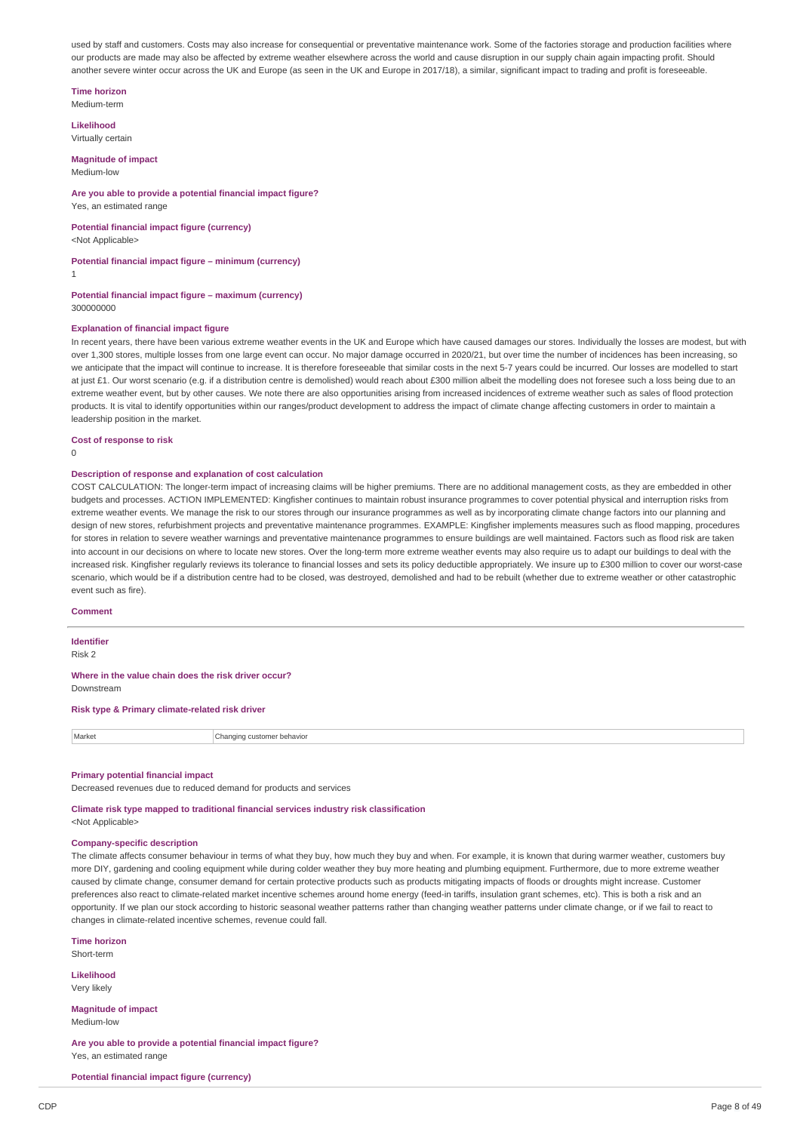used by staff and customers. Costs may also increase for consequential or preventative maintenance work. Some of the factories storage and production facilities where our products are made may also be affected by extreme weather elsewhere across the world and cause disruption in our supply chain again impacting profit. Should another severe winter occur across the UK and Europe (as seen in the UK and Europe in 2017/18), a similar, significant impact to trading and profit is foreseeable.

**Time horizon**

Medium-term

**Likelihood** Virtually certain

#### **Magnitude of impact**

Medium-low

#### **Are you able to provide a potential financial impact figure?** Yes, an estimated range

**Potential financial impact figure (currency)** <Not Applicable>

# **Potential financial impact figure – minimum (currency)**

1

#### **Potential financial impact figure – maximum (currency)** 300000000

### **Explanation of financial impact figure**

In recent years, there have been various extreme weather events in the UK and Europe which have caused damages our stores. Individually the losses are modest, but with over 1,300 stores, multiple losses from one large event can occur. No major damage occurred in 2020/21, but over time the number of incidences has been increasing, so we anticipate that the impact will continue to increase. It is therefore foreseeable that similar costs in the next 5-7 years could be incurred. Our losses are modelled to start at just £1. Our worst scenario (e.g. if a distribution centre is demolished) would reach about £300 million albeit the modelling does not foresee such a loss being due to an extreme weather event, but by other causes. We note there are also opportunities arising from increased incidences of extreme weather such as sales of flood protection products. It is vital to identify opportunities within our ranges/product development to address the impact of climate change affecting customers in order to maintain a leadership position in the market.

#### **Cost of response to risk**

 $\Omega$ 

#### **Description of response and explanation of cost calculation**

COST CALCULATION: The longer-term impact of increasing claims will be higher premiums. There are no additional management costs, as they are embedded in other budgets and processes. ACTION IMPLEMENTED: Kingfisher continues to maintain robust insurance programmes to cover potential physical and interruption risks from extreme weather events. We manage the risk to our stores through our insurance programmes as well as by incorporating climate change factors into our planning and design of new stores, refurbishment projects and preventative maintenance programmes. EXAMPLE: Kingfisher implements measures such as flood mapping, procedures for stores in relation to severe weather warnings and preventative maintenance programmes to ensure buildings are well maintained. Factors such as flood risk are taken into account in our decisions on where to locate new stores. Over the long-term more extreme weather events may also require us to adapt our buildings to deal with the increased risk. Kingfisher regularly reviews its tolerance to financial losses and sets its policy deductible appropriately. We insure up to £300 million to cover our worst-case scenario, which would be if a distribution centre had to be closed, was destroyed, demolished and had to be rebuilt (whether due to extreme weather or other catastrophic event such as fire).

#### **Comment**

### **Identifier**

Risk 2

#### **Where in the value chain does the risk driver occur?** Downstream

#### **Risk type & Primary climate-related risk driver**

| Market | behavio<br>na′<br>nnnn.<br>ustomer |
|--------|------------------------------------|
|        |                                    |

#### **Primary potential financial impact**

Decreased revenues due to reduced demand for products and services

**Climate risk type mapped to traditional financial services industry risk classification** <Not Applicable>

#### **Company-specific description**

The climate affects consumer behaviour in terms of what they buy, how much they buy and when. For example, it is known that during warmer weather, customers buy more DIY, gardening and cooling equipment while during colder weather they buy more heating and plumbing equipment. Furthermore, due to more extreme weather caused by climate change, consumer demand for certain protective products such as products mitigating impacts of floods or droughts might increase. Customer preferences also react to climate-related market incentive schemes around home energy (feed-in tariffs, insulation grant schemes, etc). This is both a risk and an opportunity. If we plan our stock according to historic seasonal weather patterns rather than changing weather patterns under climate change, or if we fail to react to changes in climate-related incentive schemes, revenue could fall.

#### **Time horizon**

Short-term

**Likelihood** Very likely

**Magnitude of impact** Medium-low

**Are you able to provide a potential financial impact figure?** Yes, an estimated range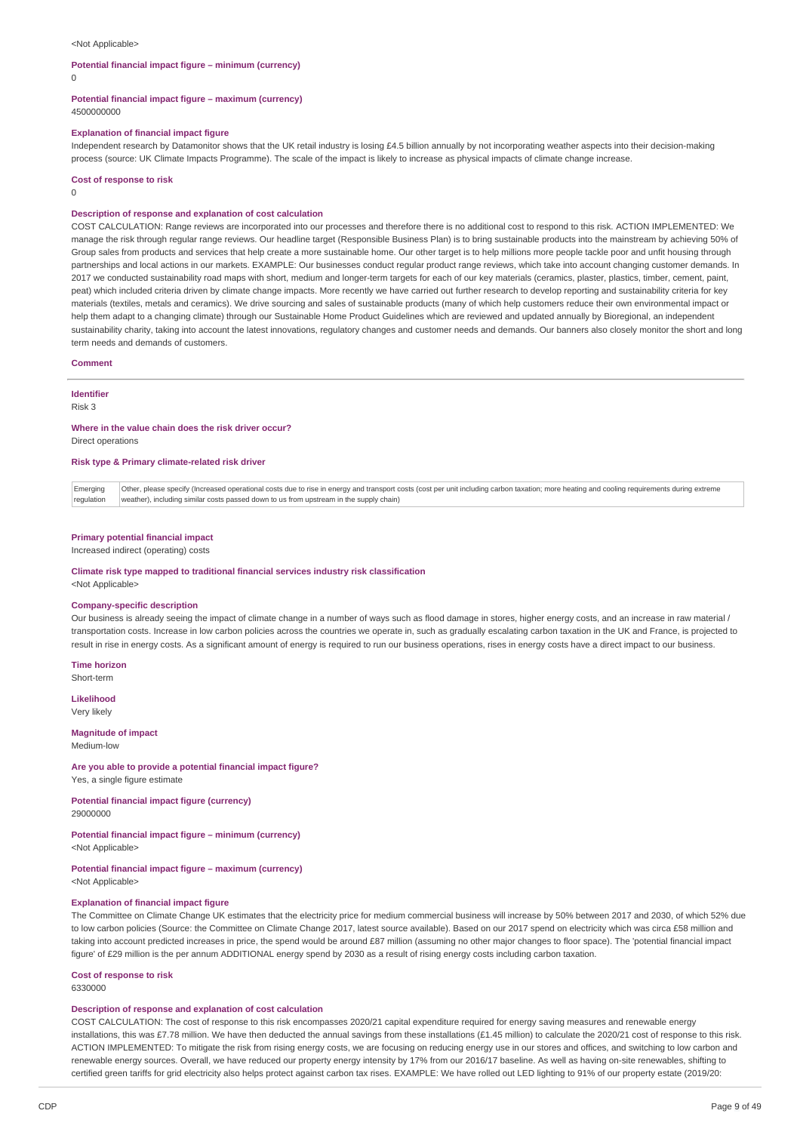#### <Not Applicable>

#### **Potential financial impact figure – minimum (currency)**

 $\Omega$ 

### **Potential financial impact figure – maximum (currency)**

4500000000

### **Explanation of financial impact figure**

Independent research by Datamonitor shows that the UK retail industry is losing £4.5 billion annually by not incorporating weather aspects into their decision-making process (source: UK Climate Impacts Programme). The scale of the impact is likely to increase as physical impacts of climate change increase.

#### **Cost of response to risk**

0

#### **Description of response and explanation of cost calculation**

COST CALCULATION: Range reviews are incorporated into our processes and therefore there is no additional cost to respond to this risk. ACTION IMPLEMENTED: We manage the risk through regular range reviews. Our headline target (Responsible Business Plan) is to bring sustainable products into the mainstream by achieving 50% of Group sales from products and services that help create a more sustainable home. Our other target is to help millions more people tackle poor and unfit housing through partnerships and local actions in our markets. EXAMPLE: Our businesses conduct regular product range reviews, which take into account changing customer demands. In 2017 we conducted sustainability road maps with short, medium and longer-term targets for each of our key materials (ceramics, plaster, plastics, timber, cement, paint, peat) which included criteria driven by climate change impacts. More recently we have carried out further research to develop reporting and sustainability criteria for key materials (textiles, metals and ceramics). We drive sourcing and sales of sustainable products (many of which help customers reduce their own environmental impact or help them adapt to a changing climate) through our Sustainable Home Product Guidelines which are reviewed and updated annually by Bioregional, an independent sustainability charity, taking into account the latest innovations, regulatory changes and customer needs and demands. Our banners also closely monitor the short and long term needs and demands of customers.

#### **Comment**

#### **Identifier**

Risk 3

# **Where in the value chain does the risk driver occur?**

Direct operations

### **Risk type & Primary climate-related risk driver**

Emerging | regulation Other, please specify (Increased operational costs due to rise in energy and transport costs (cost per unit including carbon taxation; more heating and cooling requirements during extreme weather), including similar costs passed down to us from upstream in the supply chain)

#### **Primary potential financial impact**

Increased indirect (operating) costs

#### **Climate risk type mapped to traditional financial services industry risk classification** <Not Applicable>

#### **Company-specific description**

Our business is already seeing the impact of climate change in a number of ways such as flood damage in stores, higher energy costs, and an increase in raw material / transportation costs. Increase in low carbon policies across the countries we operate in, such as gradually escalating carbon taxation in the UK and France, is projected to result in rise in energy costs. As a significant amount of energy is required to run our business operations, rises in energy costs have a direct impact to our business.

**Time horizon** Short-term

**Likelihood**

Very likely

#### **Magnitude of impact** Medium-low

#### **Are you able to provide a potential financial impact figure?**

Yes, a single figure estimate

**Potential financial impact figure (currency)** 29000000

#### **Potential financial impact figure – minimum (currency)** <Not Applicable>

### **Potential financial impact figure – maximum (currency)**

<Not Applicable>

### **Explanation of financial impact figure**

The Committee on Climate Change UK estimates that the electricity price for medium commercial business will increase by 50% between 2017 and 2030, of which 52% due to low carbon policies (Source: the Committee on Climate Change 2017, latest source available). Based on our 2017 spend on electricity which was circa £58 million and taking into account predicted increases in price, the spend would be around £87 million (assuming no other major changes to floor space). The 'potential financial impact figure' of £29 million is the per annum ADDITIONAL energy spend by 2030 as a result of rising energy costs including carbon taxation.

# **Cost of response to risk**

6330000

### **Description of response and explanation of cost calculation**

COST CALCULATION: The cost of response to this risk encompasses 2020/21 capital expenditure required for energy saving measures and renewable energy installations, this was £7.78 million. We have then deducted the annual savings from these installations (£1.45 million) to calculate the 2020/21 cost of response to this risk. ACTION IMPLEMENTED: To mitigate the risk from rising energy costs, we are focusing on reducing energy use in our stores and offices, and switching to low carbon and renewable energy sources. Overall, we have reduced our property energy intensity by 17% from our 2016/17 baseline. As well as having on-site renewables, shifting to certified green tariffs for grid electricity also helps protect against carbon tax rises. EXAMPLE: We have rolled out LED lighting to 91% of our property estate (2019/20: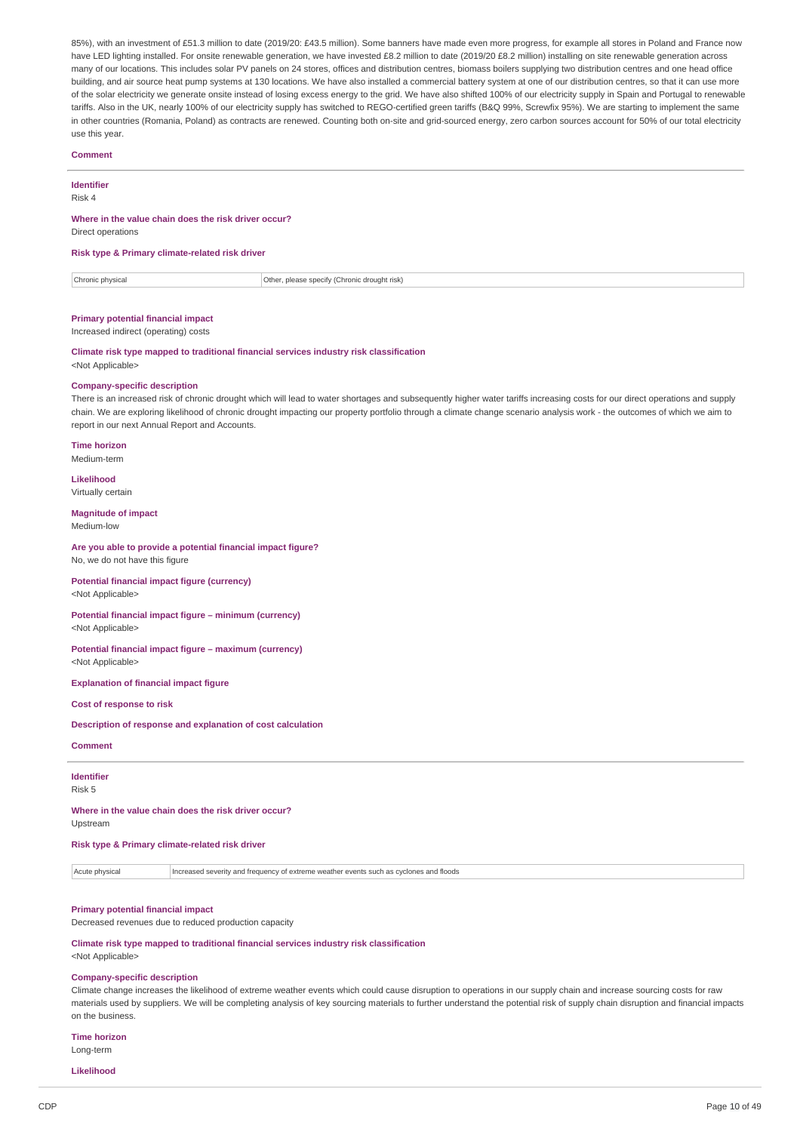85%), with an investment of £51.3 million to date (2019/20: £43.5 million). Some banners have made even more progress, for example all stores in Poland and France now have LED lighting installed. For onsite renewable generation, we have invested £8.2 million to date (2019/20 £8.2 million) installing on site renewable generation across many of our locations. This includes solar PV panels on 24 stores, offices and distribution centres, biomass boilers supplying two distribution centres and one head office building, and air source heat pump systems at 130 locations. We have also installed a commercial battery system at one of our distribution centres, so that it can use more of the solar electricity we generate onsite instead of losing excess energy to the grid. We have also shifted 100% of our electricity supply in Spain and Portugal to renewable tariffs. Also in the UK, nearly 100% of our electricity supply has switched to REGO-certified green tariffs (B&Q 99%, Screwfix 95%). We are starting to implement the same in other countries (Romania, Poland) as contracts are renewed. Counting both on-site and grid-sourced energy, zero carbon sources account for 50% of our total electricity use this year.

### **Comment**

**Identifier**

Risk 4

### **Where in the value chain does the risk driver occur?**

Direct operations

#### **Risk type & Primary climate-related risk driver**

Chronic physical Other, please specify (Chronic drought risk)

### **Primary potential financial impact**

Increased indirect (operating) costs

#### **Climate risk type mapped to traditional financial services industry risk classification** <Not Applicable>

#### **Company-specific description**

There is an increased risk of chronic drought which will lead to water shortages and subsequently higher water tariffs increasing costs for our direct operations and supply chain. We are exploring likelihood of chronic drought impacting our property portfolio through a climate change scenario analysis work - the outcomes of which we aim to report in our next Annual Report and Accounts.

### **Time horizon**

Medium-term

**Likelihood** Virtually certain

#### **Magnitude of impact**

Medium-low

#### **Are you able to provide a potential financial impact figure?** No, we do not have this figure

**Potential financial impact figure (currency)** <Not Applicable>

**Potential financial impact figure – minimum (currency)** <Not Applicable>

#### **Potential financial impact figure – maximum (currency)** <Not Applicable>

**Explanation of financial impact figure**

#### **Cost of response to risk**

**Description of response and explanation of cost calculation**

#### **Comment**

**Identifier**

# Risk 5

**Where in the value chain does the risk driver occur?** Upstream

**Risk type & Primary climate-related risk driver**

Acute physical Increased severity and frequency of extreme weather events such as cyclones and floods

### **Primary potential financial impact**

Decreased revenues due to reduced production capacity

**Climate risk type mapped to traditional financial services industry risk classification** <Not Applicable>

#### **Company-specific description**

Climate change increases the likelihood of extreme weather events which could cause disruption to operations in our supply chain and increase sourcing costs for raw materials used by suppliers. We will be completing analysis of key sourcing materials to further understand the potential risk of supply chain disruption and financial impacts on the business.

**Time horizon** Long-term

**Likelihood**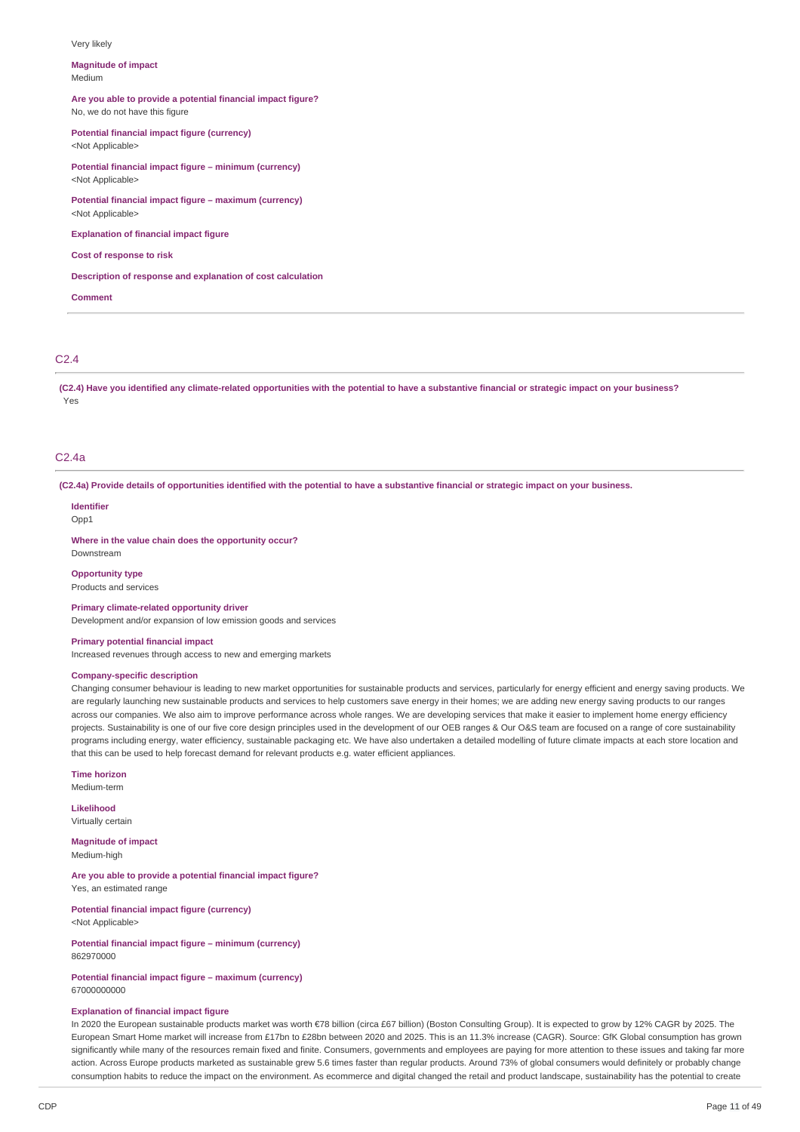#### Very likely

#### **Magnitude of impact** Medium

#### **Are you able to provide a potential financial impact figure?** No, we do not have this figure

**Potential financial impact figure (currency)**

<Not Applicable>

**Potential financial impact figure – minimum (currency)** <Not Applicable>

**Potential financial impact figure – maximum (currency)** <Not Applicable>

**Explanation of financial impact figure**

### **Cost of response to risk**

### **Description of response and explanation of cost calculation**

**Comment**

### C2.4

(C2.4) Have you identified any climate-related opportunities with the potential to have a substantive financial or strategic impact on your business? Yes

#### C2.4a

(C2.4a) Provide details of opportunities identified with the potential to have a substantive financial or strategic impact on your business.

### **Identifier**

Opp1

**Where in the value chain does the opportunity occur?** Downstream

**Opportunity type** Products and services

#### **Primary climate-related opportunity driver**

Development and/or expansion of low emission goods and services

### **Primary potential financial impact**

Increased revenues through access to new and emerging markets

#### **Company-specific description**

Changing consumer behaviour is leading to new market opportunities for sustainable products and services, particularly for energy efficient and energy saving products. We are regularly launching new sustainable products and services to help customers save energy in their homes; we are adding new energy saving products to our ranges across our companies. We also aim to improve performance across whole ranges. We are developing services that make it easier to implement home energy efficiency projects. Sustainability is one of our five core design principles used in the development of our OEB ranges & Our O&S team are focused on a range of core sustainability programs including energy, water efficiency, sustainable packaging etc. We have also undertaken a detailed modelling of future climate impacts at each store location and that this can be used to help forecast demand for relevant products e.g. water efficient appliances.

**Time horizon**

Medium-term

**Likelihood** Virtually certain

**Magnitude of impact**

Medium-high

**Are you able to provide a potential financial impact figure?** Yes, an estimated range

**Potential financial impact figure (currency)** <Not Applicable>

**Potential financial impact figure – minimum (currency)** 862970000

### **Potential financial impact figure – maximum (currency)** 67000000000

### **Explanation of financial impact figure**

In 2020 the European sustainable products market was worth €78 billion (circa £67 billion) (Boston Consulting Group). It is expected to grow by 12% CAGR by 2025. The European Smart Home market will increase from £17bn to £28bn between 2020 and 2025. This is an 11.3% increase (CAGR). Source: GfK Global consumption has grown significantly while many of the resources remain fixed and finite. Consumers, governments and employees are paying for more attention to these issues and taking far more action. Across Europe products marketed as sustainable grew 5.6 times faster than regular products. Around 73% of global consumers would definitely or probably change consumption habits to reduce the impact on the environment. As ecommerce and digital changed the retail and product landscape, sustainability has the potential to create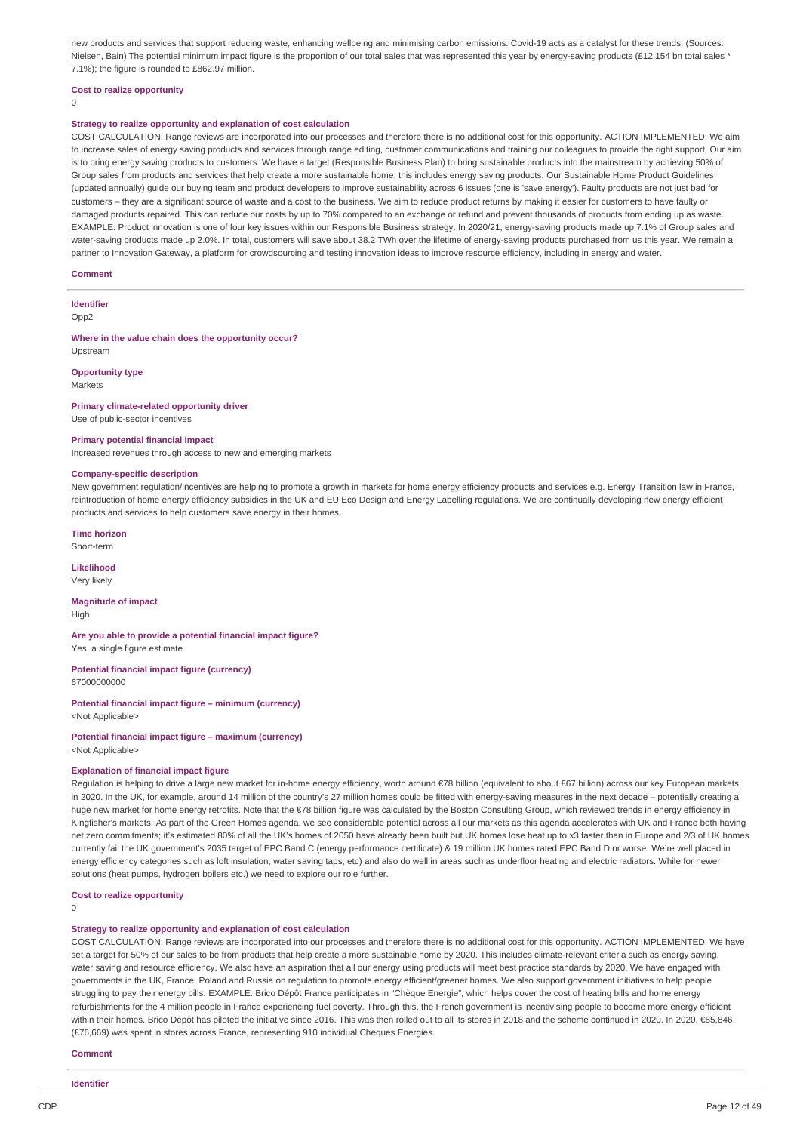new products and services that support reducing waste, enhancing wellbeing and minimising carbon emissions. Covid-19 acts as a catalyst for these trends. (Sources: Nielsen, Bain) The potential minimum impact figure is the proportion of our total sales that was represented this year by energy-saving products (£12.154 bn total sales \* 7.1%); the figure is rounded to £862.97 million.

#### **Cost to realize opportunity**

 $\Omega$ 

#### **Strategy to realize opportunity and explanation of cost calculation**

COST CALCULATION: Range reviews are incorporated into our processes and therefore there is no additional cost for this opportunity. ACTION IMPLEMENTED: We aim to increase sales of energy saving products and services through range editing, customer communications and training our colleagues to provide the right support. Our aim is to bring energy saving products to customers. We have a target (Responsible Business Plan) to bring sustainable products into the mainstream by achieving 50% of Group sales from products and services that help create a more sustainable home, this includes energy saving products. Our Sustainable Home Product Guidelines (updated annually) guide our buying team and product developers to improve sustainability across 6 issues (one is 'save energy'). Faulty products are not just bad for customers – they are a significant source of waste and a cost to the business. We aim to reduce product returns by making it easier for customers to have faulty or damaged products repaired. This can reduce our costs by up to 70% compared to an exchange or refund and prevent thousands of products from ending up as waste. EXAMPLE: Product innovation is one of four key issues within our Responsible Business strategy. In 2020/21, energy-saving products made up 7.1% of Group sales and water-saving products made up 2.0%. In total, customers will save about 38.2 TWh over the lifetime of energy-saving products purchased from us this year. We remain a partner to Innovation Gateway, a platform for crowdsourcing and testing innovation ideas to improve resource efficiency, including in energy and water.

#### **Comment**

**Identifier**

Opp<sub>2</sub>

#### **Where in the value chain does the opportunity occur?** Upstream

**Opportunity type** Markets

### **Primary climate-related opportunity driver** Use of public-sector incentives

### **Primary potential financial impact**

Increased revenues through access to new and emerging markets

#### **Company-specific description**

New government regulation/incentives are helping to promote a growth in markets for home energy efficiency products and services e.g. Energy Transition law in France, reintroduction of home energy efficiency subsidies in the UK and EU Eco Design and Energy Labelling regulations. We are continually developing new energy efficient products and services to help customers save energy in their homes.

**Time horizon**

Short-term

**Likelihood** Very likely

### **Magnitude of impact**

High

**Are you able to provide a potential financial impact figure?** Yes, a single figure estimate

**Potential financial impact figure (currency)** 67000000000

**Potential financial impact figure – minimum (currency)** <Not Applicable>

**Potential financial impact figure – maximum (currency)** <Not Applicable>

### **Explanation of financial impact figure**

Regulation is helping to drive a large new market for in-home energy efficiency, worth around €78 billion (equivalent to about £67 billion) across our key European markets in 2020. In the UK, for example, around 14 million of the country's 27 million homes could be fitted with energy-saving measures in the next decade – potentially creating a huge new market for home energy retrofits. Note that the €78 billion figure was calculated by the Boston Consulting Group, which reviewed trends in energy efficiency in Kingfisher's markets. As part of the Green Homes agenda, we see considerable potential across all our markets as this agenda accelerates with UK and France both having net zero commitments; it's estimated 80% of all the UK's homes of 2050 have already been built but UK homes lose heat up to x3 faster than in Europe and 2/3 of UK homes currently fail the UK government's 2035 target of EPC Band C (energy performance certificate) & 19 million UK homes rated EPC Band D or worse. We're well placed in energy efficiency categories such as loft insulation, water saving taps, etc) and also do well in areas such as underfloor heating and electric radiators. While for newer solutions (heat pumps, hydrogen boilers etc.) we need to explore our role further.

#### **Cost to realize opportunity**

 $\theta$ 

#### **Strategy to realize opportunity and explanation of cost calculation**

COST CALCULATION: Range reviews are incorporated into our processes and therefore there is no additional cost for this opportunity. ACTION IMPLEMENTED: We have set a target for 50% of our sales to be from products that help create a more sustainable home by 2020. This includes climate-relevant criteria such as energy saving, water saving and resource efficiency. We also have an aspiration that all our energy using products will meet best practice standards by 2020. We have engaged with governments in the UK, France, Poland and Russia on regulation to promote energy efficient/greener homes. We also support government initiatives to help people struggling to pay their energy bills. EXAMPLE: Brico Dépôt France participates in "Chèque Energie", which helps cover the cost of heating bills and home energy refurbishments for the 4 million people in France experiencing fuel poverty. Through this, the French government is incentivising people to become more energy efficient within their homes. Brico Dépôt has piloted the initiative since 2016. This was then rolled out to all its stores in 2018 and the scheme continued in 2020. In 2020, €85,846 (£76,669) was spent in stores across France, representing 910 individual Cheques Energies.

### **Comment**

**Identifier**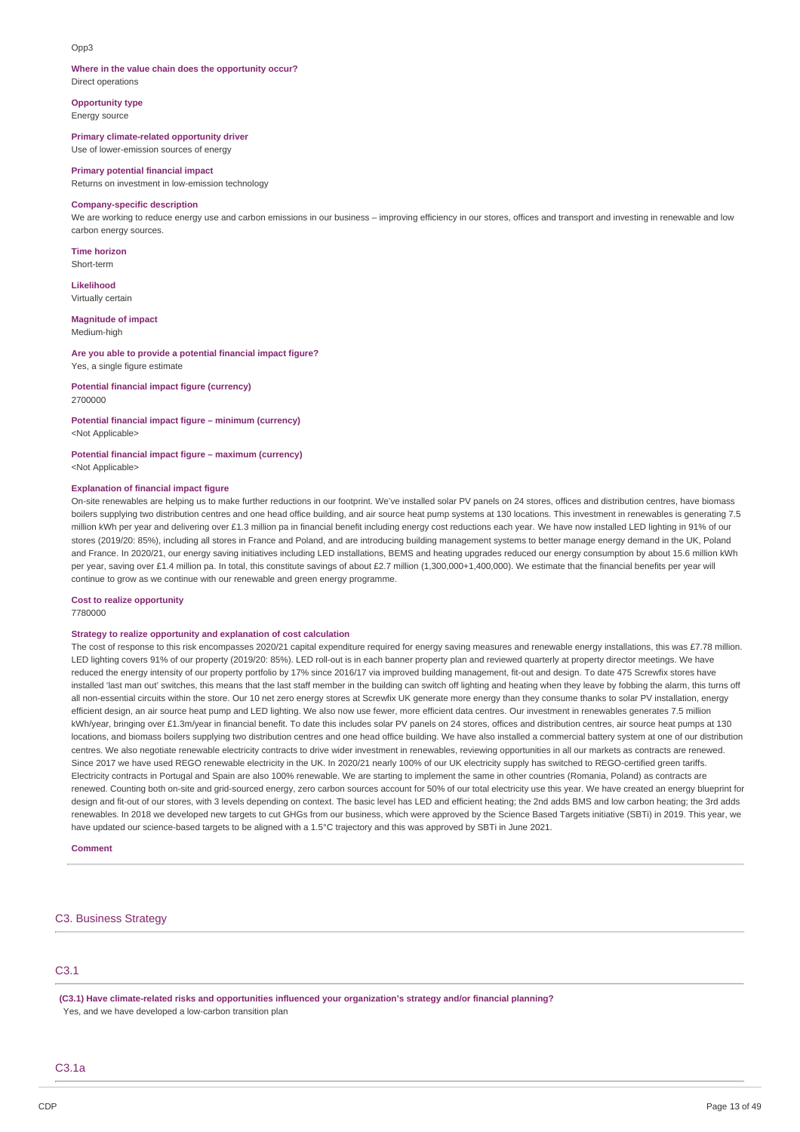### Opp3

#### **Where in the value chain does the opportunity occur?** Direct operations

**Opportunity type** Energy source

**Primary climate-related opportunity driver** Use of lower-emission sources of energy

#### **Primary potential financial impact**

Returns on investment in low-emission technology

#### **Company-specific description**

We are working to reduce energy use and carbon emissions in our business – improving efficiency in our stores, offices and transport and investing in renewable and low carbon energy sources.

**Time horizon** Short-term

**Likelihood** Virtually certain

#### **Magnitude of impact**

Medium-high

#### **Are you able to provide a potential financial impact figure?** Yes, a single figure estimate

**Potential financial impact figure (currency)** 2700000

### **Potential financial impact figure – minimum (currency)**

<Not Applicable>

#### **Potential financial impact figure – maximum (currency)** <Not Applicable>

#### **Explanation of financial impact figure**

On-site renewables are helping us to make further reductions in our footprint. We've installed solar PV panels on 24 stores, offices and distribution centres, have biomass boilers supplying two distribution centres and one head office building, and air source heat pump systems at 130 locations. This investment in renewables is generating 7.5 million kWh per year and delivering over £1.3 million pa in financial benefit including energy cost reductions each year. We have now installed LED lighting in 91% of our stores (2019/20: 85%), including all stores in France and Poland, and are introducing building management systems to better manage energy demand in the UK, Poland and France. In 2020/21, our energy saving initiatives including LED installations, BEMS and heating upgrades reduced our energy consumption by about 15.6 million kWh per year, saving over £1.4 million pa. In total, this constitute savings of about £2.7 million (1,300,000+1,400,000). We estimate that the financial benefits per year will continue to grow as we continue with our renewable and green energy programme.

### **Cost to realize opportunity**

7780000

### **Strategy to realize opportunity and explanation of cost calculation**

The cost of response to this risk encompasses 2020/21 capital expenditure required for energy saving measures and renewable energy installations, this was £7.78 million. LED lighting covers 91% of our property (2019/20: 85%). LED roll-out is in each banner property plan and reviewed quarterly at property director meetings. We have reduced the energy intensity of our property portfolio by 17% since 2016/17 via improved building management, fit-out and design. To date 475 Screwfix stores have installed 'last man out' switches, this means that the last staff member in the building can switch off lighting and heating when they leave by fobbing the alarm, this turns off all non-essential circuits within the store. Our 10 net zero energy stores at Screwfix UK generate more energy than they consume thanks to solar PV installation, energy efficient design, an air source heat pump and LED lighting. We also now use fewer, more efficient data centres. Our investment in renewables generates 7.5 million kWh/year, bringing over £1.3m/year in financial benefit. To date this includes solar PV panels on 24 stores, offices and distribution centres, air source heat pumps at 130 locations, and biomass boilers supplying two distribution centres and one head office building. We have also installed a commercial battery system at one of our distribution centres. We also negotiate renewable electricity contracts to drive wider investment in renewables, reviewing opportunities in all our markets as contracts are renewed. Since 2017 we have used REGO renewable electricity in the UK. In 2020/21 nearly 100% of our UK electricity supply has switched to REGO-certified green tariffs. Electricity contracts in Portugal and Spain are also 100% renewable. We are starting to implement the same in other countries (Romania, Poland) as contracts are renewed. Counting both on-site and grid-sourced energy, zero carbon sources account for 50% of our total electricity use this year. We have created an energy blueprint for design and fit-out of our stores, with 3 levels depending on context. The basic level has LED and efficient heating; the 2nd adds BMS and low carbon heating; the 3rd adds renewables. In 2018 we developed new targets to cut GHGs from our business, which were approved by the Science Based Targets initiative (SBTi) in 2019. This year, we have updated our science-based targets to be aligned with a 1.5°C trajectory and this was approved by SBTi in June 2021.

**Comment**

### C3. Business Strategy

### C3.1

**(C3.1) Have climate-related risks and opportunities influenced your organization's strategy and/or financial planning?** Yes, and we have developed a low-carbon transition plan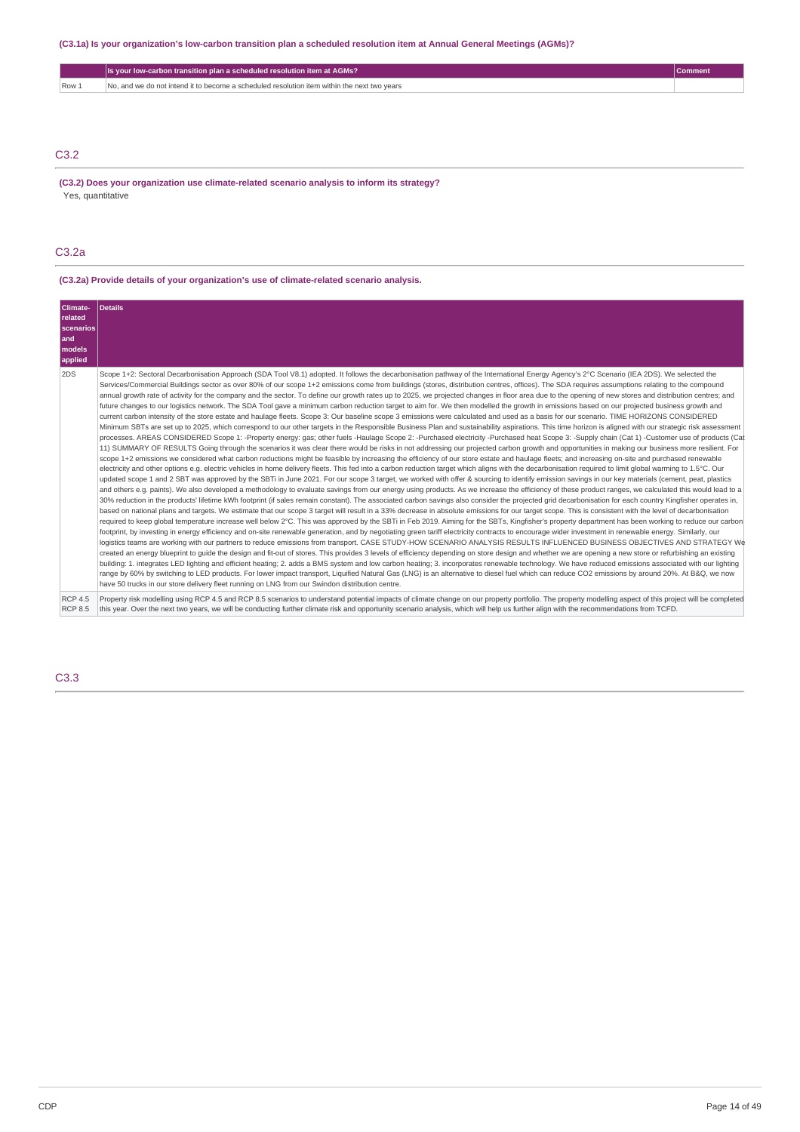### (C3.1a) Is your organization's low-carbon transition plan a scheduled resolution item at Annual General Meetings (AGMs)?

|       | Is your low-carbon transition plan a scheduled resolution item at AGMs?                     | Comment |
|-------|---------------------------------------------------------------------------------------------|---------|
| Row 1 | No, and we do not intend it to become a scheduled resolution item within the next two vears |         |
|       |                                                                                             |         |

# C3.2

**(C3.2) Does your organization use climate-related scenario analysis to inform its strategy?** Yes, quantitative

### C3.2a

# **(C3.2a) Provide details of your organization's use of climate-related scenario analysis.**

| Climate-<br>related<br><b>scenarios</b><br>land<br>models<br>applied | <b>Details</b>                                                                                                                                                                                                                                                                                                                                                                                                                                                                                                                                                                                                                                                                                                                                                                                                                                                                                                                                                                                                                                                                                                                                                                                                                                                                                                                                                                                                                                                                                                                                                                                                                                                                                                                                                                                                                                                                                                                                                                                                                                                                                                                                                                                                                                                                                                                                                                                                                                                                                                                                                                                                                                                                                                                                                                                                                                                                                                                                                                                                                                                                                                                                                                                                                                                                                                                                                                                                                                                                                                                                                                                                                                                                                                                                                                                                                                                                                                                                                                                                                                                                                                                                                                                      |
|----------------------------------------------------------------------|-----------------------------------------------------------------------------------------------------------------------------------------------------------------------------------------------------------------------------------------------------------------------------------------------------------------------------------------------------------------------------------------------------------------------------------------------------------------------------------------------------------------------------------------------------------------------------------------------------------------------------------------------------------------------------------------------------------------------------------------------------------------------------------------------------------------------------------------------------------------------------------------------------------------------------------------------------------------------------------------------------------------------------------------------------------------------------------------------------------------------------------------------------------------------------------------------------------------------------------------------------------------------------------------------------------------------------------------------------------------------------------------------------------------------------------------------------------------------------------------------------------------------------------------------------------------------------------------------------------------------------------------------------------------------------------------------------------------------------------------------------------------------------------------------------------------------------------------------------------------------------------------------------------------------------------------------------------------------------------------------------------------------------------------------------------------------------------------------------------------------------------------------------------------------------------------------------------------------------------------------------------------------------------------------------------------------------------------------------------------------------------------------------------------------------------------------------------------------------------------------------------------------------------------------------------------------------------------------------------------------------------------------------------------------------------------------------------------------------------------------------------------------------------------------------------------------------------------------------------------------------------------------------------------------------------------------------------------------------------------------------------------------------------------------------------------------------------------------------------------------------------------------------------------------------------------------------------------------------------------------------------------------------------------------------------------------------------------------------------------------------------------------------------------------------------------------------------------------------------------------------------------------------------------------------------------------------------------------------------------------------------------------------------------------------------------------------------------------------------------------------------------------------------------------------------------------------------------------------------------------------------------------------------------------------------------------------------------------------------------------------------------------------------------------------------------------------------------------------------------------------------------------------------------------------------------------------|
| 2DS                                                                  | Scope 1+2: Sectoral Decarbonisation Approach (SDA Tool V8.1) adopted. It follows the decarbonisation pathway of the International Energy Agency's 2°C Scenario (IEA 2DS). We selected the<br>Services/Commercial Buildings sector as over 80% of our scope 1+2 emissions come from buildings (stores, distribution centres, offices). The SDA requires assumptions relating to the compound<br>annual growth rate of activity for the company and the sector. To define our growth rates up to 2025, we projected changes in floor area due to the opening of new stores and distribution centres; and<br>future changes to our logistics network. The SDA Tool gave a minimum carbon reduction target to aim for. We then modelled the growth in emissions based on our projected business growth and<br>current carbon intensity of the store estate and haulage fleets. Scope 3: Our baseline scope 3 emissions were calculated and used as a basis for our scenario. TIME HORIZONS CONSIDERED<br>Minimum SBTs are set up to 2025, which correspond to our other targets in the Responsible Business Plan and sustainability aspirations. This time horizon is aligned with our strategic risk assessment<br>processes. AREAS CONSIDERED Scope 1: -Property energy: gas; other fuels -Haulage Scope 2: -Purchased electricity -Purchased heat Scope 3: -Supply chain (Cat 1) -Customer use of products (Cat<br>11) SUMMARY OF RESULTS Going through the scenarios it was clear there would be risks in not addressing our projected carbon growth and opportunities in making our business more resilient. For<br>scope 1+2 emissions we considered what carbon reductions might be feasible by increasing the efficiency of our store estate and haulage fleets; and increasing on-site and purchased renewable<br>electricity and other options e.g. electric vehicles in home delivery fleets. This fed into a carbon reduction target which aligns with the decarbonisation required to limit global warming to 1.5°C. Our<br>updated scope 1 and 2 SBT was approved by the SBTi in June 2021. For our scope 3 target, we worked with offer & sourcing to identify emission savings in our key materials (cement, peat, plastics<br>and others e.g. paints). We also developed a methodology to evaluate savings from our energy using products. As we increase the efficiency of these product ranges, we calculated this would lead to a<br>30% reduction in the products' lifetime kWh footprint (if sales remain constant). The associated carbon savings also consider the projected grid decarbonisation for each country Kingfisher operates in,<br>based on national plans and targets. We estimate that our scope 3 target will result in a 33% decrease in absolute emissions for our target scope. This is consistent with the level of decarbonisation<br>required to keep global temperature increase well below 2°C. This was approved by the SBTi in Feb 2019. Aiming for the SBTs, Kingfisher's property department has been working to reduce our carbon<br>footprint, by investing in energy efficiency and on-site renewable generation, and by negotiating green tariff electricity contracts to encourage wider investment in renewable energy. Similarly, our<br>logistics teams are working with our partners to reduce emissions from transport. CASE STUDY-HOW SCENARIO ANALYSIS RESULTS INFLUENCED BUSINESS OBJECTIVES AND STRATEGY We<br>created an energy blueprint to quide the design and fit-out of stores. This provides 3 levels of efficiency depending on store design and whether we are opening a new store or refurbishing an existing<br>building: 1. integrates LED lighting and efficient heating; 2. adds a BMS system and low carbon heating; 3. incorporates renewable technology. We have reduced emissions associated with our lighting<br>range by 60% by switching to LED products. For lower impact transport, Liquified Natural Gas (LNG) is an alternative to diesel fuel which can reduce CO2 emissions by around 20%. At B&O, we now<br>have 50 trucks in our store delivery fleet running on LNG from our Swindon distribution centre. |
| <b>RCP 4.5</b><br><b>RCP 8.5</b>                                     | Property risk modelling using RCP 4.5 and RCP 8.5 scenarios to understand potential impacts of climate change on our property portfolio. The property modelling aspect of this project will be completed<br>this year. Over the next two years, we will be conducting further climate risk and opportunity scenario analysis, which will help us further align with the recommendations from TCFD.                                                                                                                                                                                                                                                                                                                                                                                                                                                                                                                                                                                                                                                                                                                                                                                                                                                                                                                                                                                                                                                                                                                                                                                                                                                                                                                                                                                                                                                                                                                                                                                                                                                                                                                                                                                                                                                                                                                                                                                                                                                                                                                                                                                                                                                                                                                                                                                                                                                                                                                                                                                                                                                                                                                                                                                                                                                                                                                                                                                                                                                                                                                                                                                                                                                                                                                                                                                                                                                                                                                                                                                                                                                                                                                                                                                                  |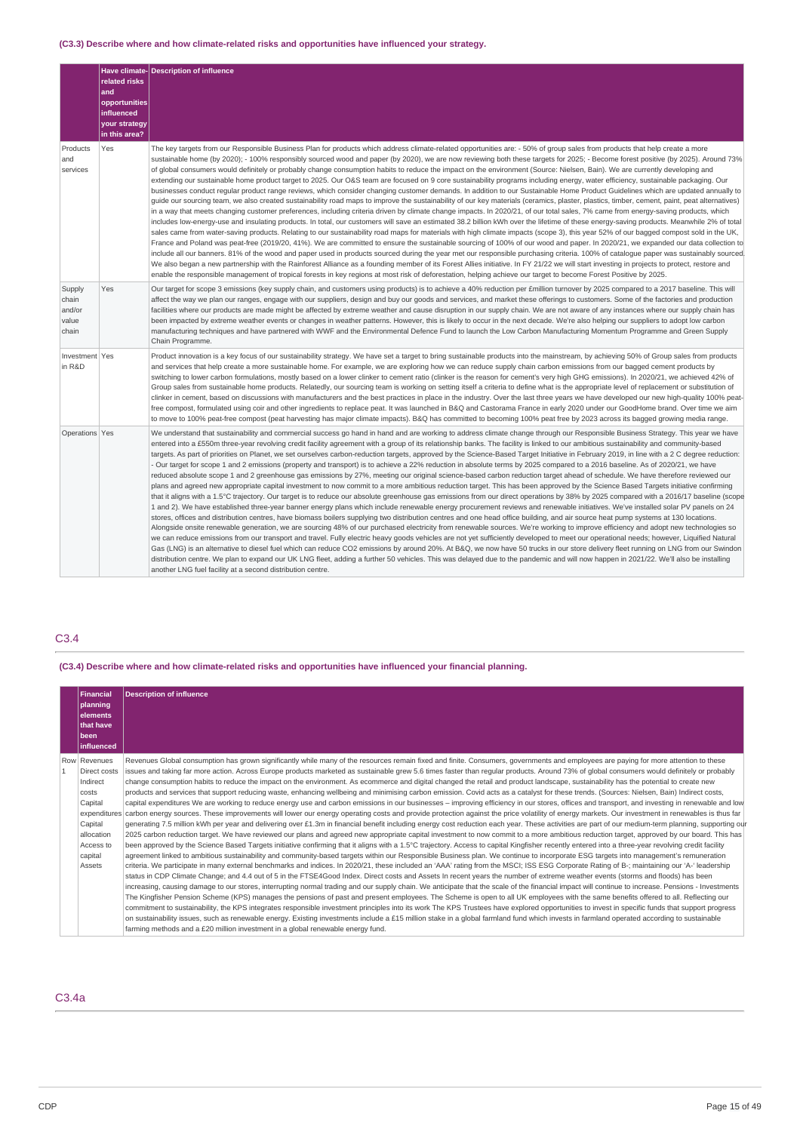### **(C3.3) Describe where and how climate-related risks and opportunities have influenced your strategy.**

|                                             | related risks<br>and<br>opportunities<br>influenced<br>your strategy<br>in this area? | Have climate-Description of influence                                                                                                                                                                                                                                                                                                                                                                                                                                                                                                                                                                                                                                                                                                                                                                                                                                                                                                                                                                                                                                                                                                                                                                                                                                                                                                                                                                                                                                                                                                                                                                                                                                                                                                                                                                                                                                                                                                                                                                                                                                                                                                                                                                                                                                                                                                                                                                                                                                                                                           |
|---------------------------------------------|---------------------------------------------------------------------------------------|---------------------------------------------------------------------------------------------------------------------------------------------------------------------------------------------------------------------------------------------------------------------------------------------------------------------------------------------------------------------------------------------------------------------------------------------------------------------------------------------------------------------------------------------------------------------------------------------------------------------------------------------------------------------------------------------------------------------------------------------------------------------------------------------------------------------------------------------------------------------------------------------------------------------------------------------------------------------------------------------------------------------------------------------------------------------------------------------------------------------------------------------------------------------------------------------------------------------------------------------------------------------------------------------------------------------------------------------------------------------------------------------------------------------------------------------------------------------------------------------------------------------------------------------------------------------------------------------------------------------------------------------------------------------------------------------------------------------------------------------------------------------------------------------------------------------------------------------------------------------------------------------------------------------------------------------------------------------------------------------------------------------------------------------------------------------------------------------------------------------------------------------------------------------------------------------------------------------------------------------------------------------------------------------------------------------------------------------------------------------------------------------------------------------------------------------------------------------------------------------------------------------------------|
| Products<br>and<br>services                 | Yes                                                                                   | The key targets from our Responsible Business Plan for products which address climate-related opportunities are: - 50% of group sales from products that help create a more<br>sustainable home (by 2020); - 100% responsibly sourced wood and paper (by 2020), we are now reviewing both these targets for 2025; - Become forest positive (by 2025). Around 73%<br>of global consumers would definitely or probably change consumption habits to reduce the impact on the environment (Source: Nielsen, Bain). We are currently developing and<br>extending our sustainable home product target to 2025. Our O&S team are focused on 9 core sustainability programs including energy, water efficiency, sustainable packaging. Our<br>businesses conduct regular product range reviews, which consider changing customer demands. In addition to our Sustainable Home Product Guidelines which are updated annually to<br>guide our sourcing team, we also created sustainability road maps to improve the sustainability of our key materials (ceramics, plaster, plastics, timber, cement, paint, peat alternatives)<br>in a way that meets changing customer preferences, including criteria driven by climate change impacts. In 2020/21, of our total sales, 7% came from energy-saving products, which<br>includes low-energy-use and insulating products. In total, our customers will save an estimated 38.2 billion kWh over the lifetime of these energy-saving products. Meanwhile 2% of total<br>sales came from water-saving products. Relating to our sustainability road maps for materials with high climate impacts (scope 3), this year 52% of our bagged compost sold in the UK,<br>France and Poland was peat-free (2019/20, 41%). We are committed to ensure the sustainable sourcing of 100% of our wood and paper. In 2020/21, we expanded our data collection to<br>include all our banners. 81% of the wood and paper used in products sourced during the year met our responsible purchasing criteria. 100% of cataloque paper was sustainably sourced.<br>We also began a new partnership with the Rainforest Alliance as a founding member of its Forest Allies initiative. In FY 21/22 we will start investing in projects to protect, restore and<br>enable the responsible management of tropical forests in key regions at most risk of deforestation, helping achieve our target to become Forest Positive by 2025.                                                                           |
| Supply<br>chain<br>and/or<br>value<br>chain | Yes                                                                                   | Our target for scope 3 emissions (key supply chain, and customers using products) is to achieve a 40% reduction per £million turnover by 2025 compared to a 2017 baseline. This will<br>affect the way we plan our ranges, engage with our suppliers, design and buy our goods and services, and market these offerings to customers. Some of the factories and production<br>facilities where our products are made might be affected by extreme weather and cause disruption in our supply chain. We are not aware of any instances where our supply chain has<br>been impacted by extreme weather events or changes in weather patterns. However, this is likely to occur in the next decade. We're also helping our suppliers to adopt low carbon<br>manufacturing techniques and have partnered with WWF and the Environmental Defence Fund to launch the Low Carbon Manufacturing Momentum Programme and Green Supply<br>Chain Programme.                                                                                                                                                                                                                                                                                                                                                                                                                                                                                                                                                                                                                                                                                                                                                                                                                                                                                                                                                                                                                                                                                                                                                                                                                                                                                                                                                                                                                                                                                                                                                                                 |
| Investment Yes<br>in R&D                    |                                                                                       | Product innovation is a key focus of our sustainability strategy. We have set a target to bring sustainable products into the mainstream, by achieving 50% of Group sales from products<br>and services that help create a more sustainable home. For example, we are exploring how we can reduce supply chain carbon emissions from our bagged cement products by<br>switching to lower carbon formulations, mostly based on a lower clinker to cement ratio (clinker is the reason for cement's very high GHG emissions). In 2020/21, we achieved 42% of<br>Group sales from sustainable home products. Relatedly, our sourcing team is working on setting itself a criteria to define what is the appropriate level of replacement or substitution of<br>clinker in cement, based on discussions with manufacturers and the best practices in place in the industry. Over the last three years we have developed our new high-quality 100% peat-<br>free compost, formulated using coir and other ingredients to replace peat. It was launched in B&Q and Castorama France in early 2020 under our GoodHome brand. Over time we aim<br>to move to 100% peat-free compost (peat harvesting has major climate impacts). B&Q has committed to becoming 100% peat free by 2023 across its bagged growing media range.                                                                                                                                                                                                                                                                                                                                                                                                                                                                                                                                                                                                                                                                                                                                                                                                                                                                                                                                                                                                                                                                                                                                                                                                            |
| Operations Yes                              |                                                                                       | We understand that sustainability and commercial success go hand in hand and are working to address climate change through our Responsible Business Strategy. This year we have<br>entered into a £550m three-year revolving credit facility agreement with a group of its relationship banks. The facility is linked to our ambitious sustainability and community-based<br>targets. As part of priorities on Planet, we set ourselves carbon-reduction targets, approved by the Science-Based Target Initiative in February 2019, in line with a 2 C degree reduction:<br>- Our target for scope 1 and 2 emissions (property and transport) is to achieve a 22% reduction in absolute terms by 2025 compared to a 2016 baseline. As of 2020/21, we have<br>reduced absolute scope 1 and 2 greenhouse gas emissions by 27%, meeting our original science-based carbon reduction target ahead of schedule. We have therefore reviewed our<br>plans and agreed new appropriate capital investment to now commit to a more ambitious reduction target. This has been approved by the Science Based Targets initiative confirming<br>that it aligns with a 1.5°C trajectory. Our target is to reduce our absolute greenhouse gas emissions from our direct operations by 38% by 2025 compared with a 2016/17 baseline (scope<br>1 and 2). We have established three-year banner energy plans which include renewable energy procurement reviews and renewable initiatives. We've installed solar PV panels on 24<br>stores, offices and distribution centres, have biomass boilers supplying two distribution centres and one head office building, and air source heat pump systems at 130 locations.<br>Alongside onsite renewable generation, we are sourcing 48% of our purchased electricity from renewable sources. We're working to improve efficiency and adopt new technologies so<br>we can reduce emissions from our transport and travel. Fully electric heavy goods vehicles are not yet sufficiently developed to meet our operational needs; however, Liquified Natural<br>Gas (LNG) is an alternative to diesel fuel which can reduce CO2 emissions by around 20%. At B&Q, we now have 50 trucks in our store delivery fleet running on LNG from our Swindon<br>distribution centre. We plan to expand our UK LNG fleet, adding a further 50 vehicles. This was delayed due to the pandemic and will now happen in 2021/22. We'll also be installing<br>another LNG fuel facility at a second distribution centre. |

# C3.4

**(C3.4) Describe where and how climate-related risks and opportunities have influenced your financial planning.**

|              | Financial<br>planning<br>elements<br>that have<br>been<br>influenced                                                    | <b>Description of influence</b>                                                                                                                                                                                                                                                                                                                                                                                                                                                                                                                                                                                                                                                                                                                                                                                                                                                                                                                                                                                                                                                                                                                                                                                                                                                                                                                                                                                                                                                                                                                                                                                                                                                                                                                                                                                                                                                                                                                                                                                                                                                                                                                                                                                                                                                                                                                                                                                                                                                                                                                                                                                                                                                                                                                                                                                                                                                                                                                                                                                                                                                                                                                                                                                                                                       |
|--------------|-------------------------------------------------------------------------------------------------------------------------|-----------------------------------------------------------------------------------------------------------------------------------------------------------------------------------------------------------------------------------------------------------------------------------------------------------------------------------------------------------------------------------------------------------------------------------------------------------------------------------------------------------------------------------------------------------------------------------------------------------------------------------------------------------------------------------------------------------------------------------------------------------------------------------------------------------------------------------------------------------------------------------------------------------------------------------------------------------------------------------------------------------------------------------------------------------------------------------------------------------------------------------------------------------------------------------------------------------------------------------------------------------------------------------------------------------------------------------------------------------------------------------------------------------------------------------------------------------------------------------------------------------------------------------------------------------------------------------------------------------------------------------------------------------------------------------------------------------------------------------------------------------------------------------------------------------------------------------------------------------------------------------------------------------------------------------------------------------------------------------------------------------------------------------------------------------------------------------------------------------------------------------------------------------------------------------------------------------------------------------------------------------------------------------------------------------------------------------------------------------------------------------------------------------------------------------------------------------------------------------------------------------------------------------------------------------------------------------------------------------------------------------------------------------------------------------------------------------------------------------------------------------------------------------------------------------------------------------------------------------------------------------------------------------------------------------------------------------------------------------------------------------------------------------------------------------------------------------------------------------------------------------------------------------------------------------------------------------------------------------------------------------------------|
| $\mathbf{1}$ | Row Revenues<br>Direct costs<br>Indirect<br>costs<br>Capital<br>Capital<br>allocation<br>Access to<br>capital<br>Assets | Revenues Global consumption has grown significantly while many of the resources remain fixed and finite. Consumers, governments and employees are paying for more attention to these<br>issues and taking far more action. Across Europe products marketed as sustainable grew 5.6 times faster than regular products. Around 73% of global consumers would definitely or probably<br>change consumption habits to reduce the impact on the environment. As ecommerce and digital changed the retail and product landscape, sustainability has the potential to create new<br>products and services that support reducing waste, enhancing wellbeing and minimising carbon emission. Covid acts as a catalyst for these trends. (Sources: Nielsen, Bain) Indirect costs,<br>capital expenditures We are working to reduce energy use and carbon emissions in our businesses - improving efficiency in our stores, offices and transport, and investing in renewable and low<br>expenditures carbon energy sources. These improvements will lower our energy operating costs and provide protection against the price volatility of energy markets. Our investment in renewables is thus far<br>generating 7.5 million kWh per year and delivering over £1.3m in financial benefit including energy cost reduction each year. These activities are part of our medium-term planning, supporting our<br>2025 carbon reduction target. We have reviewed our plans and agreed new appropriate capital investment to now commit to a more ambitious reduction target, approved by our board. This has<br>been approved by the Science Based Targets initiative confirming that it aligns with a 1.5°C trajectory. Access to capital Kingfisher recently entered into a three-year revolving credit facility<br>agreement linked to ambitious sustainability and community-based targets within our Responsible Business plan. We continue to incorporate ESG targets into management's remuneration<br>criteria. We participate in many external benchmarks and indices. In 2020/21, these included an 'AAA' rating from the MSCI; ISS ESG Corporate Rating of B-; maintaining our 'A-' leadership<br>status in CDP Climate Change; and 4.4 out of 5 in the FTSE4Good Index. Direct costs and Assets In recent years the number of extreme weather events (storms and floods) has been<br>increasing, causing damage to our stores, interrupting normal trading and our supply chain. We anticipate that the scale of the financial impact will continue to increase. Pensions - Investments<br>The Kingfisher Pension Scheme (KPS) manages the pensions of past and present employees. The Scheme is open to all UK employees with the same benefits offered to all. Reflecting our<br>commitment to sustainability, the KPS integrates responsible investment principles into its work The KPS Trustees have explored opportunities to invest in specific funds that support progress<br>on sustainability issues, such as renewable energy. Existing investments include a £15 million stake in a global farmland fund which invests in farmland operated according to sustainable<br>farming methods and a $E20$ million investment in a global renewable energy fund. |

# C3.4a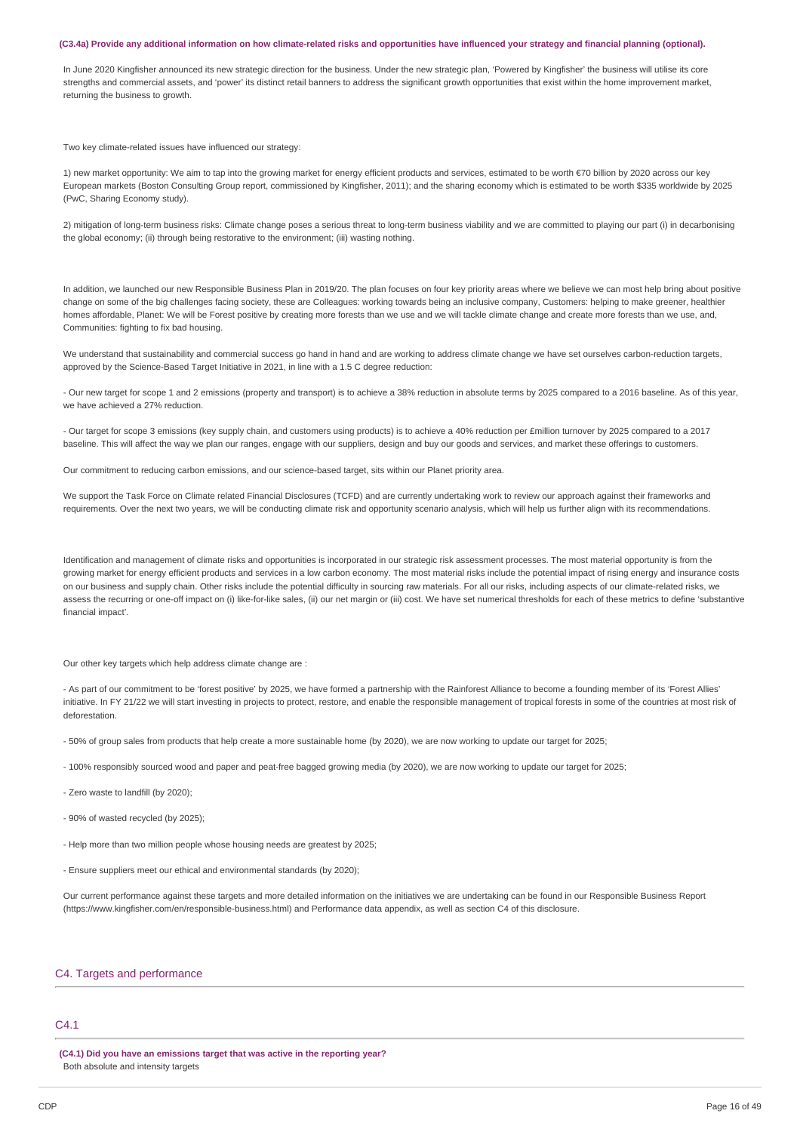#### (C3.4a) Provide any additional information on how climate-related risks and opportunities have influenced your strategy and financial planning (optional).

In June 2020 Kingfisher announced its new strategic direction for the business. Under the new strategic plan, 'Powered by Kingfisher' the business will utilise its core strengths and commercial assets, and 'power' its distinct retail banners to address the significant growth opportunities that exist within the home improvement market, returning the business to growth.

Two key climate-related issues have influenced our strategy

1) new market opportunity: We aim to tap into the growing market for energy efficient products and services, estimated to be worth €70 billion by 2020 across our key European markets (Boston Consulting Group report, commissioned by Kingfisher, 2011); and the sharing economy which is estimated to be worth \$335 worldwide by 2025 (PwC, Sharing Economy study).

2) mitigation of long-term business risks: Climate change poses a serious threat to long-term business viability and we are committed to playing our part (i) in decarbonising the global economy; (ii) through being restorative to the environment; (iii) wasting nothing.

In addition, we launched our new Responsible Business Plan in 2019/20. The plan focuses on four key priority areas where we believe we can most help bring about positive change on some of the big challenges facing society, these are Colleagues: working towards being an inclusive company, Customers: helping to make greener, healthier homes affordable, Planet: We will be Forest positive by creating more forests than we use and we will tackle climate change and create more forests than we use, and, Communities: fighting to fix bad housing.

We understand that sustainability and commercial success go hand in hand and are working to address climate change we have set ourselves carbon-reduction targets, approved by the Science-Based Target Initiative in 2021, in line with a 1.5 C degree reduction:

- Our new target for scope 1 and 2 emissions (property and transport) is to achieve a 38% reduction in absolute terms by 2025 compared to a 2016 baseline. As of this year, we have achieved a 27% reduction

- Our target for scope 3 emissions (key supply chain, and customers using products) is to achieve a 40% reduction per £million turnover by 2025 compared to a 2017 baseline. This will affect the way we plan our ranges, engage with our suppliers, design and buy our goods and services, and market these offerings to customers.

Our commitment to reducing carbon emissions, and our science-based target, sits within our Planet priority area.

We support the Task Force on Climate related Financial Disclosures (TCFD) and are currently undertaking work to review our approach against their frameworks and requirements. Over the next two years, we will be conducting climate risk and opportunity scenario analysis, which will help us further align with its recommendations.

Identification and management of climate risks and opportunities is incorporated in our strategic risk assessment processes. The most material opportunity is from the growing market for energy efficient products and services in a low carbon economy. The most material risks include the potential impact of rising energy and insurance costs on our business and supply chain. Other risks include the potential difficulty in sourcing raw materials. For all our risks, including aspects of our climate-related risks, we assess the recurring or one-off impact on (i) like-for-like sales, (ii) our net margin or (iii) cost. We have set numerical thresholds for each of these metrics to define 'substantive financial impact'.

Our other key targets which help address climate change are :

- As part of our commitment to be 'forest positive' by 2025, we have formed a partnership with the Rainforest Alliance to become a founding member of its 'Forest Allies' initiative. In FY 21/22 we will start investing in projects to protect, restore, and enable the responsible management of tropical forests in some of the countries at most risk of deforestation.

- 50% of group sales from products that help create a more sustainable home (by 2020), we are now working to update our target for 2025;

- 100% responsibly sourced wood and paper and peat-free bagged growing media (by 2020), we are now working to update our target for 2025;
- Zero waste to landfill (by 2020);
- 90% of wasted recycled (by 2025);
- Help more than two million people whose housing needs are greatest by 2025;
- Ensure suppliers meet our ethical and environmental standards (by 2020);

Our current performance against these targets and more detailed information on the initiatives we are undertaking can be found in our Responsible Business Report (https://www.kingfisher.com/en/responsible-business.html) and Performance data appendix, as well as section C4 of this disclosure.

#### C4. Targets and performance

### C4.1

**(C4.1) Did you have an emissions target that was active in the reporting year?** Both absolute and intensity targets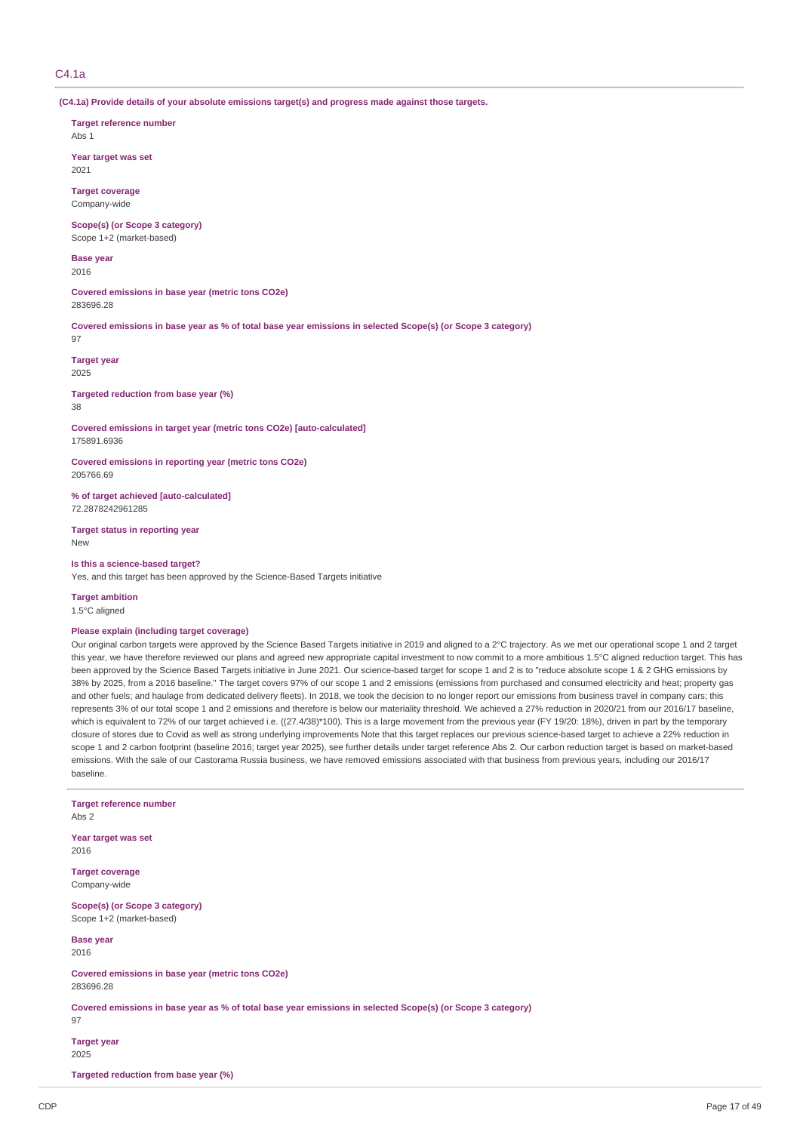### $C4.1a$

**(C4.1a) Provide details of your absolute emissions target(s) and progress made against those targets.**

**Target reference number** Abs 1

**Year target was set** 2021

**Target coverage** Company-wide

**Scope(s) (or Scope 3 category)** Scope 1+2 (market-based)

**Base year** 2016

**Covered emissions in base year (metric tons CO2e)** 283696.28

Covered emissions in base year as % of total base year emissions in selected Scope(s) (or Scope 3 category) 97

**Target year** 2025

**Targeted reduction from base year (%)** 38

**Covered emissions in target year (metric tons CO2e) [auto-calculated]** 175891.6936

**Covered emissions in reporting year (metric tons CO2e)** 205766.69

**% of target achieved [auto-calculated]** 72.2878242961285

**Target status in reporting year** New

**Is this a science-based target?** Yes, and this target has been approved by the Science-Based Targets initiative

**Target ambition** 1.5°C aligned

#### **Please explain (including target coverage)**

Our original carbon targets were approved by the Science Based Targets initiative in 2019 and aligned to a 2°C trajectory. As we met our operational scope 1 and 2 target this year, we have therefore reviewed our plans and agreed new appropriate capital investment to now commit to a more ambitious 1.5°C aligned reduction target. This has been approved by the Science Based Targets initiative in June 2021. Our science-based target for scope 1 and 2 is to "reduce absolute scope 1 & 2 GHG emissions by 38% by 2025, from a 2016 baseline." The target covers 97% of our scope 1 and 2 emissions (emissions from purchased and consumed electricity and heat; property gas and other fuels; and haulage from dedicated delivery fleets). In 2018, we took the decision to no longer report our emissions from business travel in company cars; this represents 3% of our total scope 1 and 2 emissions and therefore is below our materiality threshold. We achieved a 27% reduction in 2020/21 from our 2016/17 baseline, which is equivalent to 72% of our target achieved i.e. ((27.4/38)\*100). This is a large movement from the previous year (FY 19/20: 18%), driven in part by the temporary closure of stores due to Covid as well as strong underlying improvements Note that this target replaces our previous science-based target to achieve a 22% reduction in scope 1 and 2 carbon footprint (baseline 2016; target year 2025), see further details under target reference Abs 2. Our carbon reduction target is based on market-based emissions. With the sale of our Castorama Russia business, we have removed emissions associated with that business from previous years, including our 2016/17 baseline.

**Target reference number**

Abs 2

**Year target was set** 2016

**Target coverage** Company-wide

**Scope(s) (or Scope 3 category)** Scope 1+2 (market-based)

**Base year** 2016

**Covered emissions in base year (metric tons CO2e)** 283696.28

Covered emissions in base year as % of total base year emissions in selected Scope(s) (or Scope 3 category) 97

**Target year** 2025

**Targeted reduction from base year (%)**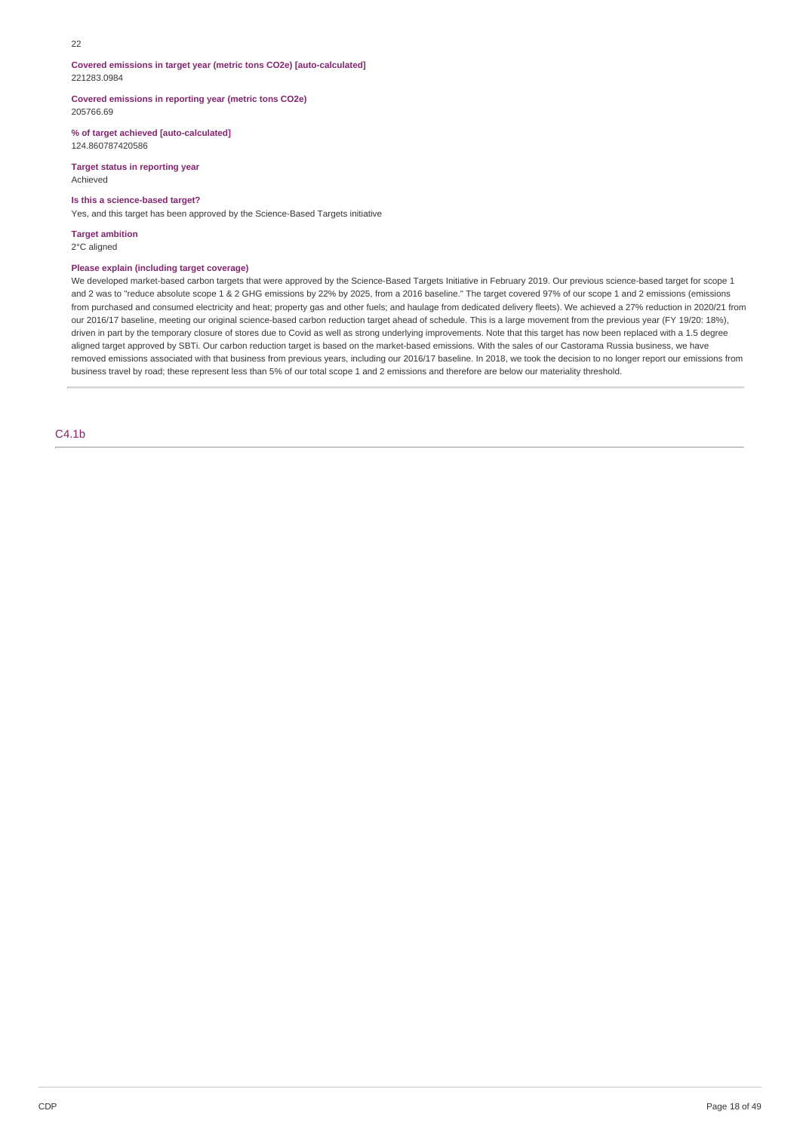#### $22$

**Covered emissions in target year (metric tons CO2e) [auto-calculated]** 221283.0984

**Covered emissions in reporting year (metric tons CO2e)** 205766.69

**% of target achieved [auto-calculated]** 124.860787420586

**Target status in reporting year** Achieved

### **Is this a science-based target?**

Yes, and this target has been approved by the Science-Based Targets initiative

**Target ambition** 2°C aligned

### **Please explain (including target coverage)**

We developed market-based carbon targets that were approved by the Science-Based Targets Initiative in February 2019. Our previous science-based target for scope 1 and 2 was to "reduce absolute scope 1 & 2 GHG emissions by 22% by 2025, from a 2016 baseline." The target covered 97% of our scope 1 and 2 emissions (emissions from purchased and consumed electricity and heat; property gas and other fuels; and haulage from dedicated delivery fleets). We achieved a 27% reduction in 2020/21 from our 2016/17 baseline, meeting our original science-based carbon reduction target ahead of schedule. This is a large movement from the previous year (FY 19/20: 18%), driven in part by the temporary closure of stores due to Covid as well as strong underlying improvements. Note that this target has now been replaced with a 1.5 degree aligned target approved by SBTi. Our carbon reduction target is based on the market-based emissions. With the sales of our Castorama Russia business, we have removed emissions associated with that business from previous years, including our 2016/17 baseline. In 2018, we took the decision to no longer report our emissions from business travel by road; these represent less than 5% of our total scope 1 and 2 emissions and therefore are below our materiality threshold.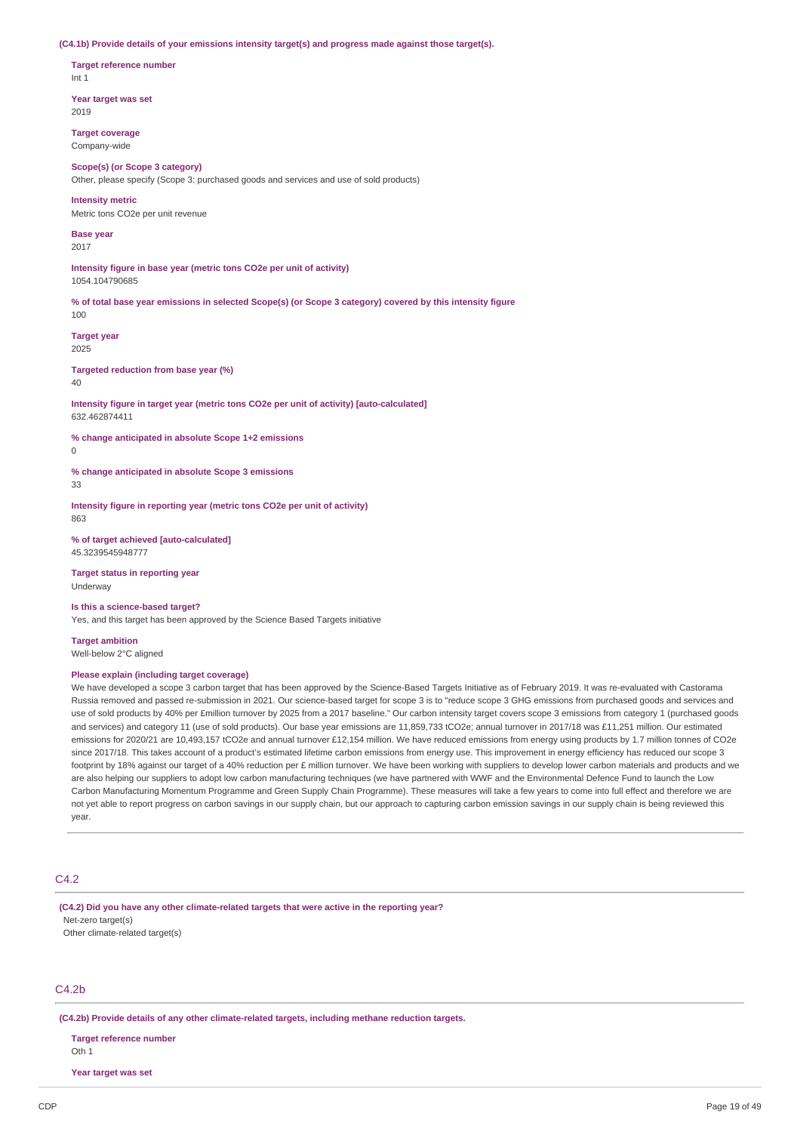#### **(C4.1b) Provide details of your emissions intensity target(s) and progress made against those target(s).**

**Target reference number** Int 1

**Year target was set** 2019

**Target coverage** Company-wide

#### **Scope(s) (or Scope 3 category)**

Other, please specify (Scope 3: purchased goods and services and use of sold products)

**Intensity metric**

Metric tons CO2e per unit revenue

**Base year** 2017

**Intensity figure in base year (metric tons CO2e per unit of activity)** 1054.104790685

% of total base year emissions in selected Scope(s) (or Scope 3 category) covered by this intensity figure 100

**Target year** 2025

**Targeted reduction from base year (%)**

 $40$ 

**Intensity figure in target year (metric tons CO2e per unit of activity) [auto-calculated]** 632.462874411

**% change anticipated in absolute Scope 1+2 emissions**  $\theta$ 

**% change anticipated in absolute Scope 3 emissions**

33

**Intensity figure in reporting year (metric tons CO2e per unit of activity)** 863

**% of target achieved [auto-calculated]** 45.3239545948777

**Target status in reporting year** Underway

**Is this a science-based target?**

Yes, and this target has been approved by the Science Based Targets initiative

**Target ambition** Well-below 2°C aligned

### **Please explain (including target coverage)**

We have developed a scope 3 carbon target that has been approved by the Science-Based Targets Initiative as of February 2019. It was re-evaluated with Castorama Russia removed and passed re-submission in 2021. Our science-based target for scope 3 is to "reduce scope 3 GHG emissions from purchased goods and services and use of sold products by 40% per £million turnover by 2025 from a 2017 baseline." Our carbon intensity target covers scope 3 emissions from category 1 (purchased goods and services) and category 11 (use of sold products). Our base year emissions are 11,859,733 tCO2e; annual turnover in 2017/18 was £11,251 million. Our estimated emissions for 2020/21 are 10,493,157 tCO2e and annual turnover £12,154 million. We have reduced emissions from energy using products by 1.7 million tonnes of CO2e since 2017/18. This takes account of a product's estimated lifetime carbon emissions from energy use. This improvement in energy efficiency has reduced our scope 3 footprint by 18% against our target of a 40% reduction per £ million turnover. We have been working with suppliers to develop lower carbon materials and products and we are also helping our suppliers to adopt low carbon manufacturing techniques (we have partnered with WWF and the Environmental Defence Fund to launch the Low Carbon Manufacturing Momentum Programme and Green Supply Chain Programme). These measures will take a few years to come into full effect and therefore we are not yet able to report progress on carbon savings in our supply chain, but our approach to capturing carbon emission savings in our supply chain is being reviewed this year.

### C4.2

**(C4.2) Did you have any other climate-related targets that were active in the reporting year?** Net-zero target(s) Other climate-related target(s)

 $C<sub>4</sub>$ .2h

**(C4.2b) Provide details of any other climate-related targets, including methane reduction targets.**

**Target reference number** Oth 1

**Year target was set**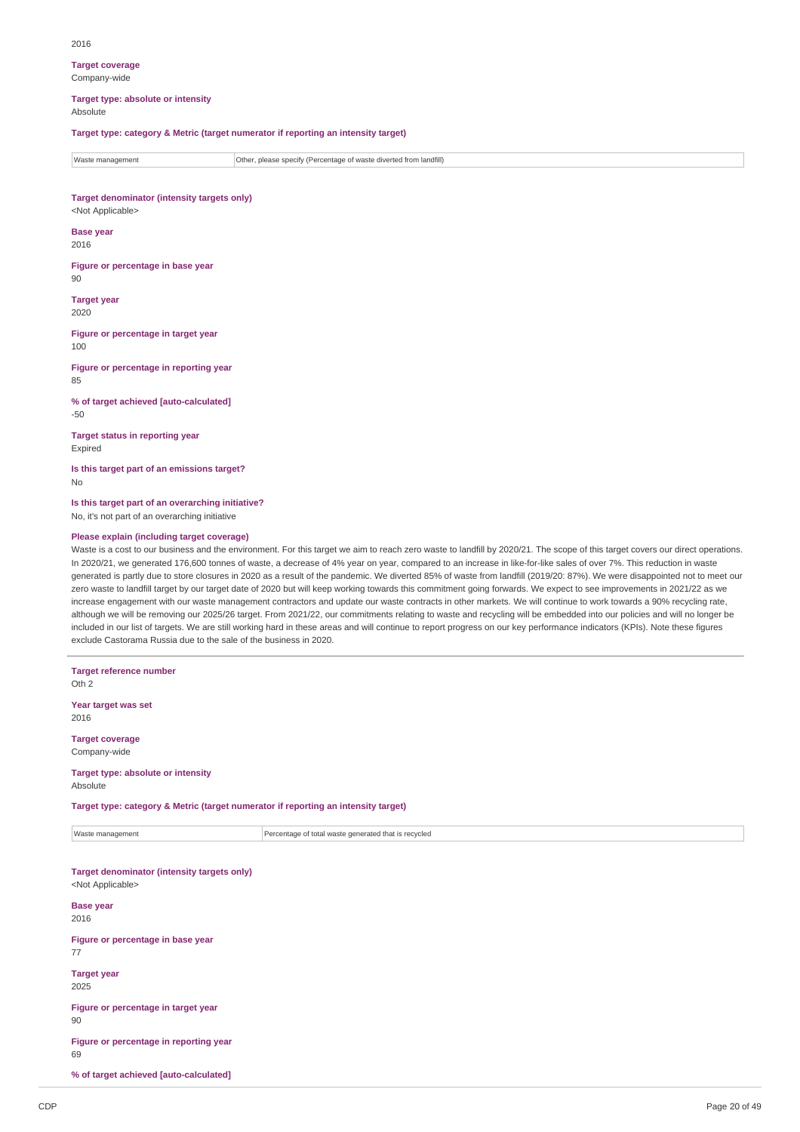**Target coverage** Company-wide

**Target type: absolute or intensity** Absolute

### **Target type: category & Metric (target numerator if reporting an intensity target)**

Waste management **Communistion Communisties** Other, please specify (Percentage of waste diverted from landfill)

**Target denominator (intensity targets only)** <Not Applicable>

**Base year** 2016

**Figure or percentage in base year** 90

**Target year** 2020

**Figure or percentage in target year** 100

**Figure or percentage in reporting year** 85

**% of target achieved [auto-calculated]** -50

**Target status in reporting year** Expired

**Is this target part of an emissions target?** No

**Is this target part of an overarching initiative?** No, it's not part of an overarching initiative

### **Please explain (including target coverage)**

Waste is a cost to our business and the environment. For this target we aim to reach zero waste to landfill by 2020/21. The scope of this target covers our direct operations. In 2020/21, we generated 176,600 tonnes of waste, a decrease of 4% year on year, compared to an increase in like-for-like sales of over 7%. This reduction in waste generated is partly due to store closures in 2020 as a result of the pandemic. We diverted 85% of waste from landfill (2019/20: 87%). We were disappointed not to meet our zero waste to landfill target by our target date of 2020 but will keep working towards this commitment going forwards. We expect to see improvements in 2021/22 as we increase engagement with our waste management contractors and update our waste contracts in other markets. We will continue to work towards a 90% recycling rate. although we will be removing our 2025/26 target. From 2021/22, our commitments relating to waste and recycling will be embedded into our policies and will no longer be included in our list of targets. We are still working hard in these areas and will continue to report progress on our key performance indicators (KPIs). Note these figures exclude Castorama Russia due to the sale of the business in 2020.

| <b>Target reference number</b><br>Oth <sub>2</sub>                                 |                                                      |  |  |  |  |  |
|------------------------------------------------------------------------------------|------------------------------------------------------|--|--|--|--|--|
| Year target was set<br>2016                                                        |                                                      |  |  |  |  |  |
| <b>Target coverage</b><br>Company-wide                                             |                                                      |  |  |  |  |  |
| Target type: absolute or intensity<br>Absolute                                     |                                                      |  |  |  |  |  |
| Target type: category & Metric (target numerator if reporting an intensity target) |                                                      |  |  |  |  |  |
| Waste management                                                                   | Percentage of total waste generated that is recycled |  |  |  |  |  |
| <b>Target denominator (intensity targets only)</b><br><not applicable=""></not>    |                                                      |  |  |  |  |  |
| <b>Base year</b><br>2016                                                           |                                                      |  |  |  |  |  |
| Figure or percentage in base year<br>77                                            |                                                      |  |  |  |  |  |
| <b>Target year</b><br>2025                                                         |                                                      |  |  |  |  |  |
| Figure or percentage in target year<br>90                                          |                                                      |  |  |  |  |  |
| Figure or percentage in reporting year<br>69                                       |                                                      |  |  |  |  |  |
| % of target achieved [auto-calculated]                                             |                                                      |  |  |  |  |  |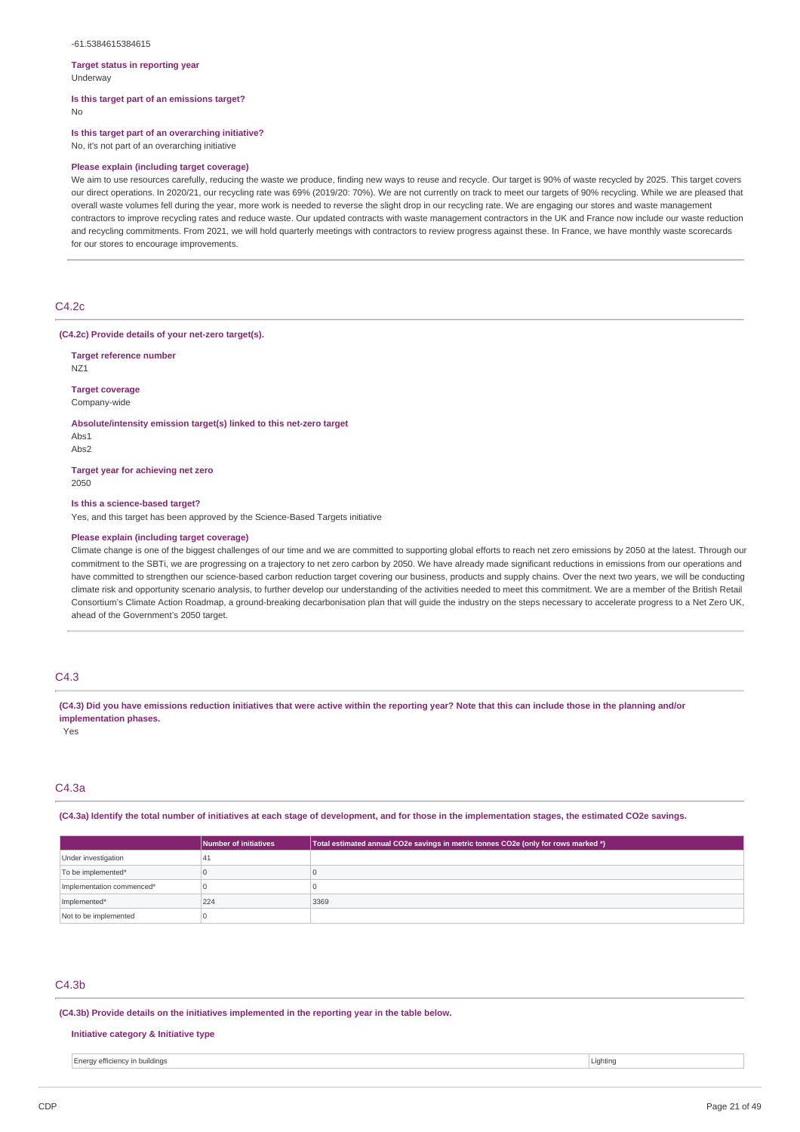#### -61.5384615384615

#### **Target status in reporting year** Underway

**Is this target part of an emissions target?** No

### **Is this target part of an overarching initiative?**

No, it's not part of an overarching initiative

#### **Please explain (including target coverage)**

We aim to use resources carefully, reducing the waste we produce, finding new ways to reuse and recycle, Our target is 90% of waste recycled by 2025. This target covers our direct operations. In 2020/21, our recycling rate was 69% (2019/20: 70%). We are not currently on track to meet our targets of 90% recycling. While we are pleased that overall waste volumes fell during the year, more work is needed to reverse the slight drop in our recycling rate. We are engaging our stores and waste management contractors to improve recycling rates and reduce waste. Our updated contracts with waste management contractors in the UK and France now include our waste reduction and recycling commitments. From 2021, we will hold quarterly meetings with contractors to review progress against these. In France, we have monthly waste scorecards for our stores to encourage improvements.

### C4.2c

**(C4.2c) Provide details of your net-zero target(s).**

**Target reference number** NZ1

**Target coverage** Company-wide

**Absolute/intensity emission target(s) linked to this net-zero target**

Abs1 Abs2

**Target year for achieving net zero** 2050

#### **Is this a science-based target?**

Yes, and this target has been approved by the Science-Based Targets initiative

#### **Please explain (including target coverage)**

Climate change is one of the biggest challenges of our time and we are committed to supporting global efforts to reach net zero emissions by 2050 at the latest. Through our commitment to the SBTi, we are progressing on a trajectory to net zero carbon by 2050. We have already made significant reductions in emissions from our operations and have committed to strengthen our science-based carbon reduction target covering our business, products and supply chains. Over the next two years, we will be conducting climate risk and opportunity scenario analysis, to further develop our understanding of the activities needed to meet this commitment. We are a member of the British Retail Consortium's Climate Action Roadmap, a ground-breaking decarbonisation plan that will guide the industry on the steps necessary to accelerate progress to a Net Zero UK, ahead of the Government's 2050 target.

### $C4.3$

(C4.3) Did you have emissions reduction initiatives that were active within the reporting year? Note that this can include those in the planning and/or **implementation phases.**

Yes

### C4.3a

(C4.3a) Identify the total number of initiatives at each stage of development, and for those in the implementation stages, the estimated CO2e savings.

|                           | Number of initiatives | Total estimated annual CO2e savings in metric tonnes CO2e (only for rows marked *) |
|---------------------------|-----------------------|------------------------------------------------------------------------------------|
| Under investigation       | 41                    |                                                                                    |
| To be implemented*        |                       |                                                                                    |
| Implementation commenced* |                       |                                                                                    |
| Implemented*              | 224                   | 3369                                                                               |
| Not to be implemented     |                       |                                                                                    |

### $C4.3<sub>b</sub>$

**(C4.3b) Provide details on the initiatives implemented in the reporting year in the table below.**

#### **Initiative category & Initiative type**

Energy efficiency in buildings Lighting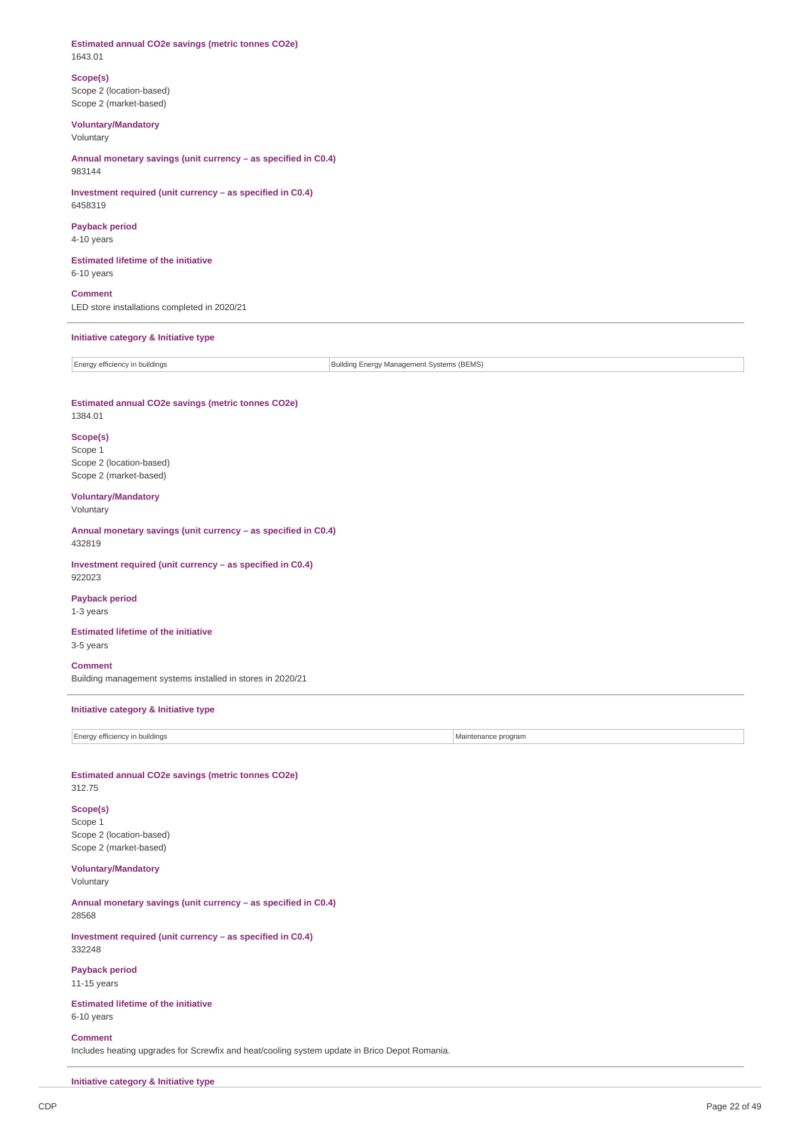#### **Estimated annual CO2e savings (metric tonnes CO2e)** 1643.01

#### **Scope(s)** Scope 2 (location-based)

Scope 2 (market-based)

### **Voluntary/Mandatory** Voluntary

**Annual monetary savings (unit currency – as specified in C0.4)** 983144

# **Investment required (unit currency – as specified in C0.4)** 6458319

# **Payback period**

4-10 years

### **Estimated lifetime of the initiative** 6-10 years

**Comment** LED store installations completed in 2020/21

### **Initiative category & Initiative type**

Energy efficiency in buildings **Building Energy Management Systems (BEMS)** Building Energy Management Systems (BEMS)

# **Estimated annual CO2e savings (metric tonnes CO2e)**

### 1384.01

### **Scope(s)**

Scope 1 Scope 2 (location-based) Scope 2 (market-based)

# **Voluntary/Mandatory**

Voluntary

**Annual monetary savings (unit currency – as specified in C0.4)** 432819

**Investment required (unit currency – as specified in C0.4)** 922023

### **Payback period** 1-3 years

**Estimated lifetime of the initiative**

3-5 years

### **Comment**

Building management systems installed in stores in 2020/21

### **Initiative category & Initiative type**

Energy efficiency in buildings **Energy efficiency** in buildings and the maintenance program

**Estimated annual CO2e savings (metric tonnes CO2e)**

312.75

# **Scope(s)** Scope 1

Scope 2 (location-based) Scope 2 (market-based)

### **Voluntary/Mandatory** Voluntary

**Annual monetary savings (unit currency – as specified in C0.4)** 28568

**Investment required (unit currency – as specified in C0.4)** 332248

**Payback period** 11-15 years

**Estimated lifetime of the initiative** 6-10 years

### **Comment**

Includes heating upgrades for Screwfix and heat/cooling system update in Brico Depot Romania.

**Initiative category & Initiative type**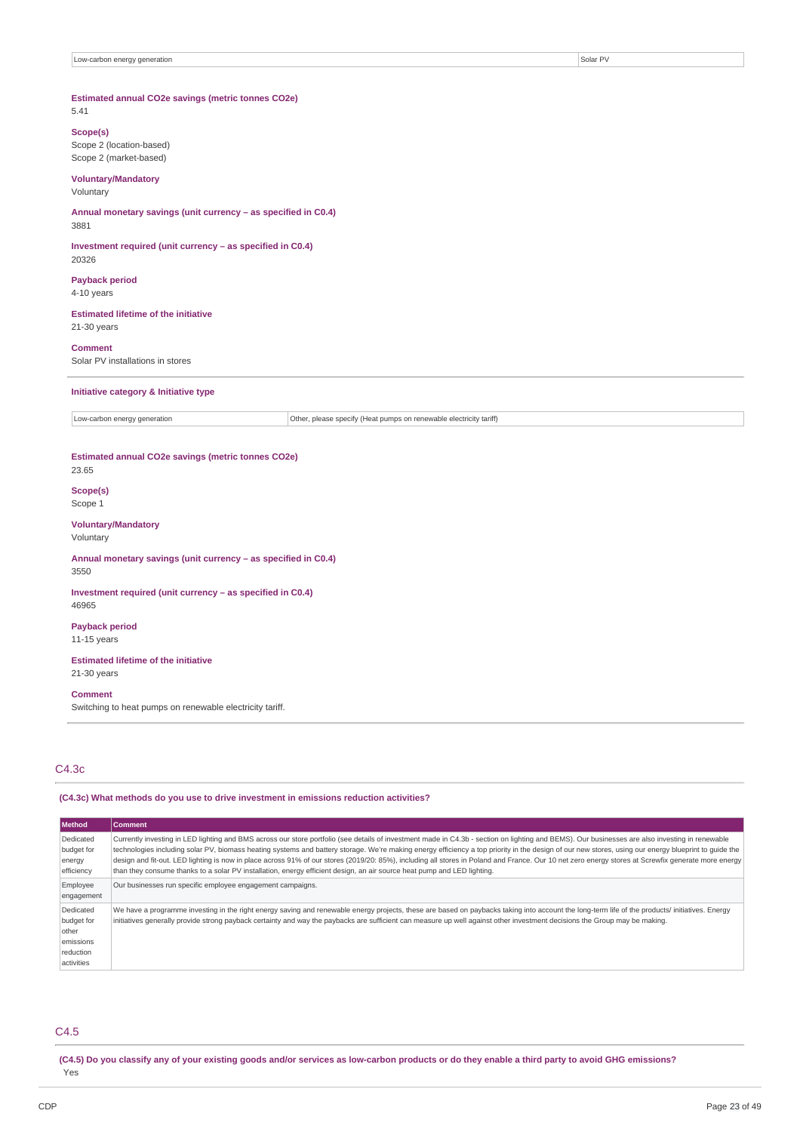#### **Estimated annual CO2e savings (metric tonnes CO2e)** 5.41

# **Scope(s)**

Scope 2 (location-based) Scope 2 (market-based)

### **Voluntary/Mandatory** Voluntary

**Annual monetary savings (unit currency – as specified in C0.4)** 3881

**Investment required (unit currency – as specified in C0.4)** 20326

**Payback period** 4-10 years

**Estimated lifetime of the initiative** 21-30 years

**Comment** Solar PV installations in stores

#### **Initiative category & Initiative type**

Low-carbon energy generation **Constrained Construction** Other, please specify (Heat pumps on renewable electricity tariff)

**Estimated annual CO2e savings (metric tonnes CO2e)** 23.65

**Scope(s)** Scope 1

**Voluntary/Mandatory** Voluntary

**Annual monetary savings (unit currency – as specified in C0.4)** 3550

**Investment required (unit currency – as specified in C0.4)** 46965

**Payback period** 11-15 years

**Estimated lifetime of the initiative** 21-30 years

#### **Comment**

Switching to heat pumps on renewable electricity tariff.

### C4.3c

**(C4.3c) What methods do you use to drive investment in emissions reduction activities?**

| <b>Method</b>                                                            | <b>Comment</b>                                                                                                                                                                                                                                                                                                                                                                                                                                                                                                                                                                                                                                                                                                                            |
|--------------------------------------------------------------------------|-------------------------------------------------------------------------------------------------------------------------------------------------------------------------------------------------------------------------------------------------------------------------------------------------------------------------------------------------------------------------------------------------------------------------------------------------------------------------------------------------------------------------------------------------------------------------------------------------------------------------------------------------------------------------------------------------------------------------------------------|
| Dedicated<br>budget for<br>energy<br>efficiency                          | Currently investing in LED lighting and BMS across our store portfolio (see details of investment made in C4.3b - section on lighting and BEMS). Our businesses are also investing in renewable<br>technologies including solar PV, biomass heating systems and battery storage. We're making energy efficiency a top priority in the design of our new stores, using our energy blueprint to quide the<br>design and fit-out. LED lighting is now in place across 91% of our stores (2019/20: 85%), including all stores in Poland and France. Our 10 net zero energy stores at Screwfix generate more energy<br>than they consume thanks to a solar PV installation, energy efficient design, an air source heat pump and LED lighting. |
| Employee<br>engagement                                                   | Our businesses run specific employee engagement campaigns.                                                                                                                                                                                                                                                                                                                                                                                                                                                                                                                                                                                                                                                                                |
| Dedicated<br>budget for<br>other<br>emissions<br>reduction<br>activities | We have a programme investing in the right energy saving and renewable energy projects, these are based on paybacks taking into account the long-term life of the products/ initiatives. Energy<br>initiatives generally provide strong payback certainty and way the paybacks are sufficient can measure up well against other investment decisions the Group may be making.                                                                                                                                                                                                                                                                                                                                                             |

### C4.5

(C4.5) Do you classify any of your existing goods and/or services as low-carbon products or do they enable a third party to avoid GHG emissions? Yes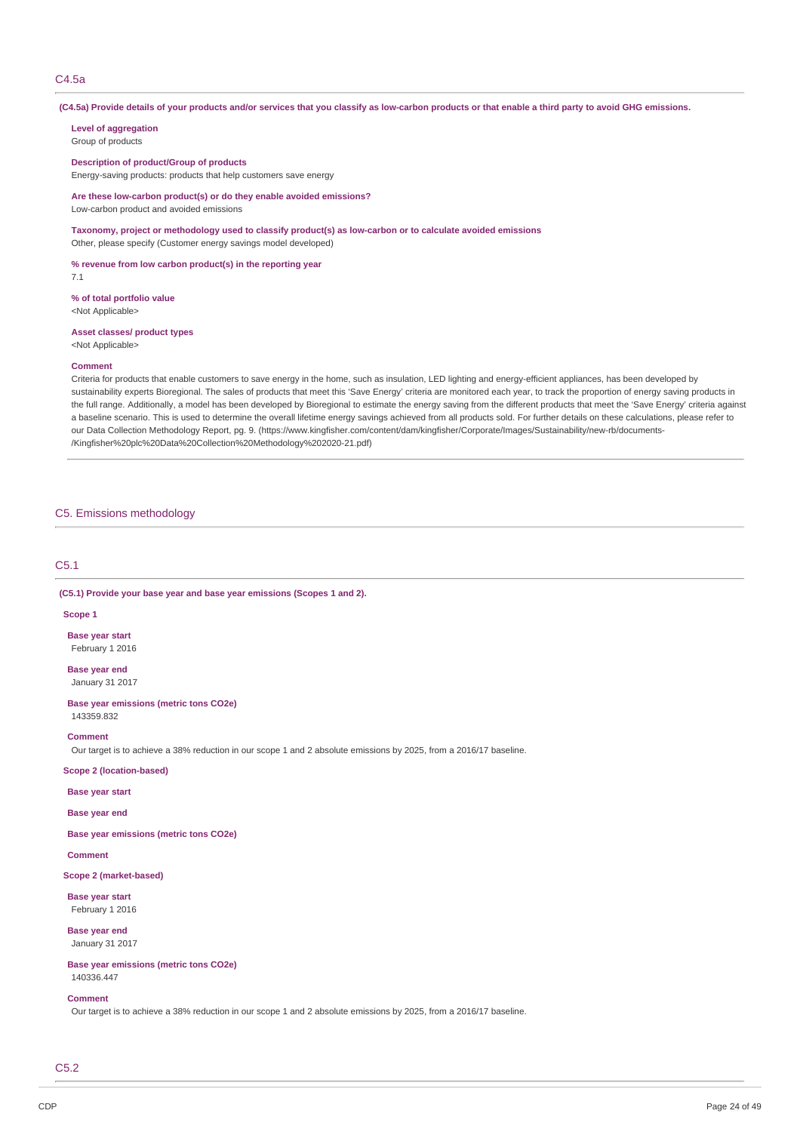### C4.5a

(C4.5a) Provide details of your products and/or services that you classify as low-carbon products or that enable a third party to avoid GHG emissions.

### **Level of aggregation**

Group of products

**Description of product/Group of products** Energy-saving products: products that help customers save energy

**Are these low-carbon product(s) or do they enable avoided emissions?** Low-carbon product and avoided emissions

**Taxonomy, project or methodology used to classify product(s) as low-carbon or to calculate avoided emissions** Other, please specify (Customer energy savings model developed)

**% revenue from low carbon product(s) in the reporting year**

7.1

**% of total portfolio value**

<Not Applicable>

**Asset classes/ product types** <Not Applicable>

#### **Comment**

Criteria for products that enable customers to save energy in the home, such as insulation, LED lighting and energy-efficient appliances, has been developed by sustainability experts Bioregional. The sales of products that meet this 'Save Energy' criteria are monitored each year, to track the proportion of energy saving products in the full range. Additionally, a model has been developed by Bioregional to estimate the energy saving from the different products that meet the 'Save Energy' criteria against a baseline scenario. This is used to determine the overall lifetime energy savings achieved from all products sold. For further details on these calculations, please refer to our Data Collection Methodology Report, pg. 9. (https://www.kingfisher.com/content/dam/kingfisher/Corporate/Images/Sustainability/new-rb/documents- /Kingfisher%20plc%20Data%20Collection%20Methodology%202020-21.pdf)

### C5. Emissions methodology

### C5.1

**(C5.1) Provide your base year and base year emissions (Scopes 1 and 2).**

### **Scope 1**

**Base year start** February 1 2016

**Base year end** January 31 2017

**Base year emissions (metric tons CO2e)** 143359.832

#### **Comment**

Our target is to achieve a 38% reduction in our scope 1 and 2 absolute emissions by 2025, from a 2016/17 baseline.

### **Scope 2 (location-based)**

**Base year start**

**Base year end**

**Base year emissions (metric tons CO2e)**

### **Comment**

**Scope 2 (market-based)**

**Base year start** February 1 2016

**Base year end** January 31 2017

**Base year emissions (metric tons CO2e)** 140336.447

#### **Comment**

Our target is to achieve a 38% reduction in our scope 1 and 2 absolute emissions by 2025, from a 2016/17 baseline.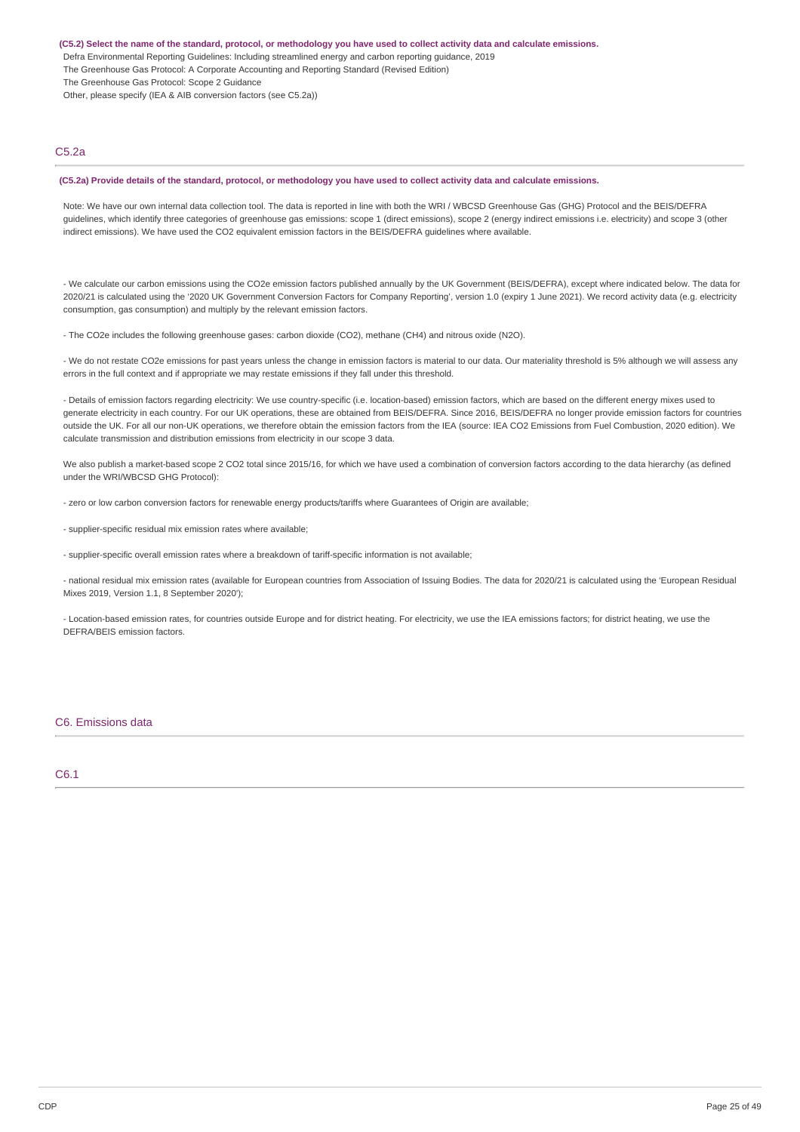(C5.2) Select the name of the standard, protocol, or methodology you have used to collect activity data and calculate emissions.

- Defra Environmental Reporting Guidelines: Including streamlined energy and carbon reporting guidance, 2019
- The Greenhouse Gas Protocol: A Corporate Accounting and Reporting Standard (Revised Edition)
- The Greenhouse Gas Protocol: Scope 2 Guidance

Other, please specify (IEA & AIB conversion factors (see C5.2a))

### C5.2a

#### (C5.2a) Provide details of the standard, protocol, or methodology you have used to collect activity data and calculate emissions.

Note: We have our own internal data collection tool. The data is reported in line with both the WRI / WBCSD Greenhouse Gas (GHG) Protocol and the BEIS/DEFRA guidelines, which identify three categories of greenhouse gas emissions: scope 1 (direct emissions), scope 2 (energy indirect emissions i.e. electricity) and scope 3 (other indirect emissions). We have used the CO2 equivalent emission factors in the BEIS/DEFRA quidelines where available.

- We calculate our carbon emissions using the CO2e emission factors published annually by the UK Government (BEIS/DEFRA), except where indicated below. The data for 2020/21 is calculated using the '2020 UK Government Conversion Factors for Company Reporting', version 1.0 (expiry 1 June 2021). We record activity data (e.g. electricity consumption, gas consumption) and multiply by the relevant emission factors.

- The CO2e includes the following greenhouse gases: carbon dioxide (CO2), methane (CH4) and nitrous oxide (N2O).

- We do not restate CO2e emissions for past years unless the change in emission factors is material to our data. Our materiality threshold is 5% although we will assess any errors in the full context and if appropriate we may restate emissions if they fall under this threshold.

- Details of emission factors regarding electricity: We use country-specific (i.e. location-based) emission factors, which are based on the different energy mixes used to generate electricity in each country. For our UK operations, these are obtained from BEIS/DEFRA. Since 2016, BEIS/DEFRA no longer provide emission factors for countries outside the UK. For all our non-UK operations, we therefore obtain the emission factors from the IEA (source: IEA CO2 Emissions from Fuel Combustion, 2020 edition). We calculate transmission and distribution emissions from electricity in our scope 3 data.

We also publish a market-based scope 2 CO2 total since 2015/16, for which we have used a combination of conversion factors according to the data hierarchy (as defined under the WRI/WBCSD GHG Protocol):

- zero or low carbon conversion factors for renewable energy products/tariffs where Guarantees of Origin are available;

- supplier-specific residual mix emission rates where available;

- supplier-specific overall emission rates where a breakdown of tariff-specific information is not available;

- national residual mix emission rates (available for European countries from Association of Issuing Bodies. The data for 2020/21 is calculated using the 'European Residual Mixes 2019, Version 1.1, 8 September 2020');

- Location-based emission rates, for countries outside Europe and for district heating. For electricity, we use the IEA emissions factors; for district heating, we use the DEFRA/BEIS emission factors.

#### C6. Emissions data

### C6.1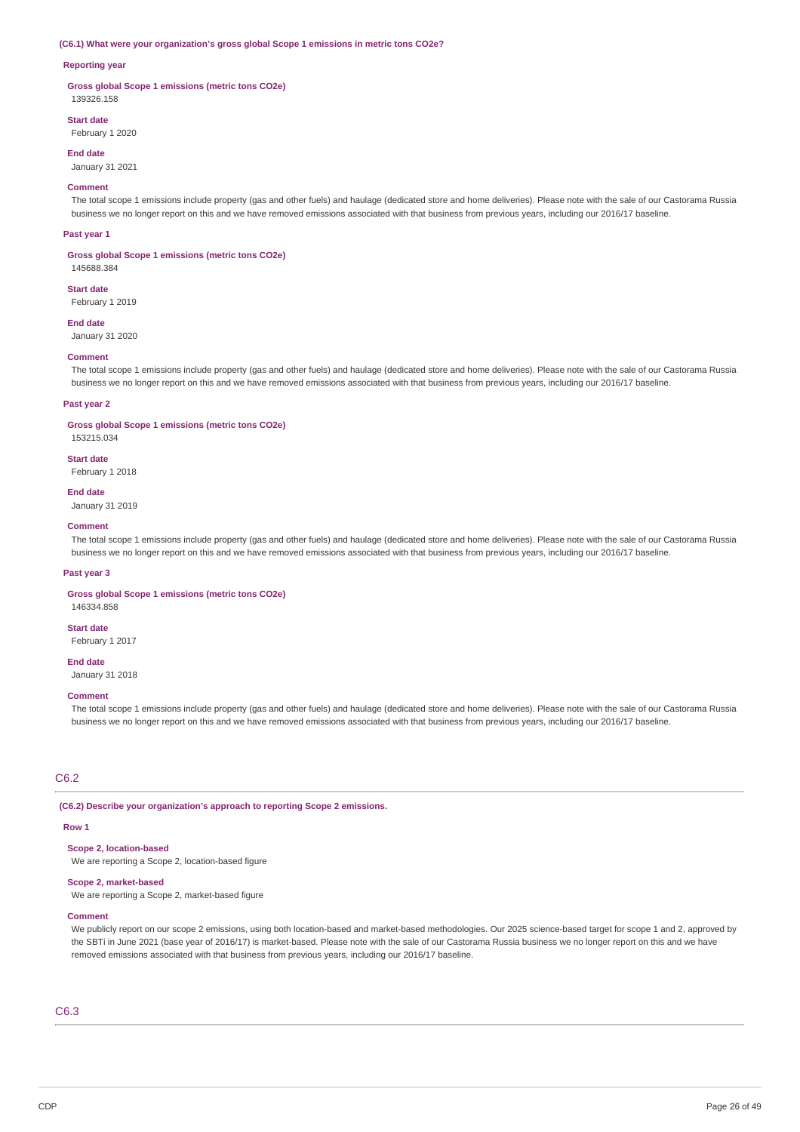#### **(C6.1) What were your organization's gross global Scope 1 emissions in metric tons CO2e?**

### **Reporting year**

**Gross global Scope 1 emissions (metric tons CO2e)** 139326.158

# **Start date**

February 1 2020

### **End date**

January 31 2021

#### **Comment**

The total scope 1 emissions include property (gas and other fuels) and haulage (dedicated store and home deliveries). Please note with the sale of our Castorama Russia business we no longer report on this and we have removed emissions associated with that business from previous years, including our 2016/17 baseline.

#### **Past year 1**

**Gross global Scope 1 emissions (metric tons CO2e)**

145688.384

**Start date** February 1 2019

#### **End date**

January 31 2020

#### **Comment**

The total scope 1 emissions include property (gas and other fuels) and haulage (dedicated store and home deliveries). Please note with the sale of our Castorama Russia business we no longer report on this and we have removed emissions associated with that business from previous years, including our 2016/17 baseline.

#### **Past year 2**

#### **Gross global Scope 1 emissions (metric tons CO2e)**

153215.034

#### **Start date**

February 1 2018

#### **End date**

January 31 2019

### **Comment**

The total scope 1 emissions include property (gas and other fuels) and haulage (dedicated store and home deliveries). Please note with the sale of our Castorama Russia business we no longer report on this and we have removed emissions associated with that business from previous years, including our 2016/17 baseline.

#### **Past year 3**

#### **Gross global Scope 1 emissions (metric tons CO2e)**

146334.858 **Start date**

February 1 2017

# **End date**

January 31 2018

### **Comment**

The total scope 1 emissions include property (gas and other fuels) and haulage (dedicated store and home deliveries). Please note with the sale of our Castorama Russia business we no longer report on this and we have removed emissions associated with that business from previous years, including our 2016/17 baseline.

### C6.2

**(C6.2) Describe your organization's approach to reporting Scope 2 emissions.**

#### **Row 1**

### **Scope 2, location-based**

We are reporting a Scope 2, location-based figure

### **Scope 2, market-based**

We are reporting a Scope 2, market-based figure

#### **Comment**

We publicly report on our scope 2 emissions, using both location-based and market-based methodologies. Our 2025 science-based target for scope 1 and 2, approved by the SBTi in June 2021 (base year of 2016/17) is market-based. Please note with the sale of our Castorama Russia business we no longer report on this and we have removed emissions associated with that business from previous years, including our 2016/17 baseline.

# C6.3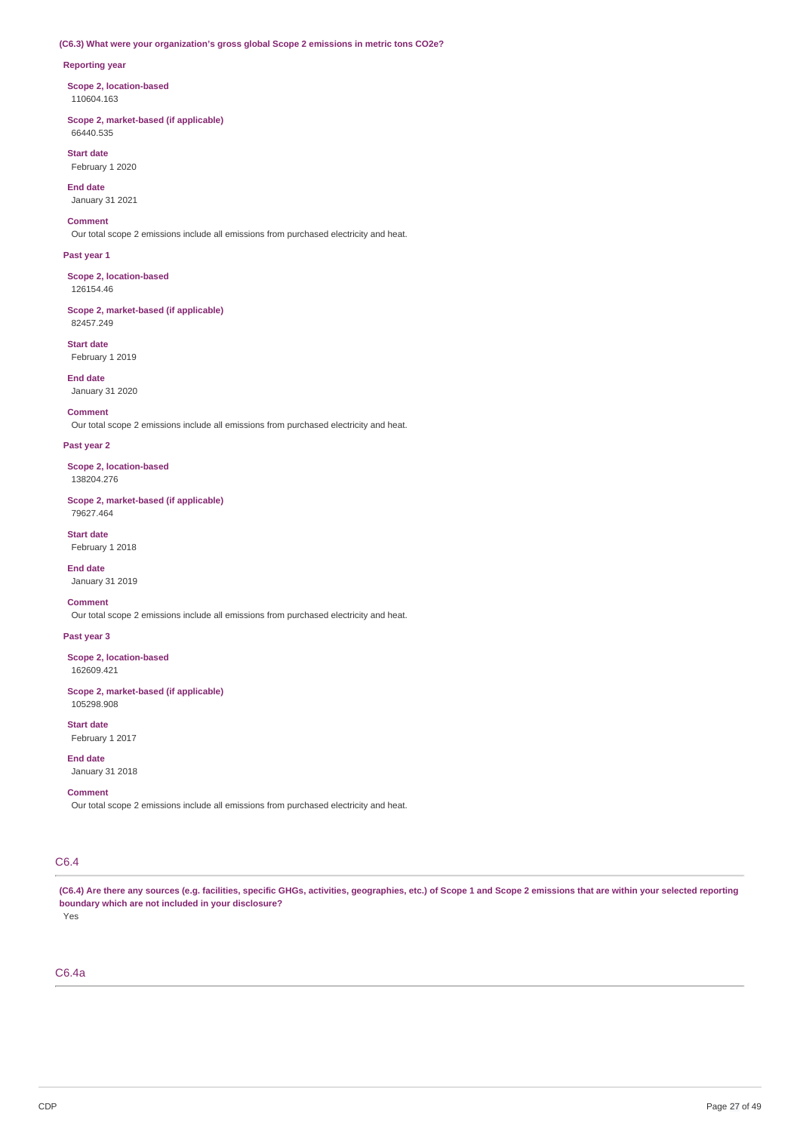# **(C6.3) What were your organization's gross global Scope 2 emissions in metric tons CO2e?**

### **Reporting year**

**Scope 2, location-based** 110604.163

**Scope 2, market-based (if applicable)** 66440.535

**Start date** February 1 2020

**End date** January 31 2021

**Comment**

Our total scope 2 emissions include all emissions from purchased electricity and heat.

**Past year 1**

**Scope 2, location-based** 126154.46

**Scope 2, market-based (if applicable)** 82457.249

**Start date** February 1 2019

**End date** January 31 2020

**Comment**

Our total scope 2 emissions include all emissions from purchased electricity and heat.

### **Past year 2**

**Scope 2, location-based** 138204.276

**Scope 2, market-based (if applicable)** 79627.464

**Start date** February 1 2018

**End date** January 31 2019

**Comment**

Our total scope 2 emissions include all emissions from purchased electricity and heat.

**Past year 3**

**Scope 2, location-based** 162609.421

**Scope 2, market-based (if applicable)** 105298.908

**Start date** February 1 2017

**End date**

January 31 2018

### **Comment**

Our total scope 2 emissions include all emissions from purchased electricity and heat.

# C6.4

(C6.4) Are there any sources (e.g. facilities, specific GHGs, activities, geographies, etc.) of Scope 1 and Scope 2 emissions that are within your selected reporting **boundary which are not included in your disclosure?**

Yes

C6.4a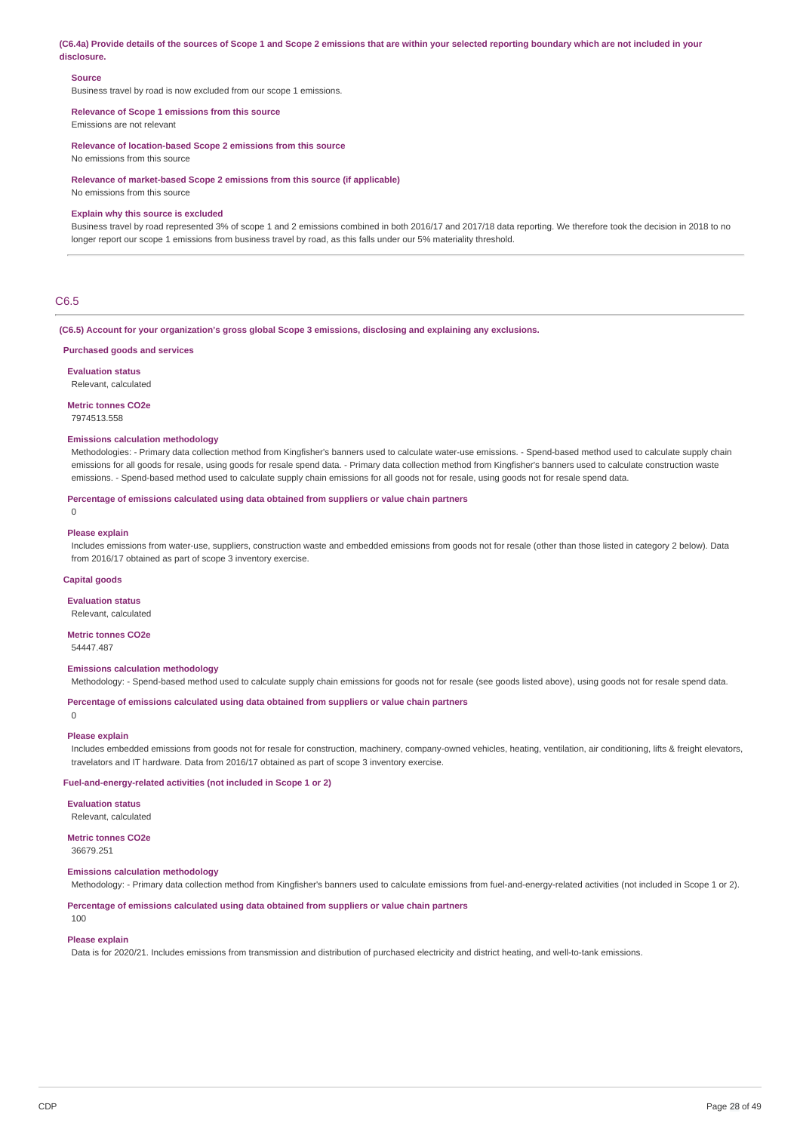(C6.4a) Provide details of the sources of Scope 1 and Scope 2 emissions that are within your selected reporting boundary which are not included in your **disclosure.**

#### **Source**

Business travel by road is now excluded from our scope 1 emissions.

#### **Relevance of Scope 1 emissions from this source**

Emissions are not relevant

**Relevance of location-based Scope 2 emissions from this source**

No emissions from this source

**Relevance of market-based Scope 2 emissions from this source (if applicable)**

No emissions from this source

#### **Explain why this source is excluded**

Business travel by road represented 3% of scope 1 and 2 emissions combined in both 2016/17 and 2017/18 data reporting. We therefore took the decision in 2018 to no longer report our scope 1 emissions from business travel by road, as this falls under our 5% materiality threshold.

### C6.5

**(C6.5) Account for your organization's gross global Scope 3 emissions, disclosing and explaining any exclusions.**

#### **Purchased goods and services**

**Evaluation status**

Relevant, calculated

### **Metric tonnes CO2e**

7974513.558

### **Emissions calculation methodology**

Methodologies: - Primary data collection method from Kingfisher's banners used to calculate water-use emissions. - Spend-based method used to calculate supply chain emissions for all goods for resale, using goods for resale spend data. - Primary data collection method from Kingfisher's banners used to calculate construction waste emissions. - Spend-based method used to calculate supply chain emissions for all goods not for resale, using goods not for resale spend data.

#### **Percentage of emissions calculated using data obtained from suppliers or value chain partners**

 $\Omega$ 

#### **Please explain**

Includes emissions from water-use, suppliers, construction waste and embedded emissions from goods not for resale (other than those listed in category 2 below). Data from 2016/17 obtained as part of scope 3 inventory exercise.

#### **Capital goods**

**Evaluation status**

Relevant, calculated

#### **Metric tonnes CO2e** 54447.487

### **Emissions calculation methodology**

Methodology: - Spend-based method used to calculate supply chain emissions for goods not for resale (see goods listed above), using goods not for resale spend data.

### **Percentage of emissions calculated using data obtained from suppliers or value chain partners**

**Please explain**

0

### Includes embedded emissions from goods not for resale for construction, machinery, company-owned vehicles, heating, ventilation, air conditioning, lifts & freight elevators, travelators and IT hardware. Data from 2016/17 obtained as part of scope 3 inventory exercise.

#### **Fuel-and-energy-related activities (not included in Scope 1 or 2)**

**Evaluation status** Relevant, calculated

# **Metric tonnes CO2e**

36679.251

### **Emissions calculation methodology**

Methodology: - Primary data collection method from Kingfisher's banners used to calculate emissions from fuel-and-energy-related activities (not included in Scope 1 or 2).

**Percentage of emissions calculated using data obtained from suppliers or value chain partners**

### 100

#### **Please explain**

Data is for 2020/21. Includes emissions from transmission and distribution of purchased electricity and district heating, and well-to-tank emissions.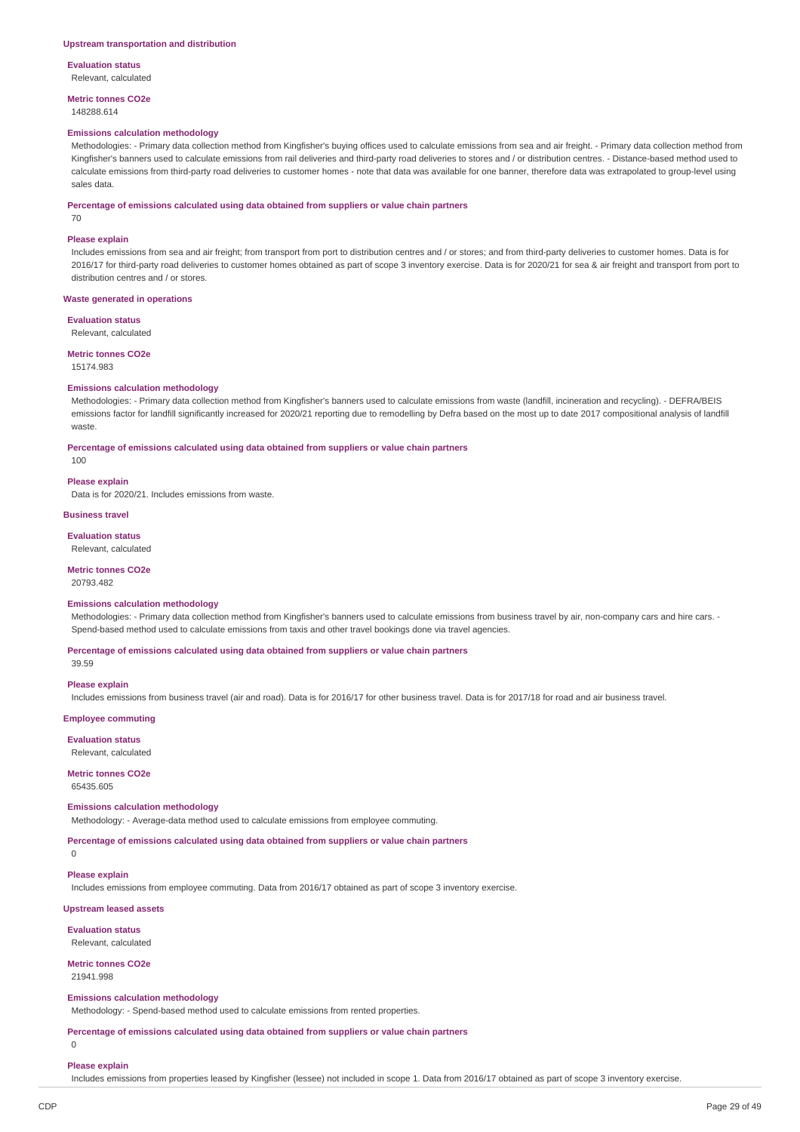**Evaluation status** Relevant, calculated

**Metric tonnes CO2e** 148288.614

#### **Emissions calculation methodology**

Methodologies: - Primary data collection method from Kingfisher's buying offices used to calculate emissions from sea and air freight. - Primary data collection method from Kingfisher's banners used to calculate emissions from rail deliveries and third-party road deliveries to stores and / or distribution centres. - Distance-based method used to calculate emissions from third-party road deliveries to customer homes - note that data was available for one banner, therefore data was extrapolated to group-level using sales data.

#### **Percentage of emissions calculated using data obtained from suppliers or value chain partners**

70

#### **Please explain**

Includes emissions from sea and air freight; from transport from port to distribution centres and / or stores; and from third-party deliveries to customer homes. Data is for 2016/17 for third-party road deliveries to customer homes obtained as part of scope 3 inventory exercise. Data is for 2020/21 for sea & air freight and transport from port to distribution centres and / or stores.

#### **Waste generated in operations**

**Evaluation status**

Relevant, calculated

### **Metric tonnes CO2e**

15174.983

### **Emissions calculation methodology**

Methodologies: - Primary data collection method from Kingfisher's banners used to calculate emissions from waste (landfill, incineration and recycling). - DEFRA/BEIS emissions factor for landfill significantly increased for 2020/21 reporting due to remodelling by Defra based on the most up to date 2017 compositional analysis of landfill waste.

**Percentage of emissions calculated using data obtained from suppliers or value chain partners**

100

#### **Please explain**

Data is for 2020/21. Includes emissions from waste.

#### **Business travel**

#### **Evaluation status**

Relevant, calculated

### **Metric tonnes CO2e**

20793.482

#### **Emissions calculation methodology**

Methodologies: - Primary data collection method from Kingfisher's banners used to calculate emissions from business travel by air, non-company cars and hire cars. -Spend-based method used to calculate emissions from taxis and other travel bookings done via travel agencies.

**Percentage of emissions calculated using data obtained from suppliers or value chain partners**

39.59

#### **Please explain**

Includes emissions from business travel (air and road). Data is for 2016/17 for other business travel. Data is for 2017/18 for road and air business travel.

**Employee commuting**

#### **Evaluation status**

Relevant, calculated

**Metric tonnes CO2e**

# 65435.605

### **Emissions calculation methodology**

Methodology: - Average-data method used to calculate emissions from employee commuting.

**Percentage of emissions calculated using data obtained from suppliers or value chain partners**

#### $\Omega$

### **Please explain**

Includes emissions from employee commuting. Data from 2016/17 obtained as part of scope 3 inventory exercise.

### **Upstream leased assets**

**Evaluation status** Relevant, calculated

**Metric tonnes CO2e** 21941.998

# **Emissions calculation methodology**

Methodology: - Spend-based method used to calculate emissions from rented properties.

**Percentage of emissions calculated using data obtained from suppliers or value chain partners**

#### $\Omega$

### **Please explain**

Includes emissions from properties leased by Kingfisher (lessee) not included in scope 1. Data from 2016/17 obtained as part of scope 3 inventory exercise.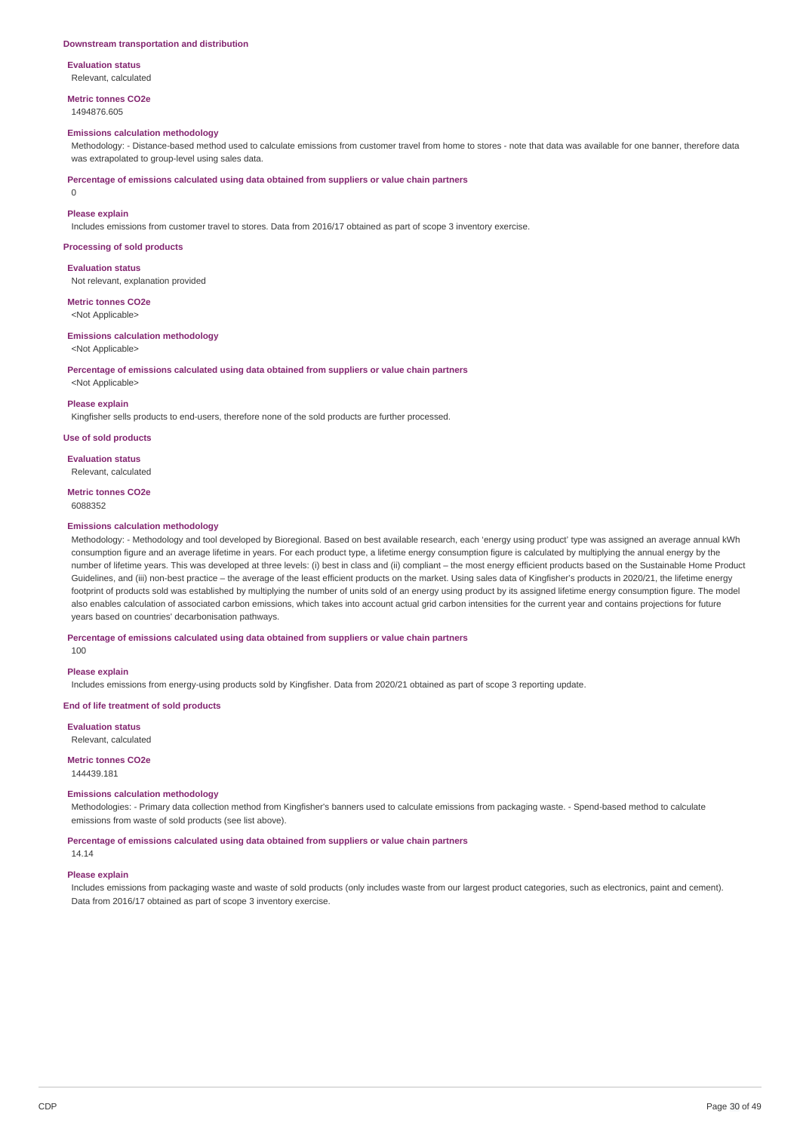#### **Downstream transportation and distribution**

**Evaluation status** Relevant, calculated

**Metric tonnes CO2e**

1494876.605

### **Emissions calculation methodology**

Methodology: - Distance-based method used to calculate emissions from customer travel from home to stores - note that data was available for one banner, therefore data was extrapolated to group-level using sales data

**Percentage of emissions calculated using data obtained from suppliers or value chain partners**

0

#### **Please explain**

Includes emissions from customer travel to stores. Data from 2016/17 obtained as part of scope 3 inventory exercise.

**Processing of sold products**

#### **Evaluation status**

Not relevant, explanation provided

# **Metric tonnes CO2e**

<Not Applicable>

### **Emissions calculation methodology**

<Not Applicable>

**Percentage of emissions calculated using data obtained from suppliers or value chain partners**

<Not Applicable>

#### **Please explain**

Kingfisher sells products to end-users, therefore none of the sold products are further processed.

### **Use of sold products**

**Evaluation status** Relevant, calculated

**Metric tonnes CO2e** 6088352

### **Emissions calculation methodology**

Methodology: - Methodology and tool developed by Bioregional. Based on best available research, each 'energy using product' type was assigned an average annual kWh consumption figure and an average lifetime in years. For each product type, a lifetime energy consumption figure is calculated by multiplying the annual energy by the number of lifetime years. This was developed at three levels: (i) best in class and (ii) compliant – the most energy efficient products based on the Sustainable Home Product Guidelines, and (iii) non-best practice – the average of the least efficient products on the market. Using sales data of Kingfisher's products in 2020/21, the lifetime energy footprint of products sold was established by multiplying the number of units sold of an energy using product by its assigned lifetime energy consumption figure. The model also enables calculation of associated carbon emissions, which takes into account actual grid carbon intensities for the current year and contains projections for future years based on countries' decarbonisation pathways.

**Percentage of emissions calculated using data obtained from suppliers or value chain partners**

100

### **Please explain**

Includes emissions from energy-using products sold by Kingfisher. Data from 2020/21 obtained as part of scope 3 reporting update.

### **End of life treatment of sold products**

**Evaluation status**

Relevant, calculated

#### **Metric tonnes CO2e** 144439.181

### **Emissions calculation methodology**

Methodologies: - Primary data collection method from Kingfisher's banners used to calculate emissions from packaging waste. - Spend-based method to calculate emissions from waste of sold products (see list above).

**Percentage of emissions calculated using data obtained from suppliers or value chain partners** 14.14

### **Please explain**

Includes emissions from packaging waste and waste of sold products (only includes waste from our largest product categories, such as electronics, paint and cement). Data from 2016/17 obtained as part of scope 3 inventory exercise.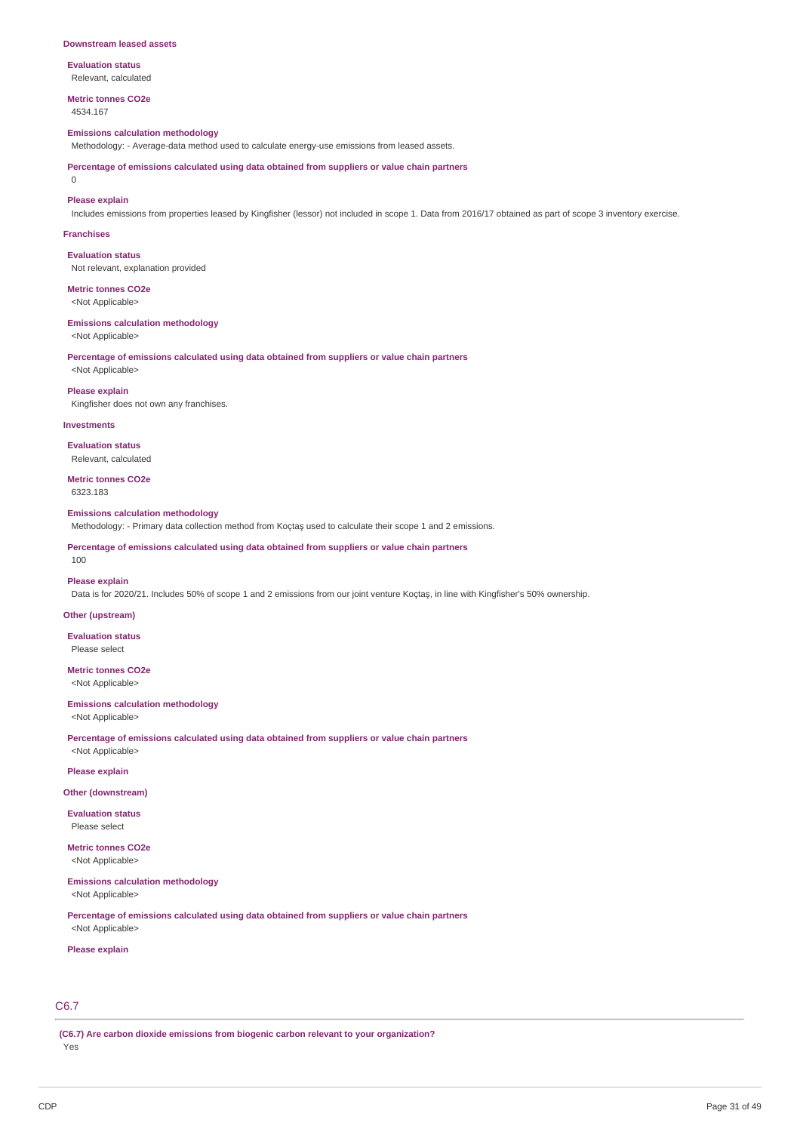#### **Downstream leased assets**

**Evaluation status** Relevant, calculated

**Metric tonnes CO2e** 4534.167

#### **Emissions calculation methodology**

Methodology: - Average-data method used to calculate energy-use emissions from leased assets.

**Percentage of emissions calculated using data obtained from suppliers or value chain partners**

#### $\Omega$

**Please explain**

Includes emissions from properties leased by Kingfisher (lessor) not included in scope 1. Data from 2016/17 obtained as part of scope 3 inventory exercise.

#### **Franchises**

**Evaluation status** Not relevant, explanation provided

**Metric tonnes CO2e** <Not Applicable>

#### **Emissions calculation methodology**

<Not Applicable>

<Not Applicable>

**Percentage of emissions calculated using data obtained from suppliers or value chain partners**

**Please explain**

Kingfisher does not own any franchises.

#### **Investments**

**Evaluation status** Relevant, calculated

**Metric tonnes CO2e** 6323.183

#### **Emissions calculation methodology**

Methodology: - Primary data collection method from Koçtaş used to calculate their scope 1 and 2 emissions.

**Percentage of emissions calculated using data obtained from suppliers or value chain partners** 100

#### **Please explain**

Data is for 2020/21. Includes 50% of scope 1 and 2 emissions from our joint venture Koçtaş, in line with Kingfisher's 50% ownership.

#### **Other (upstream)**

**Evaluation status** Please select

**Metric tonnes CO2e**

<Not Applicable>

#### **Emissions calculation methodology**

<Not Applicable>

**Percentage of emissions calculated using data obtained from suppliers or value chain partners**

# <Not Applicable> **Please explain**

#### **Other (downstream)**

**Evaluation status** Please select

**Metric tonnes CO2e**

<Not Applicable>

### **Emissions calculation methodology**

<Not Applicable>

**Percentage of emissions calculated using data obtained from suppliers or value chain partners** <Not Applicable>

#### **Please explain**

# C6.7

**(C6.7) Are carbon dioxide emissions from biogenic carbon relevant to your organization?**

Yes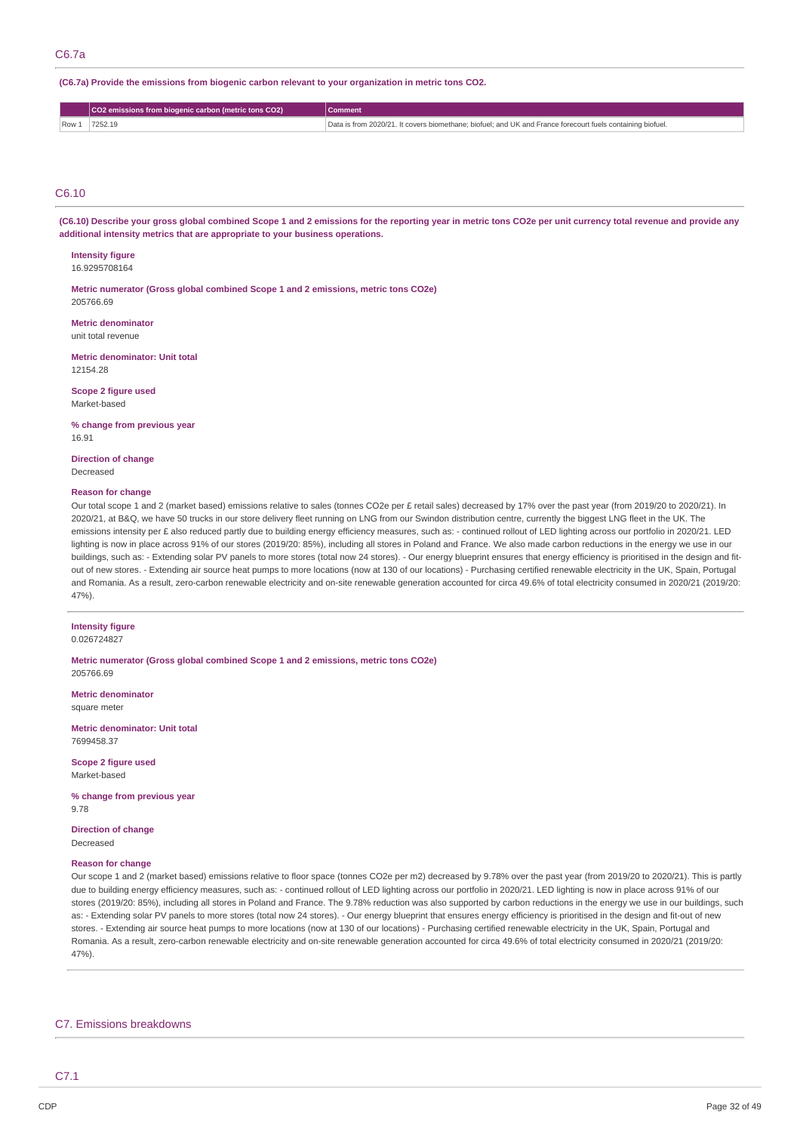### **(C6.7a) Provide the emissions from biogenic carbon relevant to your organization in metric tons CO2.**

|      | CO2 emissions from biogenic carbon (metric tons CO2) | Comment                                                                                                    |
|------|------------------------------------------------------|------------------------------------------------------------------------------------------------------------|
| Row: | 7252.19                                              | Data is from 2020/21. It covers biomethane; biofuel; and UK and France forecourt fuels containing biofuel. |

### C6.10

(C6.10) Describe your gross global combined Scope 1 and 2 emissions for the reporting year in metric tons CO2e per unit currency total revenue and provide any **additional intensity metrics that are appropriate to your business operations.**

### **Intensity figure**

16.9295708164

**Metric numerator (Gross global combined Scope 1 and 2 emissions, metric tons CO2e)** 205766.69

**Metric denominator** unit total revenue

**Metric denominator: Unit total** 12154.28

**Scope 2 figure used** Market-based

**% change from previous year** 16.91

**Direction of change** Decreased

### **Reason for change**

Our total scope 1 and 2 (market based) emissions relative to sales (tonnes CO2e per £ retail sales) decreased by 17% over the past year (from 2019/20 to 2020/21). In 2020/21, at B&Q, we have 50 trucks in our store delivery fleet running on LNG from our Swindon distribution centre. currently the biggest LNG fleet in the UK. The emissions intensity per £ also reduced partly due to building energy efficiency measures, such as: - continued rollout of LED lighting across our portfolio in 2020/21. LED lighting is now in place across 91% of our stores (2019/20: 85%), including all stores in Poland and France. We also made carbon reductions in the energy we use in our buildings, such as: - Extending solar PV panels to more stores (total now 24 stores). - Our energy blueprint ensures that energy efficiency is prioritised in the design and fitout of new stores. - Extending air source heat pumps to more locations (now at 130 of our locations) - Purchasing certified renewable electricity in the UK, Spain, Portugal and Romania. As a result, zero-carbon renewable electricity and on-site renewable generation accounted for circa 49.6% of total electricity consumed in 2020/21 (2019/20: 47%).

### **Intensity figure**

0.026724827

**Metric numerator (Gross global combined Scope 1 and 2 emissions, metric tons CO2e)** 205766.69

**Metric denominator** square meter

**Metric denominator: Unit total** 7699458.37

**Scope 2 figure used** Market-based

**% change from previous year** 9.78

**Direction of change** Decreased

#### **Reason for change**

Our scope 1 and 2 (market based) emissions relative to floor space (tonnes CO2e per m2) decreased by 9.78% over the past year (from 2019/20 to 2020/21). This is partly due to building energy efficiency measures, such as: - continued rollout of LED lighting across our portfolio in 2020/21. LED lighting is now in place across 91% of our stores (2019/20: 85%), including all stores in Poland and France. The 9.78% reduction was also supported by carbon reductions in the energy we use in our buildings, such as: - Extending solar PV panels to more stores (total now 24 stores). - Our energy blueprint that ensures energy efficiency is prioritised in the design and fit-out of new stores. - Extending air source heat pumps to more locations (now at 130 of our locations) - Purchasing certified renewable electricity in the UK, Spain, Portugal and Romania. As a result, zero-carbon renewable electricity and on-site renewable generation accounted for circa 49.6% of total electricity consumed in 2020/21 (2019/20: 47%).

### C7. Emissions breakdowns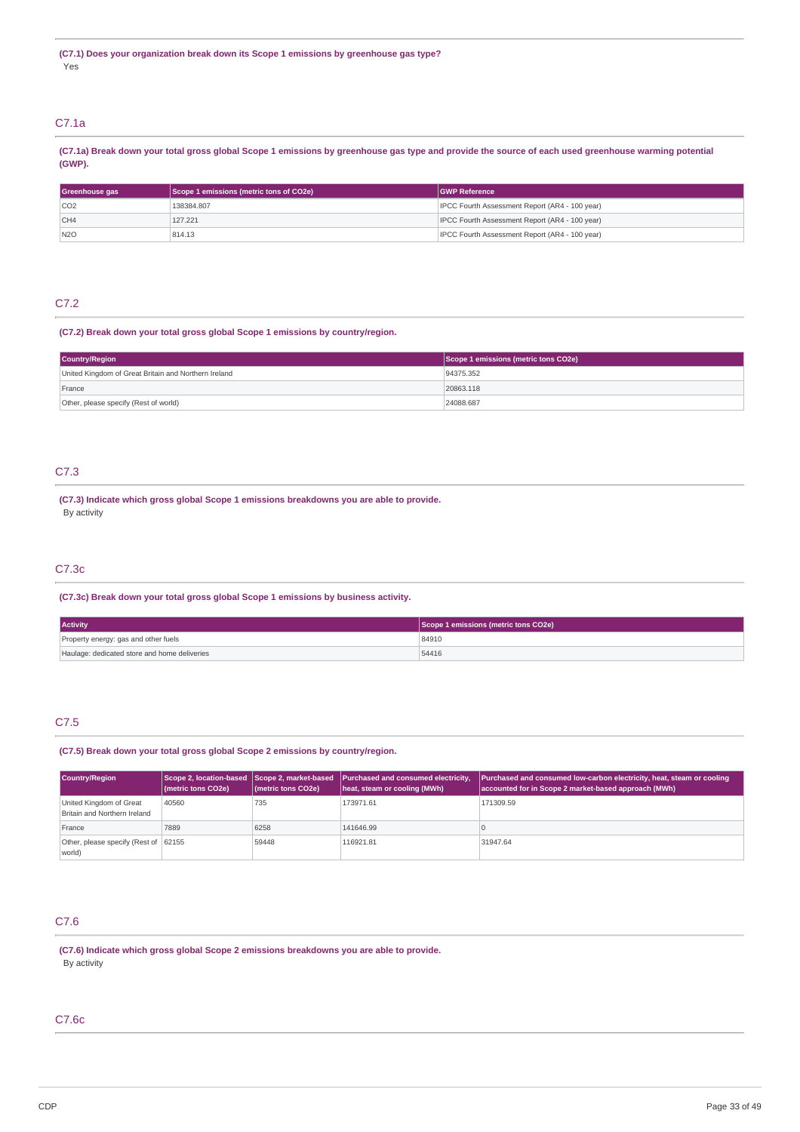### C7.1a

(C7.1a) Break down your total gross global Scope 1 emissions by greenhouse gas type and provide the source of each used greenhouse warming potential **(GWP).**

| Scope 1 emissions (metric tons of CO2e)<br>Greenhouse gas |            | <b>IGWP Reference</b>                                 |
|-----------------------------------------------------------|------------|-------------------------------------------------------|
| CO2                                                       | 138384.807 | <b>IPCC Fourth Assessment Report (AR4 - 100 year)</b> |
| CH4                                                       | 127,221    | IPCC Fourth Assessment Report (AR4 - 100 year)        |
| N2O                                                       | 814.13     | IPCC Fourth Assessment Report (AR4 - 100 year)        |

# C7.2

### **(C7.2) Break down your total gross global Scope 1 emissions by country/region.**

| Country/Region                                       | Scope 1 emissions (metric tons CO2e) |
|------------------------------------------------------|--------------------------------------|
| United Kingdom of Great Britain and Northern Ireland | 94375.352                            |
| France                                               | 20863.118                            |
| Other, please specify (Rest of world)                | 24088.687                            |

### C7.3

**(C7.3) Indicate which gross global Scope 1 emissions breakdowns you are able to provide.** By activity

### C7.3c

**(C7.3c) Break down your total gross global Scope 1 emissions by business activity.**

| <b>Activity</b>                              | Scope 1 emissions (metric tons CO2e) |
|----------------------------------------------|--------------------------------------|
| Property energy: gas and other fuels         | 84910                                |
| Haulage: dedicated store and home deliveries | 54416                                |

### C7.5

### **(C7.5) Break down your total gross global Scope 2 emissions by country/region.**

| Country/Region                                          | (metric tons CO2e) | (metric tons CO2e) | Scope 2, location-based Scope 2, market-based Purchased and consumed electricity,<br>heat, steam or cooling (MWh) | <b>Purchased and consumed low-carbon electricity, heat, steam or cooling</b><br>accounted for in Scope 2 market-based approach (MWh) |
|---------------------------------------------------------|--------------------|--------------------|-------------------------------------------------------------------------------------------------------------------|--------------------------------------------------------------------------------------------------------------------------------------|
| United Kingdom of Great<br>Britain and Northern Ireland | 40560              | 735                | 173971.61                                                                                                         | 171309.59                                                                                                                            |
| France                                                  | 7889               | 6258               | 141646.99                                                                                                         |                                                                                                                                      |
| Other, please specify (Rest of 62155<br>world)          |                    | 59448              | 116921.81                                                                                                         | 31947.64                                                                                                                             |

# C7.6

**(C7.6) Indicate which gross global Scope 2 emissions breakdowns you are able to provide.** By activity

### C7.6c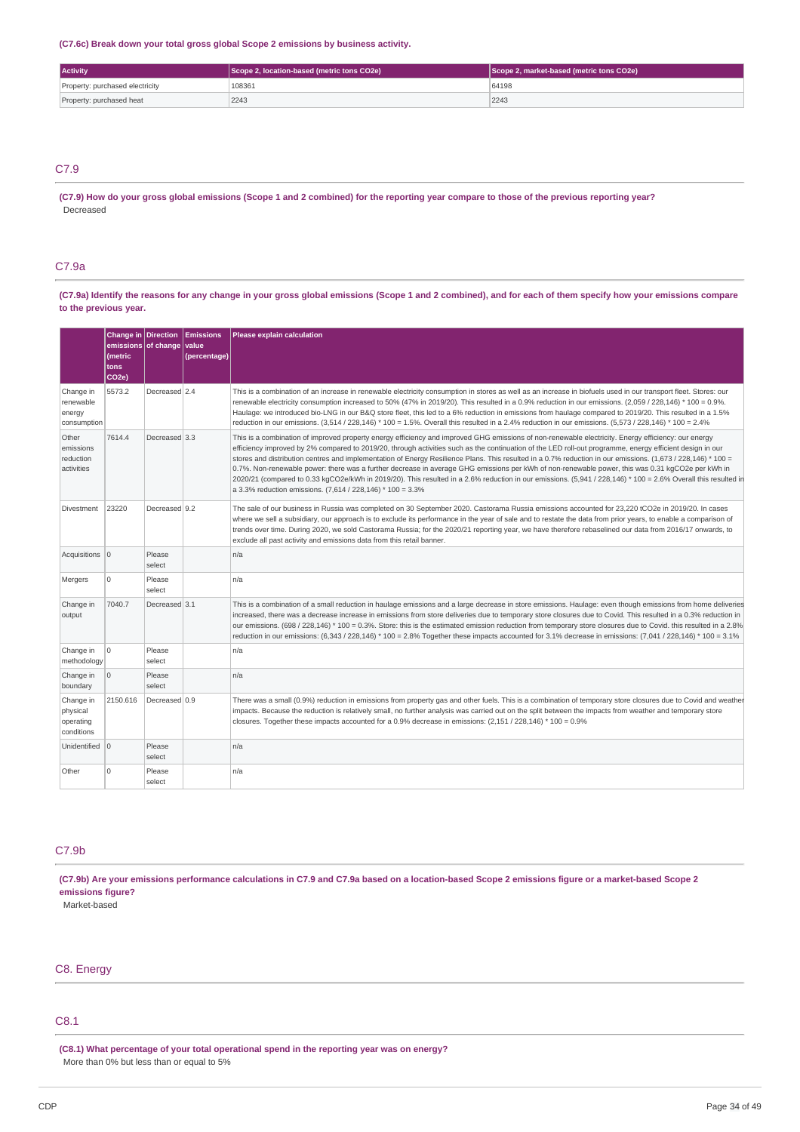**(C7.6c) Break down your total gross global Scope 2 emissions by business activity.**

| <b>Activity</b>                 | Scope 2, location-based (metric tons CO2e) | Scope 2, market-based (metric tons CO2e) |  |
|---------------------------------|--------------------------------------------|------------------------------------------|--|
| Property: purchased electricity | 108361                                     | 64198                                    |  |
| Property: purchased heat        | 2243                                       | 2243                                     |  |

### C7.9

(C7.9) How do your gross global emissions (Scope 1 and 2 combined) for the reporting year compare to those of the previous reporting year? Decreased

### C7.9a

(C7.9a) Identify the reasons for any change in your gross global emissions (Scope 1 and 2 combined), and for each of them specify how your emissions compare **to the previous year.**

|                                                  | Change in Direction<br>emissions of change<br>(metric<br>tons<br>CO <sub>2e</sub> ) |                  | <b>Emissions</b><br>value<br>(percentage) | Please explain calculation                                                                                                                                                                                                                                                                                                                                                                                                                                                                                                                                                                                                                                                                                                                                                                                                                                       |
|--------------------------------------------------|-------------------------------------------------------------------------------------|------------------|-------------------------------------------|------------------------------------------------------------------------------------------------------------------------------------------------------------------------------------------------------------------------------------------------------------------------------------------------------------------------------------------------------------------------------------------------------------------------------------------------------------------------------------------------------------------------------------------------------------------------------------------------------------------------------------------------------------------------------------------------------------------------------------------------------------------------------------------------------------------------------------------------------------------|
| Change in<br>renewable<br>energy<br>consumption  | 5573.2                                                                              | Decreased 2.4    |                                           | This is a combination of an increase in renewable electricity consumption in stores as well as an increase in biofuels used in our transport fleet. Stores: our<br>renewable electricity consumption increased to 50% (47% in 2019/20). This resulted in a 0.9% reduction in our emissions. (2,059 / 228,146) * 100 = 0.9%.<br>Haulage: we introduced bio-LNG in our B&Q store fleet, this led to a 6% reduction in emissions from haulage compared to 2019/20. This resulted in a 1.5%<br>reduction in our emissions. $(3,514/228,146)*100 = 1.5%$ . Overall this resulted in a 2.4% reduction in our emissions. $(5,573/228,146)*100 = 2.4%$                                                                                                                                                                                                                   |
| Other<br>emissions<br>reduction<br>activities    | 7614.4                                                                              | Decreased 3.3    |                                           | This is a combination of improved property energy efficiency and improved GHG emissions of non-renewable electricity. Energy efficiency: our energy<br>efficiency improved by 2% compared to 2019/20, through activities such as the continuation of the LED roll-out programme, energy efficient design in our<br>stores and distribution centres and implementation of Energy Resilience Plans. This resulted in a 0.7% reduction in our emissions. $(1,673/228,146)*100 =$<br>0.7%. Non-renewable power: there was a further decrease in average GHG emissions per kWh of non-renewable power, this was 0.31 kgCO2e per kWh in<br>2020/21 (compared to 0.33 kgCO2e/kWh in 2019/20). This resulted in a 2.6% reduction in our emissions. (5,941 / 228,146) * 100 = 2.6% Overall this resulted in<br>a 3.3% reduction emissions. (7,614 / 228,146) * 100 = 3.3% |
| Divestment                                       | 23220                                                                               | Decreased 9.2    |                                           | The sale of our business in Russia was completed on 30 September 2020. Castorama Russia emissions accounted for 23,220 tCO2e in 2019/20. In cases<br>where we sell a subsidiary, our approach is to exclude its performance in the year of sale and to restate the data from prior years, to enable a comparison of<br>trends over time. During 2020, we sold Castorama Russia; for the 2020/21 reporting year, we have therefore rebaselined our data from 2016/17 onwards, to<br>exclude all past activity and emissions data from this retail banner.                                                                                                                                                                                                                                                                                                         |
| Acquisitions 0                                   |                                                                                     | Please<br>select |                                           | n/a                                                                                                                                                                                                                                                                                                                                                                                                                                                                                                                                                                                                                                                                                                                                                                                                                                                              |
| Mergers                                          | $\Omega$                                                                            | Please<br>select |                                           | n/a                                                                                                                                                                                                                                                                                                                                                                                                                                                                                                                                                                                                                                                                                                                                                                                                                                                              |
| Change in<br>output                              | 7040.7                                                                              | Decreased 3.1    |                                           | This is a combination of a small reduction in haulage emissions and a large decrease in store emissions. Haulage: even though emissions from home deliveries<br>increased, there was a decrease increase in emissions from store deliveries due to temporary store closures due to Covid. This resulted in a 0.3% reduction in<br>our emissions. (698 / 228,146) * 100 = 0.3%. Store: this is the estimated emission reduction from temporary store closures due to Covid. this resulted in a 2.8%<br>reduction in our emissions: (6,343 / 228,146) * 100 = 2.8% Together these impacts accounted for 3.1% decrease in emissions: (7,041 / 228,146) * 100 = 3.1%                                                                                                                                                                                                 |
| Change in<br>methodology                         | O                                                                                   | Please<br>select |                                           | n/a                                                                                                                                                                                                                                                                                                                                                                                                                                                                                                                                                                                                                                                                                                                                                                                                                                                              |
| Change in<br>boundary                            | $\circ$                                                                             | Please<br>select |                                           | n/a                                                                                                                                                                                                                                                                                                                                                                                                                                                                                                                                                                                                                                                                                                                                                                                                                                                              |
| Change in<br>physical<br>operating<br>conditions | 2150.616                                                                            | Decreased 0.9    |                                           | There was a small (0.9%) reduction in emissions from property gas and other fuels. This is a combination of temporary store closures due to Covid and weather<br>impacts. Because the reduction is relatively small, no further analysis was carried out on the split between the impacts from weather and temporary store<br>closures. Together these impacts accounted for a 0.9% decrease in emissions: $(2,151/228,146)*100 = 0.9\%$                                                                                                                                                                                                                                                                                                                                                                                                                         |
| Unidentified 0                                   |                                                                                     | Please<br>select |                                           | n/a                                                                                                                                                                                                                                                                                                                                                                                                                                                                                                                                                                                                                                                                                                                                                                                                                                                              |
| Other                                            | $\Omega$                                                                            | Please<br>select |                                           | n/a                                                                                                                                                                                                                                                                                                                                                                                                                                                                                                                                                                                                                                                                                                                                                                                                                                                              |

### C7.9b

(C7.9b) Are your emissions performance calculations in C7.9 and C7.9a based on a location-based Scope 2 emissions figure or a market-based Scope 2 **emissions figure?**

Market-based

### C8. Energy

# C8.1

**(C8.1) What percentage of your total operational spend in the reporting year was on energy?** More than 0% but less than or equal to 5%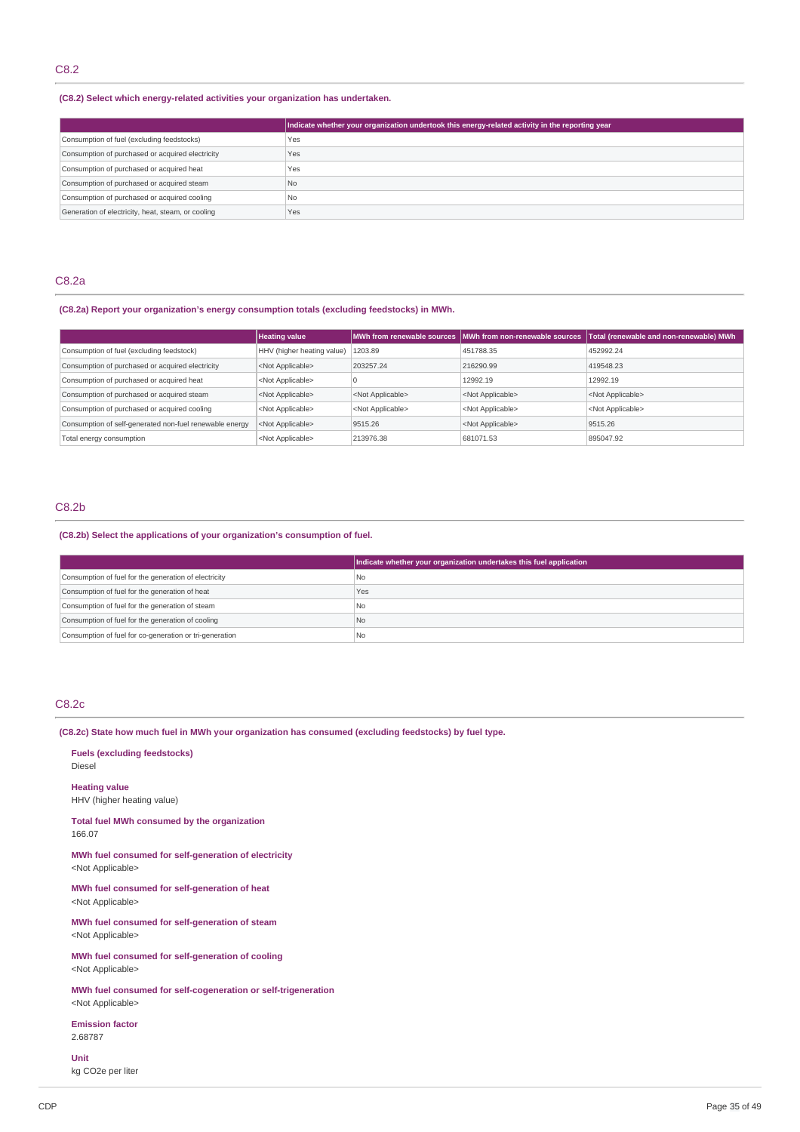### **(C8.2) Select which energy-related activities your organization has undertaken.**

|                                                    | Indicate whether your organization undertook this energy-related activity in the reporting year |
|----------------------------------------------------|-------------------------------------------------------------------------------------------------|
| Consumption of fuel (excluding feedstocks)         | Yes                                                                                             |
| Consumption of purchased or acquired electricity   | Yes                                                                                             |
| Consumption of purchased or acquired heat          | Yes                                                                                             |
| Consumption of purchased or acquired steam         | <b>No</b>                                                                                       |
| Consumption of purchased or acquired cooling       | <b>No</b>                                                                                       |
| Generation of electricity, heat, steam, or cooling | Yes                                                                                             |

### C8.2a

**(C8.2a) Report your organization's energy consumption totals (excluding feedstocks) in MWh.**

|                                                         | <b>Heating value</b>       |                           | MWh from renewable sources MWh from non-renewable sources | Total (renewable and non-renewable) MWh |
|---------------------------------------------------------|----------------------------|---------------------------|-----------------------------------------------------------|-----------------------------------------|
| Consumption of fuel (excluding feedstock)               | HHV (higher heating value) | 1203.89                   | 451788.35                                                 | 452992.24                               |
| Consumption of purchased or acquired electricity        | <not applicable=""></not>  | 203257.24                 | 216290.99                                                 | 419548.23                               |
| Consumption of purchased or acquired heat               | <not applicable=""></not>  |                           | 12992.19                                                  | 12992.19                                |
| Consumption of purchased or acquired steam              | <not applicable=""></not>  | <not applicable=""></not> | <not applicable=""></not>                                 | <not applicable=""></not>               |
| Consumption of purchased or acquired cooling            | <not applicable=""></not>  | <not applicable=""></not> | <not applicable=""></not>                                 | <not applicable=""></not>               |
| Consumption of self-generated non-fuel renewable energy | <not applicable=""></not>  | 9515.26                   | <not applicable=""></not>                                 | 9515.26                                 |
| Total energy consumption                                | <not applicable=""></not>  | 213976.38                 | 681071.53                                                 | 895047.92                               |

# C8.2b

### **(C8.2b) Select the applications of your organization's consumption of fuel.**

|                                                         | Indicate whether your organization undertakes this fuel application |
|---------------------------------------------------------|---------------------------------------------------------------------|
| Consumption of fuel for the generation of electricity   | l No                                                                |
| Consumption of fuel for the generation of heat          | Yes                                                                 |
| Consumption of fuel for the generation of steam         | I No                                                                |
| Consumption of fuel for the generation of cooling       | l No                                                                |
| Consumption of fuel for co-generation or tri-generation | <b>No</b>                                                           |

### C8.2c

**(C8.2c) State how much fuel in MWh your organization has consumed (excluding feedstocks) by fuel type.**

**Fuels (excluding feedstocks)** Diesel

**Heating value** HHV (higher heating value)

**Total fuel MWh consumed by the organization** 166.07

**MWh fuel consumed for self-generation of electricity** <Not Applicable>

**MWh fuel consumed for self-generation of heat** <Not Applicable>

**MWh fuel consumed for self-generation of steam** <Not Applicable>

**MWh fuel consumed for self-generation of cooling** <Not Applicable>

**MWh fuel consumed for self-cogeneration or self-trigeneration**

<Not Applicable> **Emission factor**

2.68787 **Unit**

kg CO2e per liter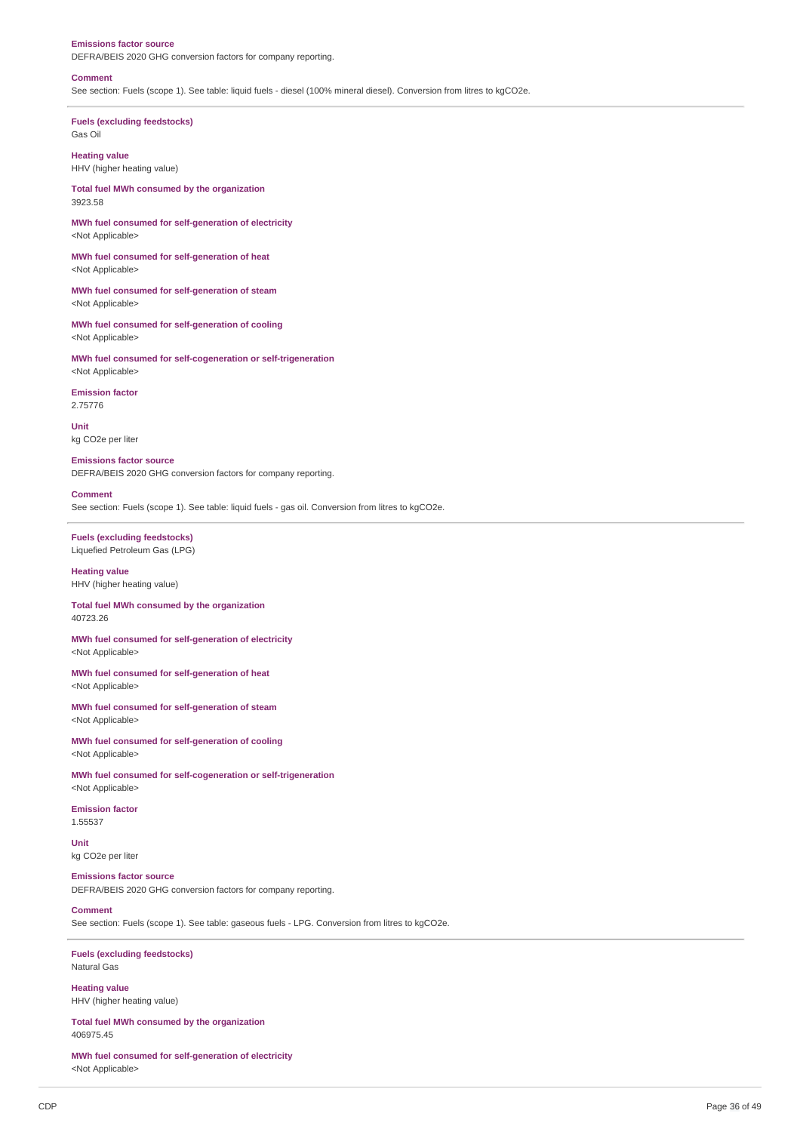#### **Emissions factor source**

DEFRA/BEIS 2020 GHG conversion factors for company reporting.

#### **Comment**

See section: Fuels (scope 1). See table: liquid fuels - diesel (100% mineral diesel). Conversion from litres to kgCO2e.

**Fuels (excluding feedstocks)** Gas Oil

**Heating value** HHV (higher heating value)

**Total fuel MWh consumed by the organization** 3923.58

**MWh fuel consumed for self-generation of electricity** <Not Applicable>

**MWh fuel consumed for self-generation of heat** <Not Applicable>

**MWh fuel consumed for self-generation of steam** <Not Applicable>

**MWh fuel consumed for self-generation of cooling** <Not Applicable>

**MWh fuel consumed for self-cogeneration or self-trigeneration** <Not Applicable>

#### **Emission factor**

2.75776

**Unit** kg CO2e per liter

**Emissions factor source**

DEFRA/BEIS 2020 GHG conversion factors for company reporting.

#### **Comment**

See section: Fuels (scope 1). See table: liquid fuels - gas oil. Conversion from litres to kgCO2e.

**Fuels (excluding feedstocks)** Liquefied Petroleum Gas (LPG)

**Heating value** HHV (higher heating value)

**Total fuel MWh consumed by the organization** 40723.26

**MWh fuel consumed for self-generation of electricity** <Not Applicable>

**MWh fuel consumed for self-generation of heat** <Not Applicable>

**MWh fuel consumed for self-generation of steam** <Not Applicable>

**MWh fuel consumed for self-generation of cooling** <Not Applicable>

**MWh fuel consumed for self-cogeneration or self-trigeneration** <Not Applicable>

**Emission factor** 1.55537

**Unit** kg CO2e per liter

### **Emissions factor source**

DEFRA/BEIS 2020 GHG conversion factors for company reporting.

#### **Comment**

See section: Fuels (scope 1). See table: gaseous fuels - LPG. Conversion from litres to kgCO2e.

**Fuels (excluding feedstocks)** Natural Gas

**Heating value** HHV (higher heating value)

**Total fuel MWh consumed by the organization** 406975.45

**MWh fuel consumed for self-generation of electricity** <Not Applicable>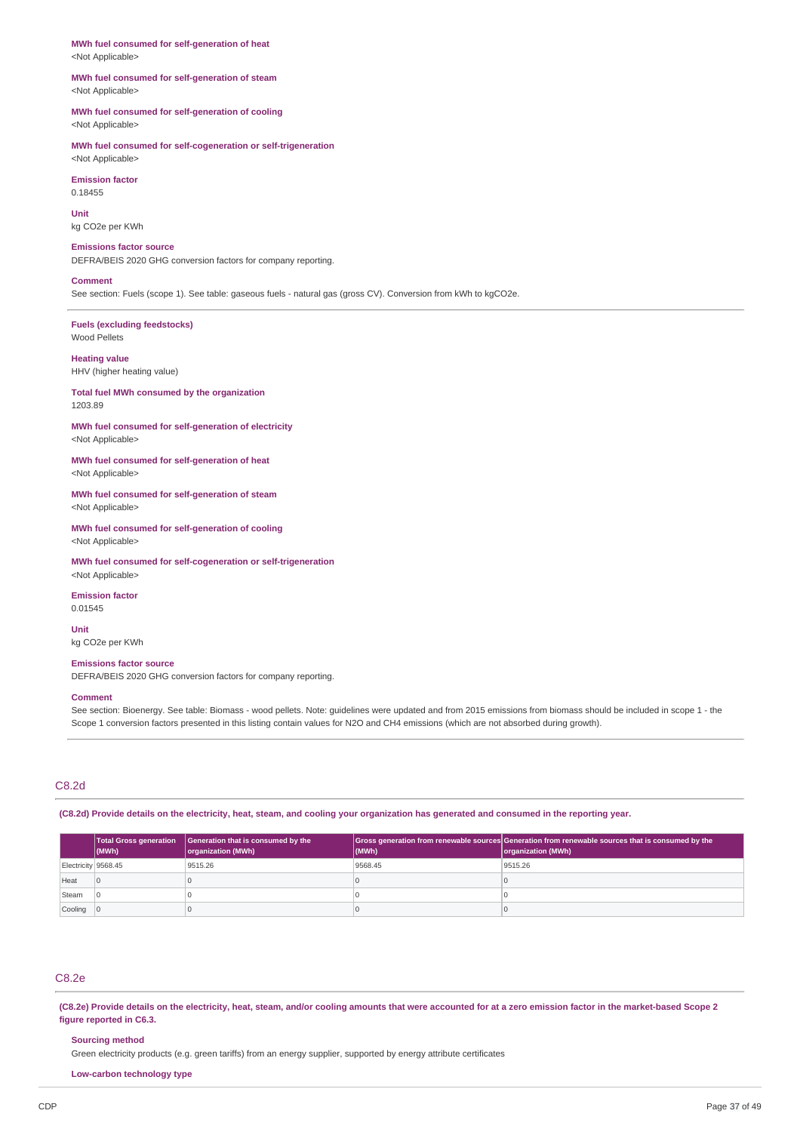**MWh fuel consumed for self-generation of heat** <Not Applicable>

#### **MWh fuel consumed for self-generation of steam** <Not Applicable>

### **MWh fuel consumed for self-generation of cooling** <Not Applicable>

**MWh fuel consumed for self-cogeneration or self-trigeneration** <Not Applicable>

**Emission factor** 0.18455

**Unit** kg CO2e per KWh

**Emissions factor source** DEFRA/BEIS 2020 GHG conversion factors for company reporting.

#### **Comment**

See section: Fuels (scope 1). See table: gaseous fuels - natural gas (gross CV). Conversion from kWh to kgCO2e.

**Fuels (excluding feedstocks)** Wood Pellets

**Heating value** HHV (higher heating value)

**Total fuel MWh consumed by the organization** 1203.89

**MWh fuel consumed for self-generation of electricity** <Not Applicable>

**MWh fuel consumed for self-generation of heat** <Not Applicable>

**MWh fuel consumed for self-generation of steam** <Not Applicable>

**MWh fuel consumed for self-generation of cooling** <Not Applicable>

**MWh fuel consumed for self-cogeneration or self-trigeneration** <Not Applicable>

**Emission factor** 0.01545

**Unit** kg CO2e per KWh

### **Emissions factor source**

DEFRA/BEIS 2020 GHG conversion factors for company reporting.

### **Comment**

See section: Bioenergy. See table: Biomass - wood pellets. Note: guidelines were updated and from 2015 emissions from biomass should be included in scope 1 - the Scope 1 conversion factors presented in this listing contain values for N2O and CH4 emissions (which are not absorbed during growth).

### C8.2d

(C8.2d) Provide details on the electricity, heat, steam, and cooling your organization has generated and consumed in the reporting year.

|                     | $ $ (MWh)      | Total Gross generation   Generation that is consumed by the<br>organization (MWh) | (MWh)   | Gross generation from renewable sources Generation from renewable sources that is consumed by the<br>organization (MWh) |
|---------------------|----------------|-----------------------------------------------------------------------------------|---------|-------------------------------------------------------------------------------------------------------------------------|
| Electricity 9568.45 |                | 9515.26                                                                           | 9568.45 | 9515.26                                                                                                                 |
| Heat                | $\overline{0}$ |                                                                                   |         |                                                                                                                         |
| Steam               |                |                                                                                   |         |                                                                                                                         |
| Cooling 0           |                |                                                                                   |         |                                                                                                                         |

# C8.2e

(C8.2e) Provide details on the electricity, heat, steam, and/or cooling amounts that were accounted for at a zero emission factor in the market-based Scope 2 **figure reported in C6.3.**

#### **Sourcing method**

Green electricity products (e.g. green tariffs) from an energy supplier, supported by energy attribute certificates

#### **Low-carbon technology type**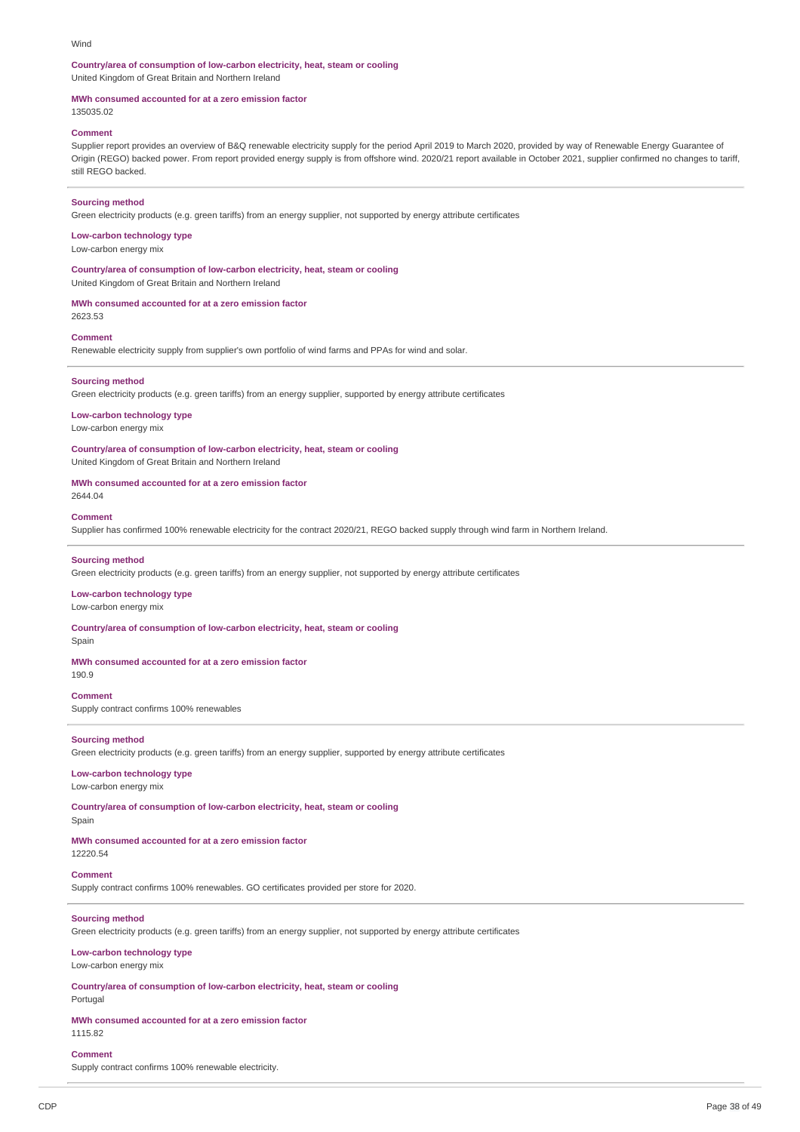#### Wind

#### **Country/area of consumption of low-carbon electricity, heat, steam or cooling** United Kingdom of Great Britain and Northern Ireland

#### **MWh consumed accounted for at a zero emission factor**

135035.02

### **Comment**

Supplier report provides an overview of B&Q renewable electricity supply for the period April 2019 to March 2020, provided by way of Renewable Energy Guarantee of Origin (REGO) backed power. From report provided energy supply is from offshore wind. 2020/21 report available in October 2021, supplier confirmed no changes to tariff, still REGO backed.

#### **Sourcing method**

Green electricity products (e.g. green tariffs) from an energy supplier, not supported by energy attribute certificates

#### **Low-carbon technology type**

Low-carbon energy mix

**Country/area of consumption of low-carbon electricity, heat, steam or cooling** United Kingdom of Great Britain and Northern Ireland

#### **MWh consumed accounted for at a zero emission factor**

2623.53

#### **Comment**

Renewable electricity supply from supplier's own portfolio of wind farms and PPAs for wind and solar.

#### **Sourcing method**

Green electricity products (e.g. green tariffs) from an energy supplier, supported by energy attribute certificates

#### **Low-carbon technology type**

Low-carbon energy mix

### **Country/area of consumption of low-carbon electricity, heat, steam or cooling**

United Kingdom of Great Britain and Northern Ireland

### **MWh consumed accounted for at a zero emission factor**

2644.04

### **Comment**

Supplier has confirmed 100% renewable electricity for the contract 2020/21, REGO backed supply through wind farm in Northern Ireland.

#### **Sourcing method**

Green electricity products (e.g. green tariffs) from an energy supplier, not supported by energy attribute certificates

#### **Low-carbon technology type**

Low-carbon energy mix

**Country/area of consumption of low-carbon electricity, heat, steam or cooling** Spair

#### **MWh consumed accounted for at a zero emission factor**

190.9

**Comment** Supply contract confirms 100% renewables

#### **Sourcing method**

Green electricity products (e.g. green tariffs) from an energy supplier, supported by energy attribute certificates

#### **Low-carbon technology type**

Low-carbon energy mix

**Country/area of consumption of low-carbon electricity, heat, steam or cooling**

### Spain

**MWh consumed accounted for at a zero emission factor** 12220.54

# **Comment**

Supply contract confirms 100% renewables. GO certificates provided per store for 2020.

### **Sourcing method**

Green electricity products (e.g. green tariffs) from an energy supplier, not supported by energy attribute certificates

### **Low-carbon technology type**

Low-carbon energy mix

**Country/area of consumption of low-carbon electricity, heat, steam or cooling**

Portugal

### **MWh consumed accounted for at a zero emission factor**

1115.82

### **Comment**

Supply contract confirms 100% renewable electricity.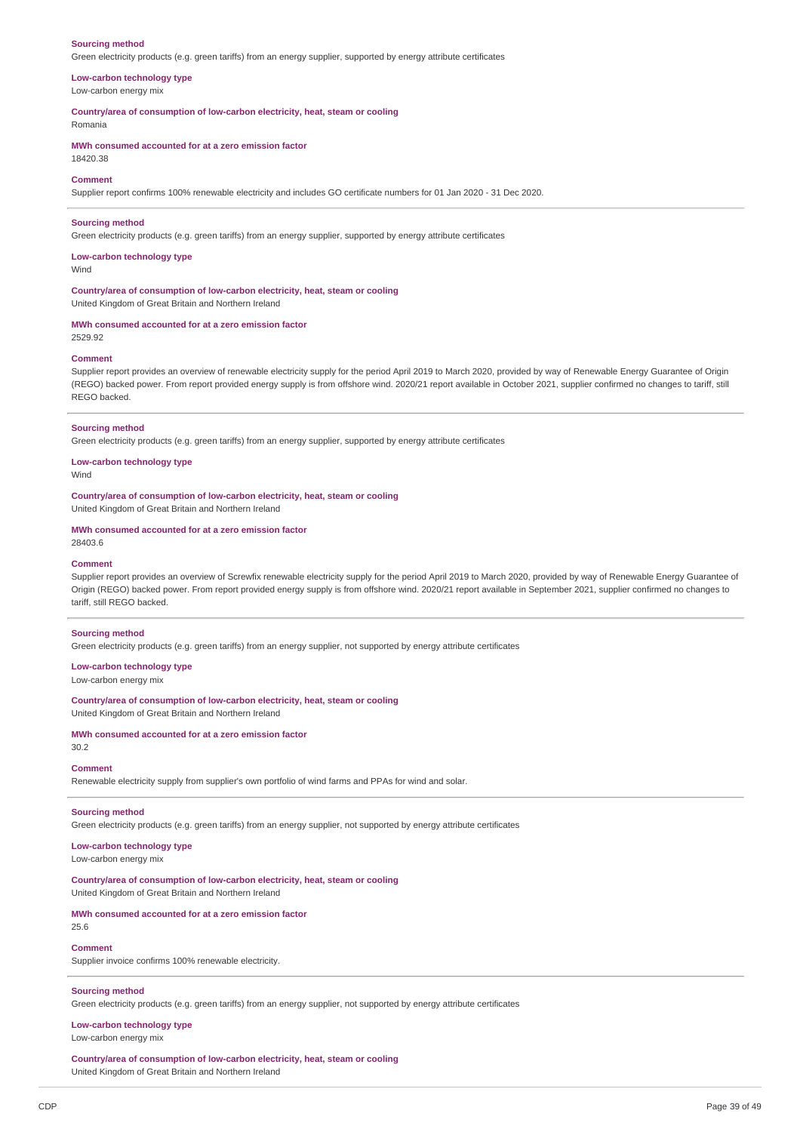#### **Sourcing method**

Green electricity products (e.g. green tariffs) from an energy supplier, supported by energy attribute certificates

# **Low-carbon technology type**

Low-carbon energy mix

**Country/area of consumption of low-carbon electricity, heat, steam or cooling**

Romania

**MWh consumed accounted for at a zero emission factor**

# 18420.38 **Comment**

Supplier report confirms 100% renewable electricity and includes GO certificate numbers for 01 Jan 2020 - 31 Dec 2020.

#### **Sourcing method**

Green electricity products (e.g. green tariffs) from an energy supplier, supported by energy attribute certificates

#### **Low-carbon technology type Wind**

#### **Country/area of consumption of low-carbon electricity, heat, steam or cooling** United Kingdom of Great Britain and Northern Ireland

### **MWh consumed accounted for at a zero emission factor**

2529.92

### **Comment**

Supplier report provides an overview of renewable electricity supply for the period April 2019 to March 2020, provided by way of Renewable Energy Guarantee of Origin (REGO) backed power. From report provided energy supply is from offshore wind. 2020/21 report available in October 2021, supplier confirmed no changes to tariff, still REGO backed.

#### **Sourcing method**

Green electricity products (e.g. green tariffs) from an energy supplier, supported by energy attribute certificates

**Low-carbon technology type**

Wind

### **Country/area of consumption of low-carbon electricity, heat, steam or cooling**

United Kingdom of Great Britain and Northern Ireland

#### **MWh consumed accounted for at a zero emission factor**

28403.6

#### **Comment**

Supplier report provides an overview of Screwfix renewable electricity supply for the period April 2019 to March 2020, provided by way of Renewable Energy Guarantee of Origin (REGO) backed power. From report provided energy supply is from offshore wind. 2020/21 report available in September 2021, supplier confirmed no changes to tariff, still REGO backed.

#### **Sourcing method**

Green electricity products (e.g. green tariffs) from an energy supplier, not supported by energy attribute certificates

### **Low-carbon technology type**

Low-carbon energy mix

**Country/area of consumption of low-carbon electricity, heat, steam or cooling** United Kingdom of Great Britain and Northern Ireland

#### **MWh consumed accounted for at a zero emission factor**

30.2

#### **Comment**

Renewable electricity supply from supplier's own portfolio of wind farms and PPAs for wind and solar.

#### **Sourcing method**

Green electricity products (e.g. green tariffs) from an energy supplier, not supported by energy attribute certificates

#### **Low-carbon technology type** Low-carbon energy mix

**Country/area of consumption of low-carbon electricity, heat, steam or cooling** United Kingdom of Great Britain and Northern Ireland

### **MWh consumed accounted for at a zero emission factor**

25.6

# **Comment**

Supplier invoice confirms 100% renewable electricity.

### **Sourcing method**

Green electricity products (e.g. green tariffs) from an energy supplier, not supported by energy attribute certificates

**Low-carbon technology type** Low-carbon energy mix

**Country/area of consumption of low-carbon electricity, heat, steam or cooling** United Kingdom of Great Britain and Northern Ireland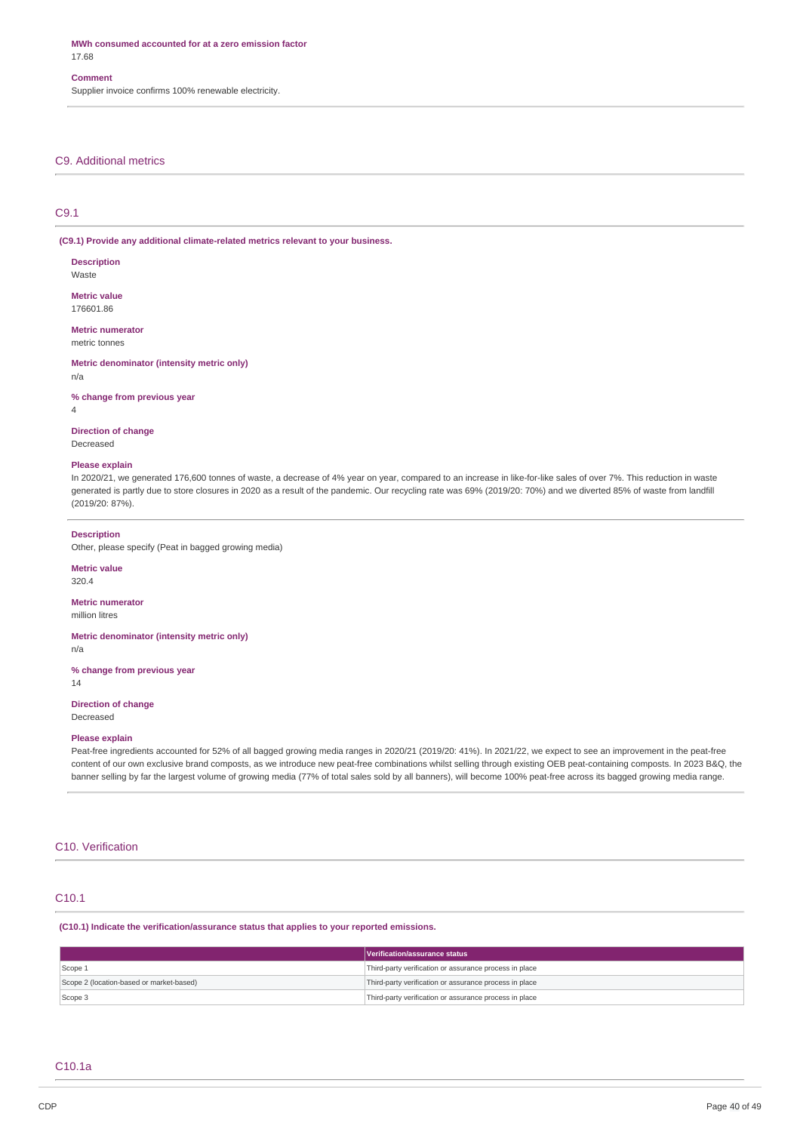**MWh consumed accounted for at a zero emission factor** 17.68

#### **Comment**

Supplier invoice confirms 100% renewable electricity.

### C9. Additional metrics

### C9.1

**(C9.1) Provide any additional climate-related metrics relevant to your business.**

**Description** Waste

**Metric value** 176601.86

**Metric numerator** metric tonnes

**Metric denominator (intensity metric only)** n/a

**% change from previous year**

4

**Direction of change** Decreased

#### **Please explain**

In 2020/21, we generated 176,600 tonnes of waste, a decrease of 4% year on year, compared to an increase in like-for-like sales of over 7%. This reduction in waste generated is partly due to store closures in 2020 as a result of the pandemic. Our recycling rate was 69% (2019/20: 70%) and we diverted 85% of waste from landfill (2019/20: 87%).

#### **Description**

Other, please specify (Peat in bagged growing media)

**Metric value**

320.4

### **Metric numerator**

million litres

#### **Metric denominator (intensity metric only)**

n/a

**% change from previous year** 14

**Direction of change** Decreased

#### **Please explain**

Peat-free ingredients accounted for 52% of all bagged growing media ranges in 2020/21 (2019/20: 41%). In 2021/22, we expect to see an improvement in the peat-free content of our own exclusive brand composts, as we introduce new peat-free combinations whilst selling through existing OEB peat-containing composts. In 2023 B&Q, the banner selling by far the largest volume of growing media (77% of total sales sold by all banners), will become 100% peat-free across its bagged growing media range.

### C10. Verification

#### C10.1

**(C10.1) Indicate the verification/assurance status that applies to your reported emissions.**

|                                          | Verification/assurance status                          |
|------------------------------------------|--------------------------------------------------------|
| Scope 1                                  | Third-party verification or assurance process in place |
| Scope 2 (location-based or market-based) | Third-party verification or assurance process in place |
| Scope 3                                  | Third-party verification or assurance process in place |

### C10.1a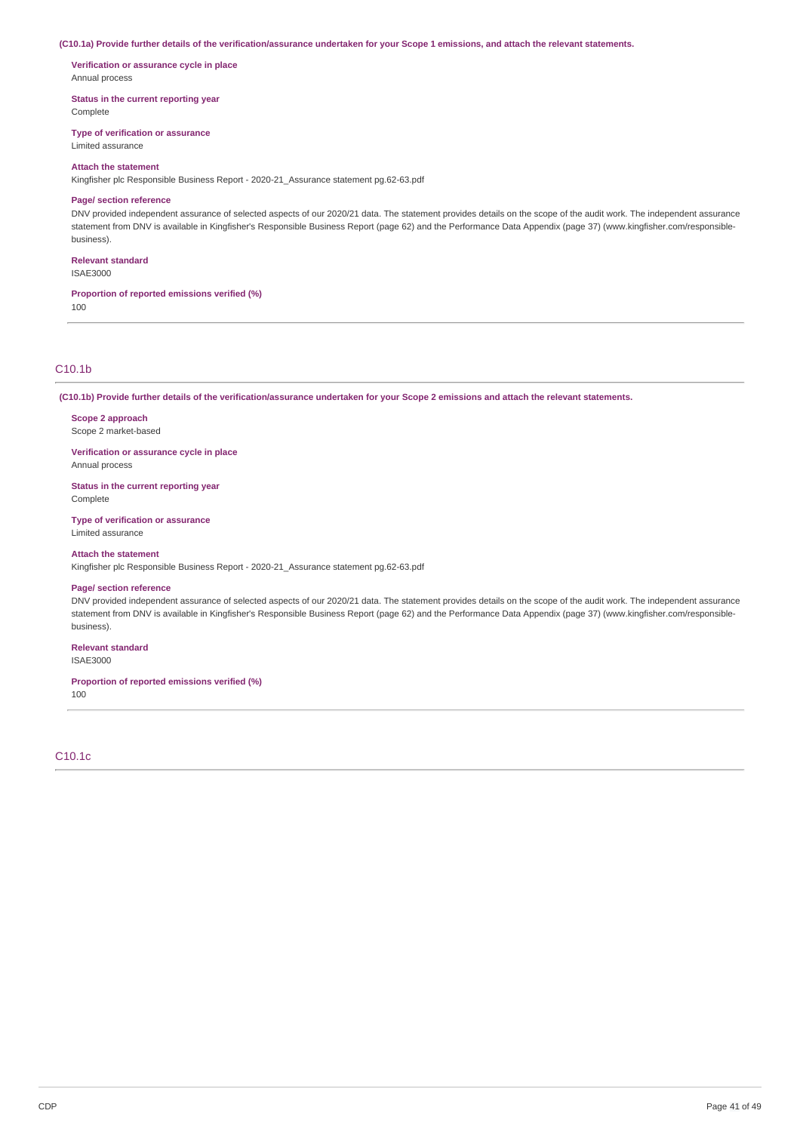#### (C10.1a) Provide further details of the verification/assurance undertaken for your Scope 1 emissions, and attach the relevant statements.

**Verification or assurance cycle in place** Annual process

**Status in the current reporting year**

Complete

**Type of verification or assurance**

Limited assurance

### **Attach the statement**

Kingfisher plc Responsible Business Report - 2020-21\_Assurance statement pg.62-63.pdf

### **Page/ section reference**

DNV provided independent assurance of selected aspects of our 2020/21 data. The statement provides details on the scope of the audit work. The independent assurance statement from DNV is available in Kingfisher's Responsible Business Report (page 62) and the Performance Data Appendix (page 37) (www.kingfisher.com/responsiblebusiness).

#### **Relevant standard** ISAE3000

**Proportion of reported emissions verified (%)**

100

# C10.1b

(C10.1b) Provide further details of the verification/assurance undertaken for your Scope 2 emissions and attach the relevant statements.

**Scope 2 approach** Scope 2 market-based

**Verification or assurance cycle in place** Annual process

**Status in the current reporting year** Complete

**Type of verification or assurance** Limited assurance

#### **Attach the statement**

Kingfisher plc Responsible Business Report - 2020-21\_Assurance statement pg.62-63.pdf

#### **Page/ section reference**

DNV provided independent assurance of selected aspects of our 2020/21 data. The statement provides details on the scope of the audit work. The independent assurance statement from DNV is available in Kingfisher's Responsible Business Report (page 62) and the Performance Data Appendix (page 37) (www.kingfisher.com/responsiblebusiness).

### **Relevant standard**

ISAE3000

### **Proportion of reported emissions verified (%)**

100

C10.1c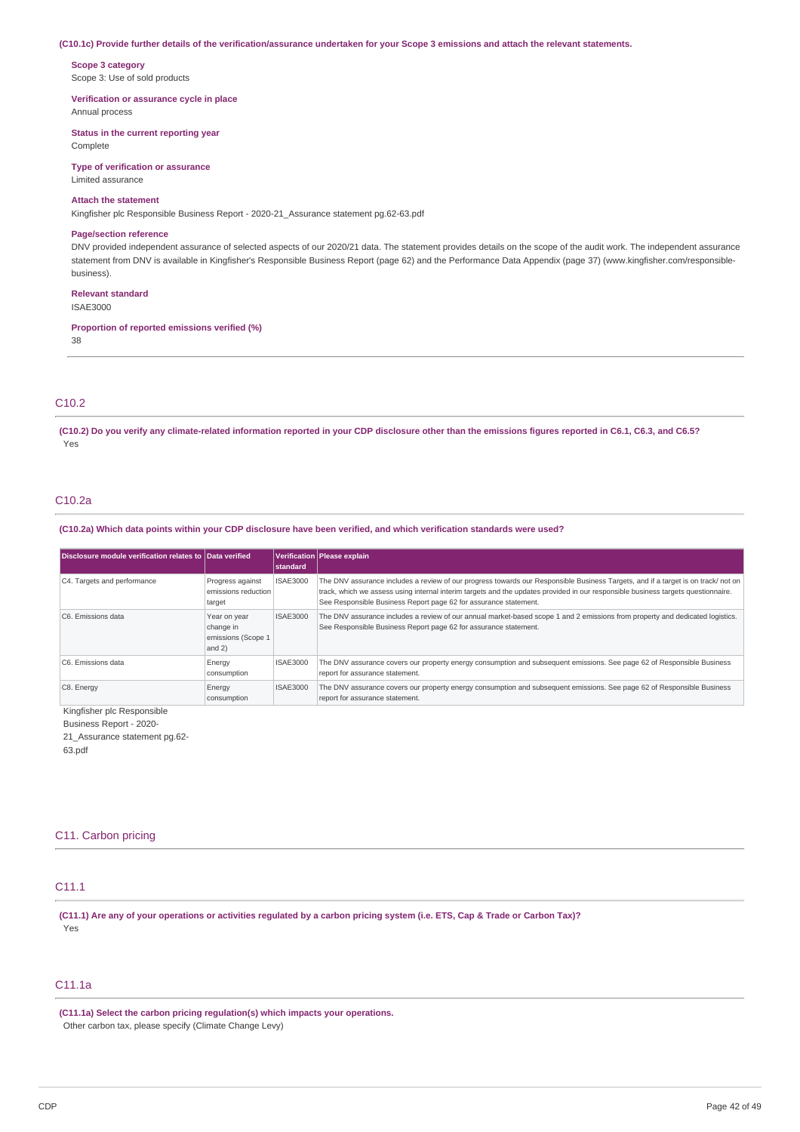#### (C10.1c) Provide further details of the verification/assurance undertaken for your Scope 3 emissions and attach the relevant statements.

**Scope 3 category** Scope 3: Use of sold products

**Verification or assurance cycle in place** Annual process

**Status in the current reporting year**

Complete

**Type of verification or assurance** Limited assurance

#### **Attach the statement**

Kingfisher plc Responsible Business Report - 2020-21\_Assurance statement pg.62-63.pdf

#### **Page/section reference**

DNV provided independent assurance of selected aspects of our 2020/21 data. The statement provides details on the scope of the audit work. The independent assurance statement from DNV is available in Kingfisher's Responsible Business Report (page 62) and the Performance Data Appendix (page 37) (www.kingfisher.com/responsiblebusiness).

#### **Relevant standard**

ISAE3000

### **Proportion of reported emissions verified (%)**

38

### C10.2

(C10.2) Do you verify any climate-related information reported in your CDP disclosure other than the emissions figures reported in C6.1, C6.3, and C6.5? Yes

#### C10.2a

(C10.2a) Which data points within your CDP disclosure have been verified, and which verification standards were used?

| Disclosure module verification relates to Data verified |                                                             | standard        | Verification   Please explain                                                                                                                                                                                                                                                                                                              |
|---------------------------------------------------------|-------------------------------------------------------------|-----------------|--------------------------------------------------------------------------------------------------------------------------------------------------------------------------------------------------------------------------------------------------------------------------------------------------------------------------------------------|
| C4. Targets and performance                             | Progress against<br>emissions reduction<br>target           | <b>ISAE3000</b> | The DNV assurance includes a review of our progress towards our Responsible Business Targets, and if a target is on track/ not on<br>track, which we assess using internal interim targets and the updates provided in our responsible business targets questionnaire.<br>See Responsible Business Report page 62 for assurance statement. |
| C6. Emissions data                                      | Year on year<br>change in<br>emissions (Scope 1<br>and $2)$ | <b>ISAE3000</b> | The DNV assurance includes a review of our annual market-based scope 1 and 2 emissions from property and dedicated logistics.<br>See Responsible Business Report page 62 for assurance statement.                                                                                                                                          |
| C6. Emissions data                                      | Energy<br>consumption                                       | <b>ISAE3000</b> | The DNV assurance covers our property energy consumption and subsequent emissions. See page 62 of Responsible Business<br>report for assurance statement.                                                                                                                                                                                  |
| C8. Energy                                              | Energy<br>consumption                                       | <b>ISAE3000</b> | The DNV assurance covers our property energy consumption and subsequent emissions. See page 62 of Responsible Business<br>report for assurance statement.                                                                                                                                                                                  |

Kingfisher plc Responsible

Business Report - 2020-

21 Assurance statement pg.62-

63.pdf

### C11. Carbon pricing

# C11.1

(C11.1) Are any of your operations or activities regulated by a carbon pricing system (i.e. ETS, Cap & Trade or Carbon Tax)? Yes

### C11.1a

**(C11.1a) Select the carbon pricing regulation(s) which impacts your operations.** Other carbon tax, please specify (Climate Change Levy)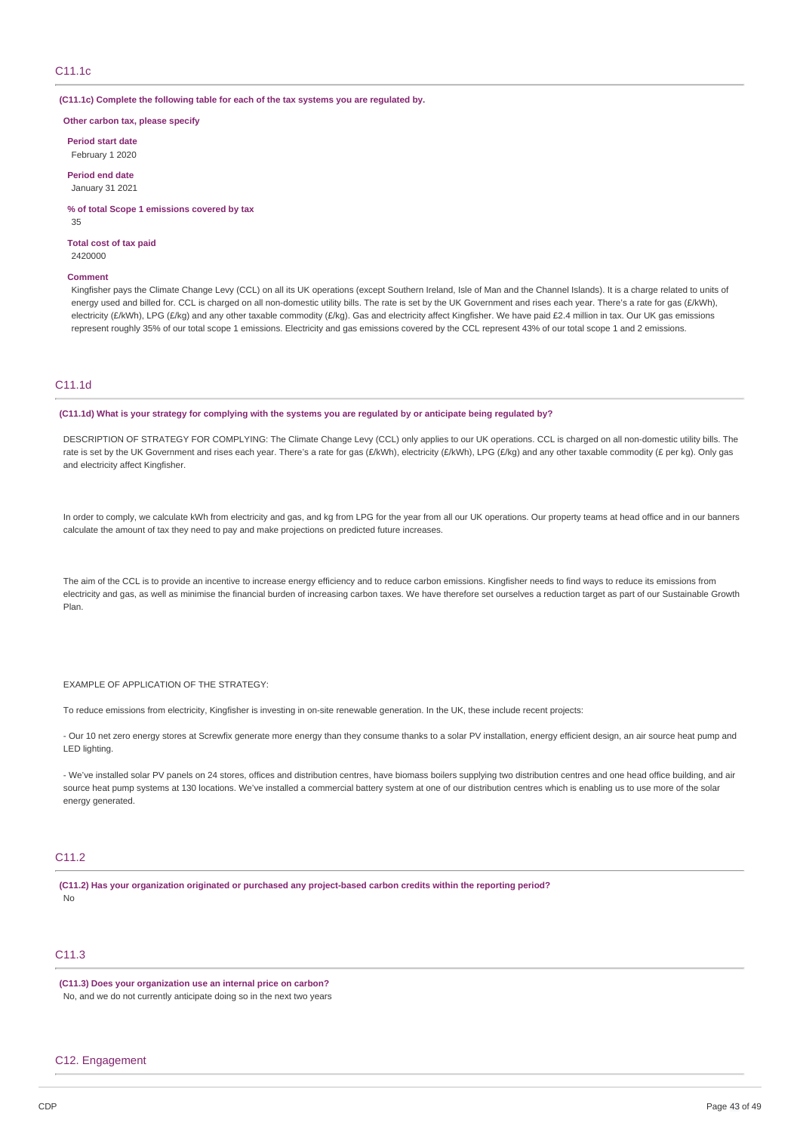### C11.1c

**(C11.1c) Complete the following table for each of the tax systems you are regulated by.**

**Other carbon tax, please specify**

**Period start date** February 1 2020

**Period end date** January 31 2021

**% of total Scope 1 emissions covered by tax** 35

**Total cost of tax paid** 2420000

#### **Comment**

Kingfisher pays the Climate Change Levy (CCL) on all its UK operations (except Southern Ireland, Isle of Man and the Channel Islands). It is a charge related to units of energy used and billed for. CCL is charged on all non-domestic utility bills. The rate is set by the UK Government and rises each year. There's a rate for gas (£/kWh), electricity (£/kWh), LPG (£/kg) and any other taxable commodity (£/kg). Gas and electricity affect Kingfisher. We have paid £2.4 million in tax. Our UK gas emissions represent roughly 35% of our total scope 1 emissions. Electricity and gas emissions covered by the CCL represent 43% of our total scope 1 and 2 emissions.

### C11.1d

(C11.1d) What is your strategy for complying with the systems you are regulated by or anticipate being regulated by?

DESCRIPTION OF STRATEGY FOR COMPLYING: The Climate Change Levy (CCL) only applies to our UK operations. CCL is charged on all non-domestic utility bills. The rate is set by the UK Government and rises each year. There's a rate for gas (£/kWh), electricity (£/kWh), LPG (£/kg) and any other taxable commodity (£ per kg). Only gas and electricity affect Kingfisher.

In order to comply, we calculate kWh from electricity and gas, and kg from LPG for the year from all our UK operations. Our property teams at head office and in our banners calculate the amount of tax they need to pay and make projections on predicted future increases.

The aim of the CCL is to provide an incentive to increase energy efficiency and to reduce carbon emissions. Kingfisher needs to find ways to reduce its emissions from electricity and gas, as well as minimise the financial burden of increasing carbon taxes. We have therefore set ourselves a reduction target as part of our Sustainable Growth Plan.

EXAMPLE OF APPLICATION OF THE STRATEGY:

To reduce emissions from electricity, Kingfisher is investing in on‑site renewable generation. In the UK, these include recent projects:

- Our 10 net zero energy stores at Screwfix generate more energy than they consume thanks to a solar PV installation, energy efficient design, an air source heat pump and LED lighting.

- We've installed solar PV panels on 24 stores, offices and distribution centres, have biomass boilers supplying two distribution centres and one head office building, and air source heat pump systems at 130 locations. We've installed a commercial battery system at one of our distribution centres which is enabling us to use more of the solar energy generated.

### C11.2

**(C11.2) Has your organization originated or purchased any project-based carbon credits within the reporting period?** No

# C11.3

### **(C11.3) Does your organization use an internal price on carbon?**

No, and we do not currently anticipate doing so in the next two years

### C12. Engagement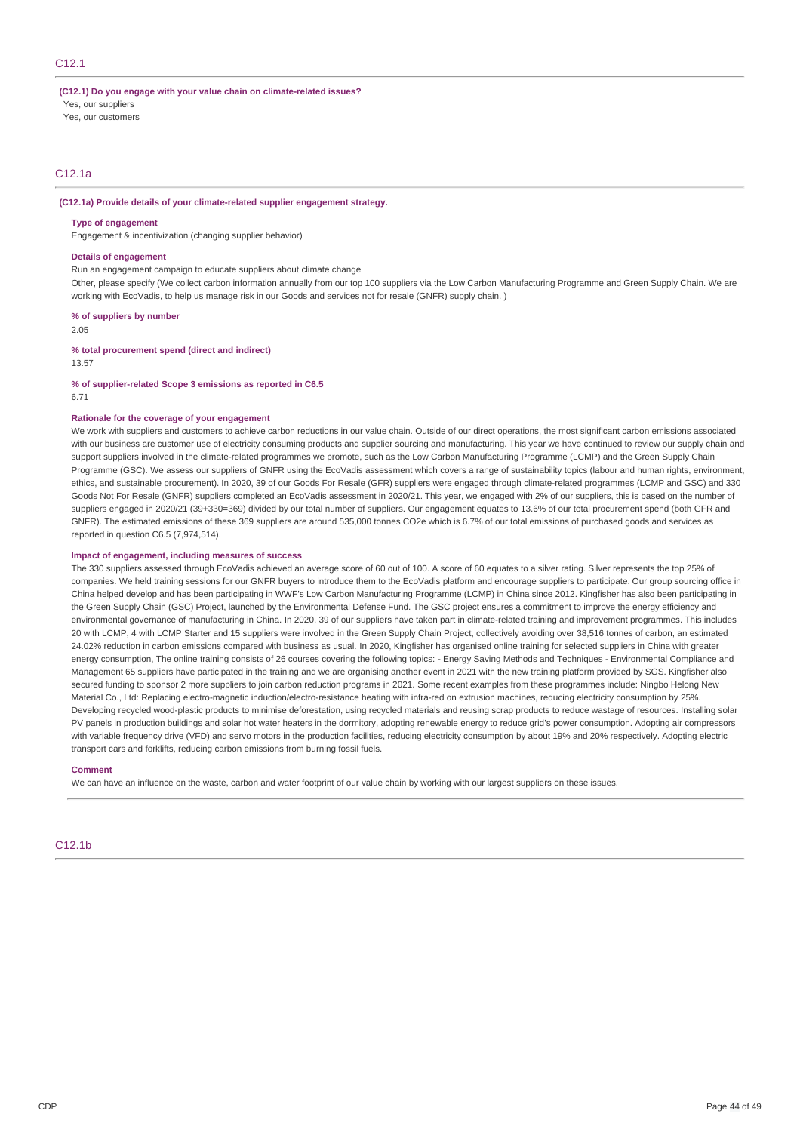### C12.1

**(C12.1) Do you engage with your value chain on climate-related issues?**

Yes, our suppliers

Yes, our customers

### C12.1a

**(C12.1a) Provide details of your climate-related supplier engagement strategy.**

#### **Type of engagement**

Engagement & incentivization (changing supplier behavior)

#### **Details of engagement**

Run an engagement campaign to educate suppliers about climate change

Other, please specify (We collect carbon information annually from our top 100 suppliers via the Low Carbon Manufacturing Programme and Green Supply Chain. We are working with EcoVadis, to help us manage risk in our Goods and services not for resale (GNFR) supply chain. )

**% of suppliers by number**

2.05

#### **% total procurement spend (direct and indirect)**

13.57

#### **% of supplier-related Scope 3 emissions as reported in C6.5** 6.71

#### **Rationale for the coverage of your engagement**

We work with suppliers and customers to achieve carbon reductions in our value chain. Outside of our direct operations, the most significant carbon emissions associated with our business are customer use of electricity consuming products and supplier sourcing and manufacturing. This year we have continued to review our supply chain and support suppliers involved in the climate-related programmes we promote, such as the Low Carbon Manufacturing Programme (LCMP) and the Green Supply Chain Programme (GSC). We assess our suppliers of GNFR using the EcoVadis assessment which covers a range of sustainability topics (labour and human rights, environment, ethics, and sustainable procurement). In 2020, 39 of our Goods For Resale (GFR) suppliers were engaged through climate-related programmes (LCMP and GSC) and 330 Goods Not For Resale (GNFR) suppliers completed an EcoVadis assessment in 2020/21. This year, we engaged with 2% of our suppliers, this is based on the number of suppliers engaged in 2020/21 (39+330=369) divided by our total number of suppliers. Our engagement equates to 13.6% of our total procurement spend (both GFR and GNFR). The estimated emissions of these 369 suppliers are around 535,000 tonnes CO2e which is 6.7% of our total emissions of purchased goods and services as reported in question C6.5 (7,974,514).

#### **Impact of engagement, including measures of success**

The 330 suppliers assessed through EcoVadis achieved an average score of 60 out of 100. A score of 60 equates to a silver rating. Silver represents the top 25% of companies. We held training sessions for our GNFR buyers to introduce them to the EcoVadis platform and encourage suppliers to participate. Our group sourcing office in China helped develop and has been participating in WWF's Low Carbon Manufacturing Programme (LCMP) in China since 2012. Kingfisher has also been participating in the Green Supply Chain (GSC) Project, launched by the Environmental Defense Fund. The GSC project ensures a commitment to improve the energy efficiency and environmental governance of manufacturing in China. In 2020, 39 of our suppliers have taken part in climate-related training and improvement programmes. This includes 20 with LCMP, 4 with LCMP Starter and 15 suppliers were involved in the Green Supply Chain Project, collectively avoiding over 38,516 tonnes of carbon, an estimated 24.02% reduction in carbon emissions compared with business as usual. In 2020, Kingfisher has organised online training for selected suppliers in China with greater energy consumption, The online training consists of 26 courses covering the following topics: - Energy Saving Methods and Techniques - Environmental Compliance and Management 65 suppliers have participated in the training and we are organising another event in 2021 with the new training platform provided by SGS. Kingfisher also secured funding to sponsor 2 more suppliers to join carbon reduction programs in 2021. Some recent examples from these programmes include: Ningbo Helong New Material Co., Ltd: Replacing electro-magnetic induction/electro-resistance heating with infra-red on extrusion machines, reducing electricity consumption by 25%. Developing recycled wood-plastic products to minimise deforestation, using recycled materials and reusing scrap products to reduce wastage of resources. Installing solar PV panels in production buildings and solar hot water heaters in the dormitory, adopting renewable energy to reduce grid's power consumption. Adopting air compressors with variable frequency drive (VFD) and servo motors in the production facilities, reducing electricity consumption by about 19% and 20% respectively. Adopting electric transport cars and forklifts, reducing carbon emissions from burning fossil fuels.

#### **Comment**

We can have an influence on the waste, carbon and water footprint of our value chain by working with our largest suppliers on these issues.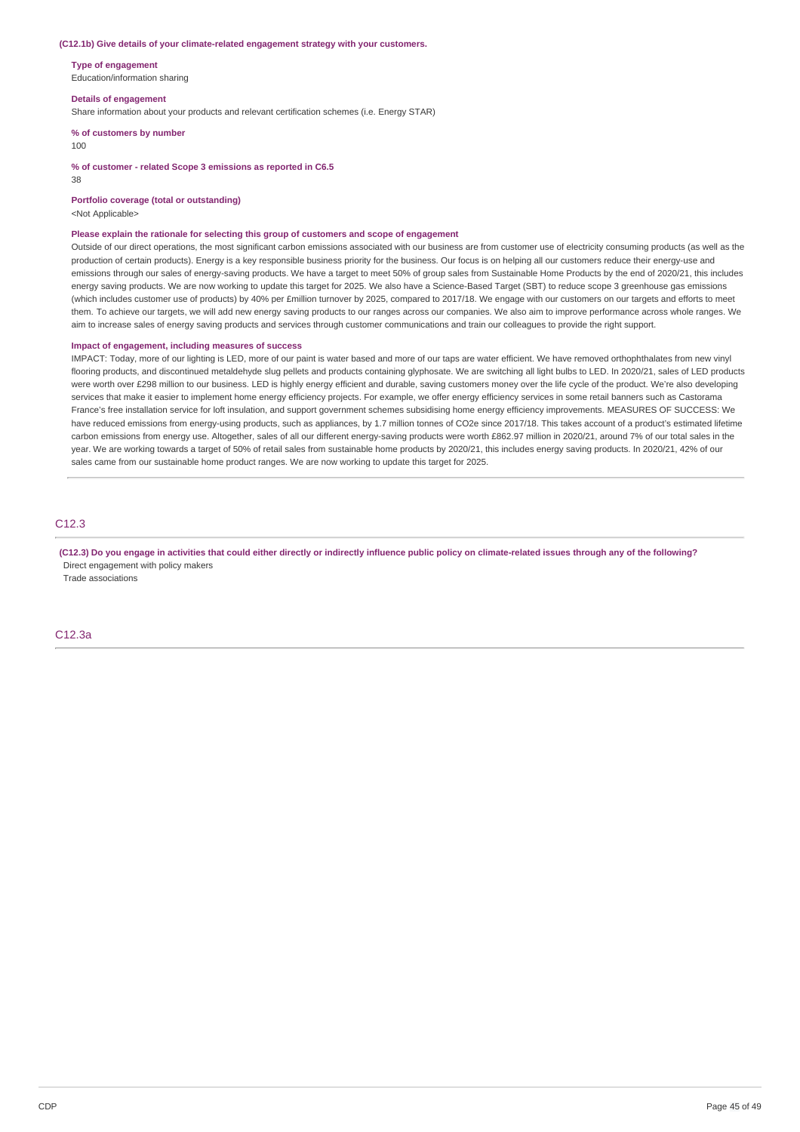#### **(C12.1b) Give details of your climate-related engagement strategy with your customers.**

**Type of engagement** Education/information sharing

#### **Details of engagement**

Share information about your products and relevant certification schemes (i.e. Energy STAR)

**% of customers by number**

#### 100

**% of customer - related Scope 3 emissions as reported in C6.5**

38

**Portfolio coverage (total or outstanding)**

<Not Applicable>

#### **Please explain the rationale for selecting this group of customers and scope of engagement**

Outside of our direct operations, the most significant carbon emissions associated with our business are from customer use of electricity consuming products (as well as the production of certain products). Energy is a key responsible business priority for the business. Our focus is on helping all our customers reduce their energy-use and emissions through our sales of energy-saving products. We have a target to meet 50% of group sales from Sustainable Home Products by the end of 2020/21, this includes energy saving products. We are now working to update this target for 2025. We also have a Science-Based Target (SBT) to reduce scope 3 greenhouse gas emissions (which includes customer use of products) by 40% per £million turnover by 2025, compared to 2017/18. We engage with our customers on our targets and efforts to meet them. To achieve our targets, we will add new energy saving products to our ranges across our companies. We also aim to improve performance across whole ranges. We aim to increase sales of energy saving products and services through customer communications and train our colleagues to provide the right support.

#### **Impact of engagement, including measures of success**

IMPACT: Today, more of our lighting is LED, more of our paint is water based and more of our taps are water efficient. We have removed orthophthalates from new vinyl flooring products, and discontinued metaldehyde slug pellets and products containing glyphosate. We are switching all light bulbs to LED. In 2020/21, sales of LED products were worth over £298 million to our business. LED is highly energy efficient and durable, saving customers money over the life cycle of the product. We're also developing services that make it easier to implement home energy efficiency projects. For example, we offer energy efficiency services in some retail banners such as Castorama France's free installation service for loft insulation, and support government schemes subsidising home energy efficiency improvements. MEASURES OF SUCCESS: We have reduced emissions from energy-using products, such as appliances, by 1.7 million tonnes of CO2e since 2017/18. This takes account of a product's estimated lifetime carbon emissions from energy use. Altogether, sales of all our different energy-saving products were worth £862.97 million in 2020/21, around 7% of our total sales in the year. We are working towards a target of 50% of retail sales from sustainable home products by 2020/21, this includes energy saving products. In 2020/21, 42% of our sales came from our sustainable home product ranges. We are now working to update this target for 2025.

### C12.3

(C12.3) Do you engage in activities that could either directly or indirectly influence public policy on climate-related issues through any of the following? Direct engagement with policy makers

Trade associations

C12.3a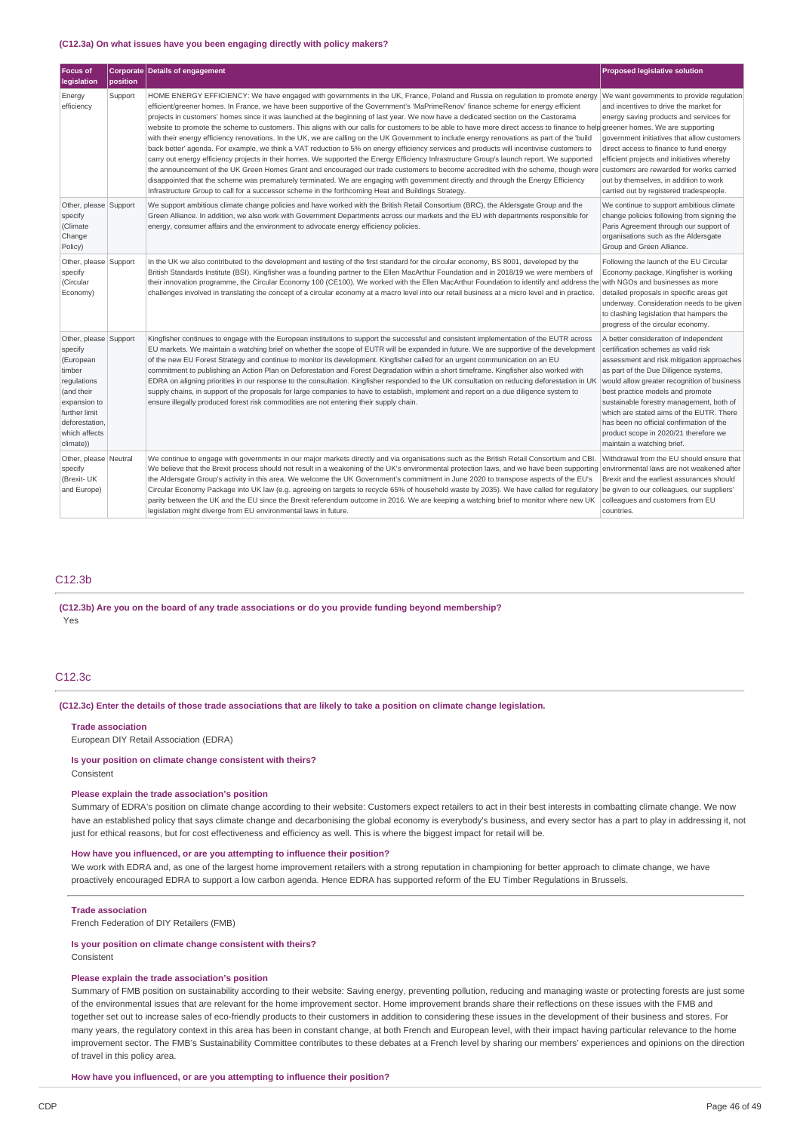#### **(C12.3a) On what issues have you been engaging directly with policy makers?**

| <b>Focus of</b><br>legislation                                                                                                                                        | position | <b>Corporate Details of engagement</b>                                                                                                                                                                                                                                                                                                                                                                                                                                                                                                                                                                                                                                                                                                                                                                                                                                                                                                                                                                                                                                                                                                                                                                                                                                                                                                                                                                                                                             | <b>Proposed legislative solution</b>                                                                                                                                                                                                                                                                                                                                                                                                                             |
|-----------------------------------------------------------------------------------------------------------------------------------------------------------------------|----------|--------------------------------------------------------------------------------------------------------------------------------------------------------------------------------------------------------------------------------------------------------------------------------------------------------------------------------------------------------------------------------------------------------------------------------------------------------------------------------------------------------------------------------------------------------------------------------------------------------------------------------------------------------------------------------------------------------------------------------------------------------------------------------------------------------------------------------------------------------------------------------------------------------------------------------------------------------------------------------------------------------------------------------------------------------------------------------------------------------------------------------------------------------------------------------------------------------------------------------------------------------------------------------------------------------------------------------------------------------------------------------------------------------------------------------------------------------------------|------------------------------------------------------------------------------------------------------------------------------------------------------------------------------------------------------------------------------------------------------------------------------------------------------------------------------------------------------------------------------------------------------------------------------------------------------------------|
| Energy<br>efficiency                                                                                                                                                  | Support  | HOME ENERGY EFFICIENCY: We have engaged with governments in the UK, France, Poland and Russia on regulation to promote energy<br>efficient/greener homes. In France, we have been supportive of the Government's 'MaPrimeRenov' finance scheme for energy efficient<br>projects in customers' homes since it was launched at the beginning of last year. We now have a dedicated section on the Castorama<br>website to promote the scheme to customers. This aligns with our calls for customers to be able to have more direct access to finance to help greener homes. We are supporting<br>with their energy efficiency renovations. In the UK, we are calling on the UK Government to include energy renovations as part of the 'build<br>back better' agenda. For example, we think a VAT reduction to 5% on energy efficiency services and products will incentivise customers to<br>carry out energy efficiency projects in their homes. We supported the Energy Efficiency Infrastructure Group's launch report. We supported<br>the announcement of the UK Green Homes Grant and encouraged our trade customers to become accredited with the scheme, though were customers are rewarded for works carried<br>disappointed that the scheme was prematurely terminated. We are engaging with government directly and through the Energy Efficiency<br>Infrastructure Group to call for a successor scheme in the forthcoming Heat and Buildings Strategy. | We want governments to provide regulation<br>and incentives to drive the market for<br>energy saving products and services for<br>government initiatives that allow customers<br>direct access to finance to fund energy<br>efficient projects and initiatives whereby<br>out by themselves, in addition to work<br>carried out by registered tradespeople.                                                                                                      |
| Other, please Support<br>specify<br>(Climate<br>Change<br>Policy)                                                                                                     |          | We support ambitious climate change policies and have worked with the British Retail Consortium (BRC), the Aldersgate Group and the<br>Green Alliance. In addition, we also work with Government Departments across our markets and the EU with departments responsible for<br>energy, consumer affairs and the environment to advocate energy efficiency policies.                                                                                                                                                                                                                                                                                                                                                                                                                                                                                                                                                                                                                                                                                                                                                                                                                                                                                                                                                                                                                                                                                                | We continue to support ambitious climate<br>change policies following from signing the<br>Paris Agreement through our support of<br>organisations such as the Aldersgate<br>Group and Green Alliance.                                                                                                                                                                                                                                                            |
| Other, please Support<br>specify<br>(Circular<br>Economy)                                                                                                             |          | In the UK we also contributed to the development and testing of the first standard for the circular economy, BS 8001, developed by the<br>British Standards Institute (BSI). Kingfisher was a founding partner to the Ellen MacArthur Foundation and in 2018/19 we were members of<br>their innovation programme, the Circular Economy 100 (CE100). We worked with the Ellen MacArthur Foundation to identify and address the with NGOs and businesses as more<br>challenges involved in translating the concept of a circular economy at a macro level into our retail business at a micro level and in practice.                                                                                                                                                                                                                                                                                                                                                                                                                                                                                                                                                                                                                                                                                                                                                                                                                                                 | Following the launch of the EU Circular<br>Economy package, Kingfisher is working<br>detailed proposals in specific areas get<br>underway. Consideration needs to be given<br>to clashing legislation that hampers the<br>progress of the circular economy.                                                                                                                                                                                                      |
| Other, please Support<br>specify<br>(European<br>timber<br>regulations<br>(and their<br>expansion to<br>further limit<br>deforestation.<br>which affects<br>climate)) |          | Kingfisher continues to engage with the European institutions to support the successful and consistent implementation of the EUTR across<br>EU markets. We maintain a watching brief on whether the scope of EUTR will be expanded in future. We are supportive of the development<br>of the new EU Forest Strategy and continue to monitor its development. Kingfisher called for an urgent communication on an EU<br>commitment to publishing an Action Plan on Deforestation and Forest Degradation within a short timeframe. Kingfisher also worked with<br>EDRA on aligning priorities in our response to the consultation. Kingfisher responded to the UK consultation on reducing deforestation in UK<br>supply chains, in support of the proposals for large companies to have to establish, implement and report on a due diligence system to<br>ensure illegally produced forest risk commodities are not entering their supply chain.                                                                                                                                                                                                                                                                                                                                                                                                                                                                                                                   | A better consideration of independent<br>certification schemes as valid risk<br>assessment and risk mitigation approaches<br>as part of the Due Diligence systems,<br>would allow greater recognition of business<br>best practice models and promote<br>sustainable forestry management, both of<br>which are stated aims of the EUTR. There<br>has been no official confirmation of the<br>product scope in 2020/21 therefore we<br>maintain a watching brief. |
| Other, please Neutral<br>specify<br>(Brexit- UK<br>and Europe)                                                                                                        |          | We continue to engage with governments in our major markets directly and via organisations such as the British Retail Consortium and CBI.<br>We believe that the Brexit process should not result in a weakening of the UK's environmental protection laws, and we have been supporting environmental laws are not weakened after<br>the Aldersgate Group's activity in this area. We welcome the UK Government's commitment in June 2020 to transpose aspects of the EU's<br>Circular Economy Package into UK law (e.g. agreeing on targets to recycle 65% of household waste by 2035). We have called for regulatory be given to our colleagues, our suppliers'<br>parity between the UK and the EU since the Brexit referendum outcome in 2016. We are keeping a watching brief to monitor where new UK<br>legislation might diverge from EU environmental laws in future.                                                                                                                                                                                                                                                                                                                                                                                                                                                                                                                                                                                      | Withdrawal from the EU should ensure that<br>Brexit and the earliest assurances should<br>colleagues and customers from EU<br>countries.                                                                                                                                                                                                                                                                                                                         |

### C12.3b

# **(C12.3b) Are you on the board of any trade associations or do you provide funding beyond membership?**

Yes

### C12.3c

#### (C12.3c) Enter the details of those trade associations that are likely to take a position on climate change legislation.

**Trade association**

European DIY Retail Association (EDRA)

**Is your position on climate change consistent with theirs?** Consistent

#### **Please explain the trade association's position**

Summary of EDRA's position on climate change according to their website: Customers expect retailers to act in their best interests in combatting climate change. We now have an established policy that says climate change and decarbonising the global economy is everybody's business, and every sector has a part to play in addressing it, not just for ethical reasons, but for cost effectiveness and efficiency as well. This is where the biggest impact for retail will be.

#### **How have you influenced, or are you attempting to influence their position?**

We work with EDRA and, as one of the largest home improvement retailers with a strong reputation in championing for better approach to climate change, we have proactively encouraged EDRA to support a low carbon agenda. Hence EDRA has supported reform of the EU Timber Regulations in Brussels.

#### **Trade association**

French Federation of DIY Retailers (FMB)

### **Is your position on climate change consistent with theirs?**

Consistent

### **Please explain the trade association's position**

Summary of FMB position on sustainability according to their website: Saving energy, preventing pollution, reducing and managing waste or protecting forests are just some of the environmental issues that are relevant for the home improvement sector. Home improvement brands share their reflections on these issues with the FMB and together set out to increase sales of eco-friendly products to their customers in addition to considering these issues in the development of their business and stores. For many years, the regulatory context in this area has been in constant change, at both French and European level, with their impact having particular relevance to the home improvement sector. The FMB's Sustainability Committee contributes to these debates at a French level by sharing our members' experiences and opinions on the direction of travel in this policy area.

#### **How have you influenced, or are you attempting to influence their position?**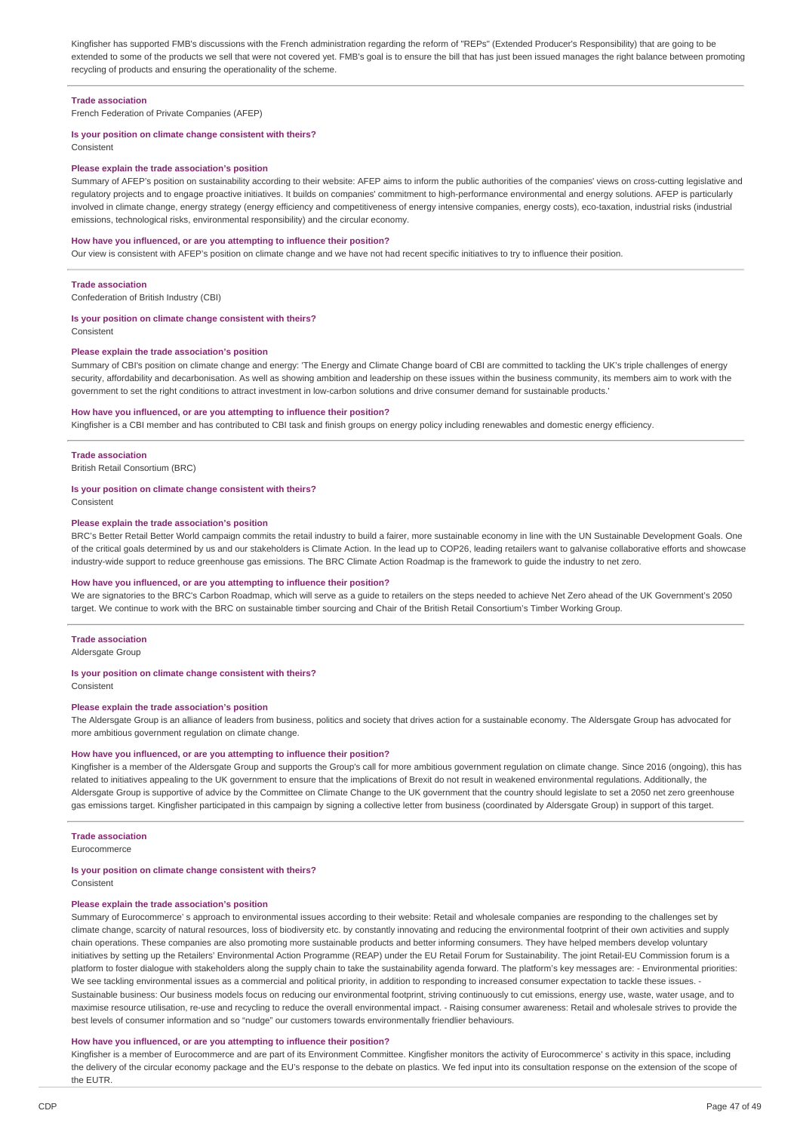Kingfisher has supported FMB's discussions with the French administration regarding the reform of "REPs" (Extended Producer's Responsibility) that are going to be extended to some of the products we sell that were not covered yet. FMB's goal is to ensure the bill that has just been issued manages the right balance between promoting recycling of products and ensuring the operationality of the scheme.

#### **Trade association**

French Federation of Private Companies (AFEP)

### **Is your position on climate change consistent with theirs?**

Consistent

#### **Please explain the trade association's position**

Summary of AFEP's position on sustainability according to their website: AFEP aims to inform the public authorities of the companies' views on cross-cutting legislative and regulatory projects and to engage proactive initiatives. It builds on companies' commitment to high-performance environmental and energy solutions. AFEP is particularly involved in climate change, energy strategy (energy efficiency and competitiveness of energy intensive companies, energy costs), eco-taxation, industrial risks (industrial emissions, technological risks, environmental responsibility) and the circular economy.

#### **How have you influenced, or are you attempting to influence their position?**

Our view is consistent with AFEP's position on climate change and we have not had recent specific initiatives to try to influence their position.

#### **Trade association**

Confederation of British Industry (CBI)

#### **Is your position on climate change consistent with theirs?**

Consistent

#### **Please explain the trade association's position**

Summary of CBI's position on climate change and energy: 'The Energy and Climate Change board of CBI are committed to tackling the UK's triple challenges of energy security, affordability and decarbonisation. As well as showing ambition and leadership on these issues within the business community, its members aim to work with the government to set the right conditions to attract investment in low-carbon solutions and drive consumer demand for sustainable products.'

#### **How have you influenced, or are you attempting to influence their position?**

Kingfisher is a CBI member and has contributed to CBI task and finish groups on energy policy including renewables and domestic energy efficiency.

#### **Trade association**

British Retail Consortium (BRC)

#### **Is your position on climate change consistent with theirs?**

Consistent

#### **Please explain the trade association's position**

BRC's Better Retail Better World campaign commits the retail industry to build a fairer, more sustainable economy in line with the UN Sustainable Development Goals. One of the critical goals determined by us and our stakeholders is Climate Action. In the lead up to COP26, leading retailers want to galvanise collaborative efforts and showcase industry-wide support to reduce greenhouse gas emissions. The BRC Climate Action Roadmap is the framework to guide the industry to net zero.

#### **How have you influenced, or are you attempting to influence their position?**

We are signatories to the BRC's Carbon Roadmap, which will serve as a guide to retailers on the steps needed to achieve Net Zero ahead of the UK Government's 2050 target. We continue to work with the BRC on sustainable timber sourcing and Chair of the British Retail Consortium's Timber Working Group.

#### **Trade association**

Aldersgate Group

#### **Is your position on climate change consistent with theirs?**

Consistent

#### **Please explain the trade association's position**

The Aldersgate Group is an alliance of leaders from business, politics and society that drives action for a sustainable economy. The Aldersgate Group has advocated for more ambitious government regulation on climate change.

#### **How have you influenced, or are you attempting to influence their position?**

Kingfisher is a member of the Aldersgate Group and supports the Group's call for more ambitious government regulation on climate change. Since 2016 (ongoing), this has related to initiatives appealing to the UK government to ensure that the implications of Brexit do not result in weakened environmental regulations. Additionally, the Aldersgate Group is supportive of advice by the Committee on Climate Change to the UK government that the country should legislate to set a 2050 net zero greenhouse gas emissions target. Kingfisher participated in this campaign by signing a collective letter from business (coordinated by Aldersgate Group) in support of this target.

#### **Trade association**

Eurocommerce

#### **Is your position on climate change consistent with theirs?**

Consistent

#### **Please explain the trade association's position**

Summary of Eurocommerce' s approach to environmental issues according to their website: Retail and wholesale companies are responding to the challenges set by climate change, scarcity of natural resources, loss of biodiversity etc. by constantly innovating and reducing the environmental footprint of their own activities and supply chain operations. These companies are also promoting more sustainable products and better informing consumers. They have helped members develop voluntary initiatives by setting up the Retailers' Environmental Action Programme (REAP) under the EU Retail Forum for Sustainability. The joint Retail-EU Commission forum is a platform to foster dialogue with stakeholders along the supply chain to take the sustainability agenda forward. The platform's key messages are: - Environmental priorities: We see tackling environmental issues as a commercial and political priority, in addition to responding to increased consumer expectation to tackle these issues. Sustainable business: Our business models focus on reducing our environmental footprint, striving continuously to cut emissions, energy use, waste, water usage, and to maximise resource utilisation, re-use and recycling to reduce the overall environmental impact. - Raising consumer awareness: Retail and wholesale strives to provide the best levels of consumer information and so "nudge" our customers towards environmentally friendlier behaviours.

#### **How have you influenced, or are you attempting to influence their position?**

Kingfisher is a member of Eurocommerce and are part of its Environment Committee. Kingfisher monitors the activity of Eurocommerce' s activity in this space, including the delivery of the circular economy package and the EU's response to the debate on plastics. We fed input into its consultation response on the extension of the scope of the EUTR.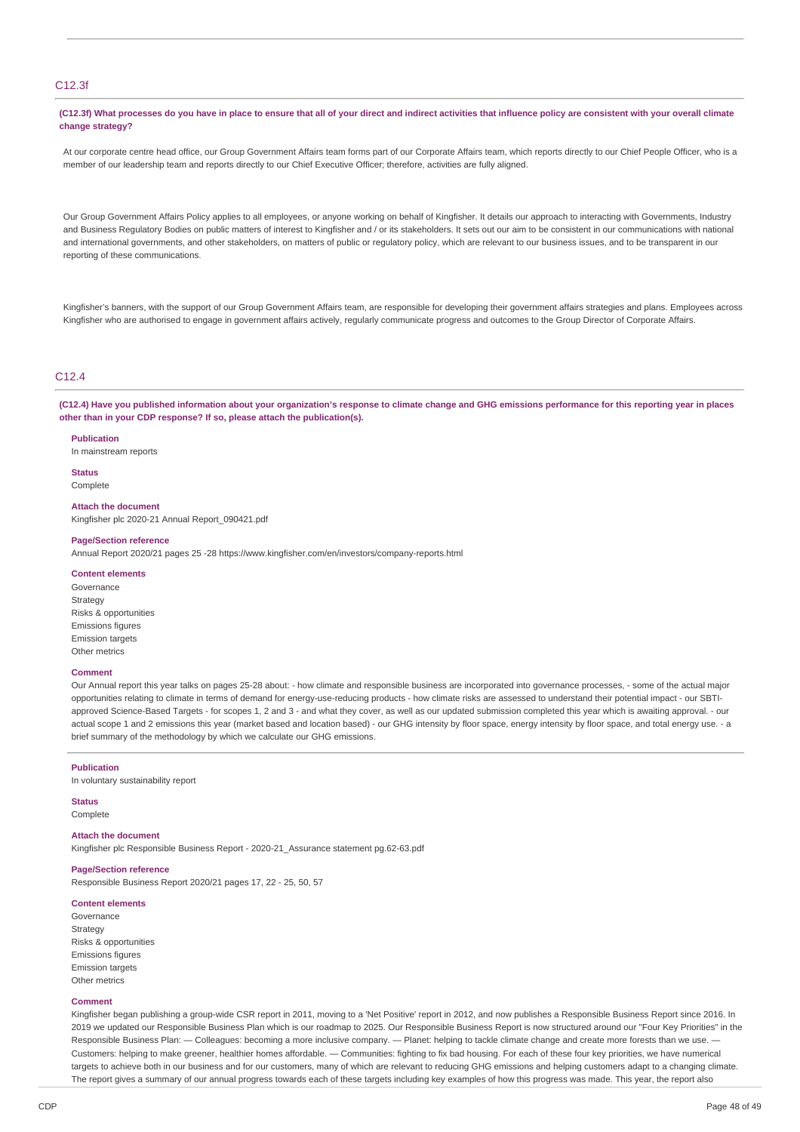### C12.3f

(C12.3f) What processes do you have in place to ensure that all of your direct and indirect activities that influence policy are consistent with your overall climate **change strategy?**

At our corporate centre head office, our Group Government Affairs team forms part of our Corporate Affairs team, which reports directly to our Chief People Officer, who is a member of our leadership team and reports directly to our Chief Executive Officer; therefore, activities are fully aligned.

Our Group Government Affairs Policy applies to all employees, or anyone working on behalf of Kingfisher. It details our approach to interacting with Governments, Industry and Business Regulatory Bodies on public matters of interest to Kingfisher and / or its stakeholders. It sets out our aim to be consistent in our communications with national and international governments, and other stakeholders, on matters of public or regulatory policy, which are relevant to our business issues, and to be transparent in our reporting of these communications.

Kingfisher's banners, with the support of our Group Government Affairs team, are responsible for developing their government affairs strategies and plans. Employees across Kingfisher who are authorised to engage in government affairs actively, regularly communicate progress and outcomes to the Group Director of Corporate Affairs.

### $C12.4$

(C12.4) Have you published information about your organization's response to climate change and GHG emissions performance for this reporting year in places **other than in your CDP response? If so, please attach the publication(s).**

#### **Publication**

In mainstream reports

**Status** Complete

**Attach the document**

Kingfisher plc 2020-21 Annual Report\_090421.pdf

#### **Page/Section reference**

Annual Report 2020/21 pages 25 -28 https://www.kingfisher.com/en/investors/company-reports.html

#### **Content elements**

Governance Strategy Risks & opportunities Emissions figures Emission targets Other metrics

#### **Comment**

Our Annual report this year talks on pages 25-28 about: - how climate and responsible business are incorporated into governance processes, - some of the actual major opportunities relating to climate in terms of demand for energy-use-reducing products - how climate risks are assessed to understand their potential impact - our SBTIapproved Science-Based Targets - for scopes 1, 2 and 3 - and what they cover, as well as our updated submission completed this year which is awaiting approval. - our actual scope 1 and 2 emissions this year (market based and location based) - our GHG intensity by floor space, energy intensity by floor space, and total energy use. - a brief summary of the methodology by which we calculate our GHG emissions.

#### **Publication**

In voluntary sustainability report

#### **Status** Complete

#### **Attach the document**

Kingfisher plc Responsible Business Report - 2020-21\_Assurance statement pg.62-63.pdf

#### **Page/Section reference**

Responsible Business Report 2020/21 pages 17, 22 - 25, 50, 57

### **Content elements**

Governance **Strategy** Risks & opportunities Emissions figures Emission targets Other metrics

#### **Comment**

Kingfisher began publishing a group-wide CSR report in 2011, moving to a 'Net Positive' report in 2012, and now publishes a Responsible Business Report since 2016. In 2019 we updated our Responsible Business Plan which is our roadmap to 2025. Our Responsible Business Report is now structured around our "Four Key Priorities" in the Responsible Business Plan: — Colleagues: becoming a more inclusive company. — Planet: helping to tackle climate change and create more forests than we use. Customers: helping to make greener, healthier homes affordable. — Communities: fighting to fix bad housing. For each of these four key priorities, we have numerical targets to achieve both in our business and for our customers, many of which are relevant to reducing GHG emissions and helping customers adapt to a changing climate. The report gives a summary of our annual progress towards each of these targets including key examples of how this progress was made. This year, the report also